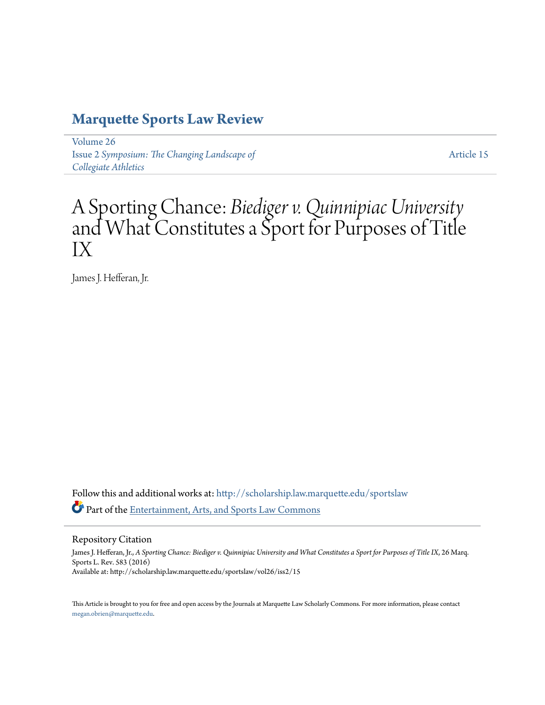# **[Marquette Sports Law Review](http://scholarship.law.marquette.edu/sportslaw?utm_source=scholarship.law.marquette.edu%2Fsportslaw%2Fvol26%2Fiss2%2F15&utm_medium=PDF&utm_campaign=PDFCoverPages)**

[Volume 26](http://scholarship.law.marquette.edu/sportslaw/vol26?utm_source=scholarship.law.marquette.edu%2Fsportslaw%2Fvol26%2Fiss2%2F15&utm_medium=PDF&utm_campaign=PDFCoverPages) Issue 2 *[Symposium: The Changing Landscape of](http://scholarship.law.marquette.edu/sportslaw/vol26/iss2?utm_source=scholarship.law.marquette.edu%2Fsportslaw%2Fvol26%2Fiss2%2F15&utm_medium=PDF&utm_campaign=PDFCoverPages) [Collegiate Athletics](http://scholarship.law.marquette.edu/sportslaw/vol26/iss2?utm_source=scholarship.law.marquette.edu%2Fsportslaw%2Fvol26%2Fiss2%2F15&utm_medium=PDF&utm_campaign=PDFCoverPages)*

[Article 15](http://scholarship.law.marquette.edu/sportslaw/vol26/iss2/15?utm_source=scholarship.law.marquette.edu%2Fsportslaw%2Fvol26%2Fiss2%2F15&utm_medium=PDF&utm_campaign=PDFCoverPages)

# A Sporting Chance: *Biediger v. Quinnipiac University* and What Constitutes a Sport for Purposes of Title IX

James J. Hefferan, Jr.

Follow this and additional works at: [http://scholarship.law.marquette.edu/sportslaw](http://scholarship.law.marquette.edu/sportslaw?utm_source=scholarship.law.marquette.edu%2Fsportslaw%2Fvol26%2Fiss2%2F15&utm_medium=PDF&utm_campaign=PDFCoverPages) Part of the [Entertainment, Arts, and Sports Law Commons](http://network.bepress.com/hgg/discipline/893?utm_source=scholarship.law.marquette.edu%2Fsportslaw%2Fvol26%2Fiss2%2F15&utm_medium=PDF&utm_campaign=PDFCoverPages)

Repository Citation

James J. Hefferan, Jr., *A Sporting Chance: Biediger v. Quinnipiac University and What Constitutes a Sport for Purposes of Title IX*, 26 Marq. Sports L. Rev. 583 (2016) Available at: http://scholarship.law.marquette.edu/sportslaw/vol26/iss2/15

This Article is brought to you for free and open access by the Journals at Marquette Law Scholarly Commons. For more information, please contact [megan.obrien@marquette.edu.](mailto:megan.obrien@marquette.edu)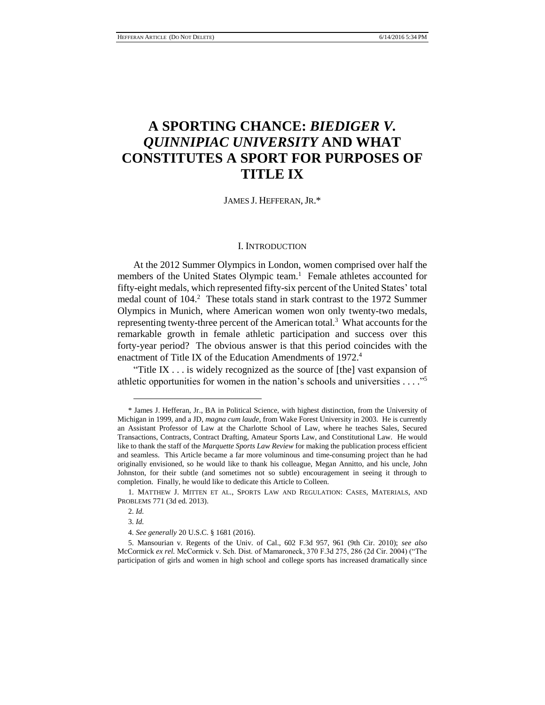# **A SPORTING CHANCE:** *BIEDIGER V. QUINNIPIAC UNIVERSITY* **AND WHAT CONSTITUTES A SPORT FOR PURPOSES OF TITLE IX**

JAMES J. HEFFERAN, JR.\*

#### I. INTRODUCTION

At the 2012 Summer Olympics in London, women comprised over half the members of the United States Olympic team.<sup>1</sup> Female athletes accounted for fifty-eight medals, which represented fifty-six percent of the United States' total medal count of 104.<sup>2</sup> These totals stand in stark contrast to the 1972 Summer Olympics in Munich, where American women won only twenty-two medals, representing twenty-three percent of the American total.<sup>3</sup> What accounts for the remarkable growth in female athletic participation and success over this forty-year period? The obvious answer is that this period coincides with the enactment of Title IX of the Education Amendments of 1972.<sup>4</sup>

"Title IX . . . is widely recognized as the source of [the] vast expansion of athletic opportunities for women in the nation's schools and universities . . . ." 5

<sup>\*</sup> James J. Hefferan, Jr., BA in Political Science, with highest distinction, from the University of Michigan in 1999, and a JD, *magna cum laude*, from Wake Forest University in 2003. He is currently an Assistant Professor of Law at the Charlotte School of Law, where he teaches Sales, Secured Transactions, Contracts, Contract Drafting, Amateur Sports Law, and Constitutional Law. He would like to thank the staff of the *Marquette Sports Law Review* for making the publication process efficient and seamless. This Article became a far more voluminous and time-consuming project than he had originally envisioned, so he would like to thank his colleague, Megan Annitto, and his uncle, John Johnston, for their subtle (and sometimes not so subtle) encouragement in seeing it through to completion. Finally, he would like to dedicate this Article to Colleen.

<sup>1.</sup> MATTHEW J. MITTEN ET AL., SPORTS LAW AND REGULATION: CASES, MATERIALS, AND PROBLEMS 771 (3d ed. 2013).

<sup>2.</sup> *Id.*

<sup>3.</sup> *Id.*

<sup>4.</sup> *See generally* 20 U.S.C. § 1681 (2016).

<sup>5.</sup> Mansourian v. Regents of the Univ. of Cal., 602 F.3d 957, 961 (9th Cir. 2010); *see also*  McCormick *ex rel.* McCormick v. Sch. Dist. of Mamaroneck, 370 F.3d 275, 286 (2d Cir. 2004) ("The participation of girls and women in high school and college sports has increased dramatically since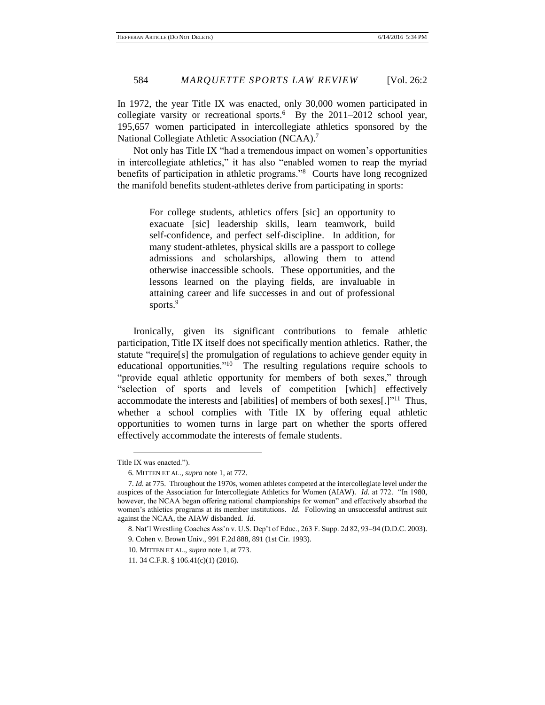In 1972, the year Title IX was enacted, only 30,000 women participated in collegiate varsity or recreational sports. $6$  By the 2011–2012 school year, 195,657 women participated in intercollegiate athletics sponsored by the National Collegiate Athletic Association (NCAA).<sup>7</sup>

Not only has Title IX "had a tremendous impact on women's opportunities in intercollegiate athletics," it has also "enabled women to reap the myriad benefits of participation in athletic programs."<sup>8</sup> Courts have long recognized the manifold benefits student-athletes derive from participating in sports:

> For college students, athletics offers [sic] an opportunity to exacuate [sic] leadership skills, learn teamwork, build self-confidence, and perfect self-discipline. In addition, for many student-athletes, physical skills are a passport to college admissions and scholarships, allowing them to attend otherwise inaccessible schools. These opportunities, and the lessons learned on the playing fields, are invaluable in attaining career and life successes in and out of professional sports.<sup>9</sup>

Ironically, given its significant contributions to female athletic participation, Title IX itself does not specifically mention athletics. Rather, the statute "require[s] the promulgation of regulations to achieve gender equity in educational opportunities."<sup>10</sup> The resulting regulations require schools to "provide equal athletic opportunity for members of both sexes," through "selection of sports and levels of competition [which] effectively accommodate the interests and [abilities] of members of both sexes[.]"<sup>11</sup> Thus, whether a school complies with Title IX by offering equal athletic opportunities to women turns in large part on whether the sports offered effectively accommodate the interests of female students.

Title IX was enacted.").

<sup>6.</sup> MITTEN ET AL., *supra* note 1, at 772.

<sup>7.</sup> *Id.* at 775. Throughout the 1970s, women athletes competed at the intercollegiate level under the auspices of the Association for Intercollegiate Athletics for Women (AIAW). *Id.* at 772. "In 1980, however, the NCAA began offering national championships for women" and effectively absorbed the women's athletics programs at its member institutions. *Id.* Following an unsuccessful antitrust suit against the NCAA, the AIAW disbanded. *Id.*

<sup>8.</sup> Nat'l Wrestling Coaches Ass'n v. U.S. Dep't of Educ., 263 F. Supp. 2d 82, 93–94 (D.D.C. 2003).

<sup>9.</sup> Cohen v. Brown Univ., 991 F.2d 888, 891 (1st Cir. 1993).

<sup>10.</sup> MITTEN ET AL., *supra* note 1, at 773.

<sup>11. 34</sup> C.F.R. § 106.41(c)(1) (2016).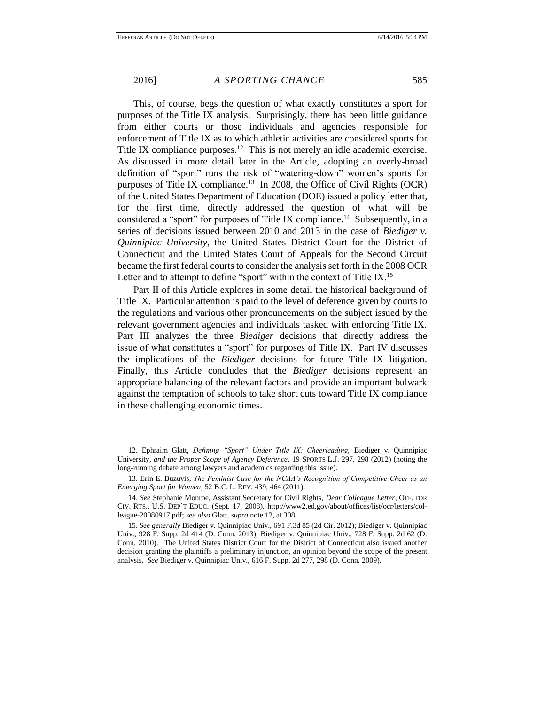$\overline{a}$ 

This, of course, begs the question of what exactly constitutes a sport for purposes of the Title IX analysis. Surprisingly, there has been little guidance from either courts or those individuals and agencies responsible for enforcement of Title IX as to which athletic activities are considered sports for Title IX compliance purposes.<sup>12</sup> This is not merely an idle academic exercise. As discussed in more detail later in the Article, adopting an overly-broad definition of "sport" runs the risk of "watering-down" women's sports for purposes of Title IX compliance.<sup>13</sup> In 2008, the Office of Civil Rights (OCR) of the United States Department of Education (DOE) issued a policy letter that, for the first time, directly addressed the question of what will be considered a "sport" for purposes of Title IX compliance.<sup>14</sup> Subsequently, in a series of decisions issued between 2010 and 2013 in the case of *Biediger v. Quinnipiac University*, the United States District Court for the District of Connecticut and the United States Court of Appeals for the Second Circuit became the first federal courts to consider the analysis set forth in the 2008 OCR Letter and to attempt to define "sport" within the context of Title IX.<sup>15</sup>

Part II of this Article explores in some detail the historical background of Title IX. Particular attention is paid to the level of deference given by courts to the regulations and various other pronouncements on the subject issued by the relevant government agencies and individuals tasked with enforcing Title IX. Part III analyzes the three *Biediger* decisions that directly address the issue of what constitutes a "sport" for purposes of Title IX. Part IV discusses the implications of the *Biediger* decisions for future Title IX litigation. Finally, this Article concludes that the *Biediger* decisions represent an appropriate balancing of the relevant factors and provide an important bulwark against the temptation of schools to take short cuts toward Title IX compliance in these challenging economic times.

<sup>12.</sup> Ephraim Glatt, *Defining "Sport" Under Title IX: Cheerleading,* Biediger v. Quinnipiac University*, and the Proper Scope of Agency Deference*, 19 SPORTS L.J. 297, 298 (2012) (noting the long-running debate among lawyers and academics regarding this issue).

<sup>13.</sup> Erin E. Buzuvis, *The Feminist Case for the NCAA's Recognition of Competitive Cheer as an Emerging Sport for Women*, 52 B.C. L. REV. 439, 464 (2011).

<sup>14.</sup> *See* Stephanie Monroe, Assistant Secretary for Civil Rights, *Dear Colleague Letter*, OFF. FOR CIV. RTS., U.S. DEP'T EDUC. (Sept. 17, 2008), http://www2.ed.gov/about/offices/list/ocr/letters/colleague-20080917.pdf; *see also* Glatt, *supra* note 12, at 308.

<sup>15.</sup> *See generally* Biediger v. Quinnipiac Univ., 691 F.3d 85 (2d Cir. 2012); Biediger v. Quinnipiac Univ., 928 F. Supp. 2d 414 (D. Conn. 2013); Biediger v. Quinnipiac Univ., 728 F. Supp. 2d 62 (D. Conn. 2010). The United States District Court for the District of Connecticut also issued another decision granting the plaintiffs a preliminary injunction, an opinion beyond the scope of the present analysis. *See* Biediger v. Quinnipiac Univ., 616 F. Supp. 2d 277, 298 (D. Conn. 2009).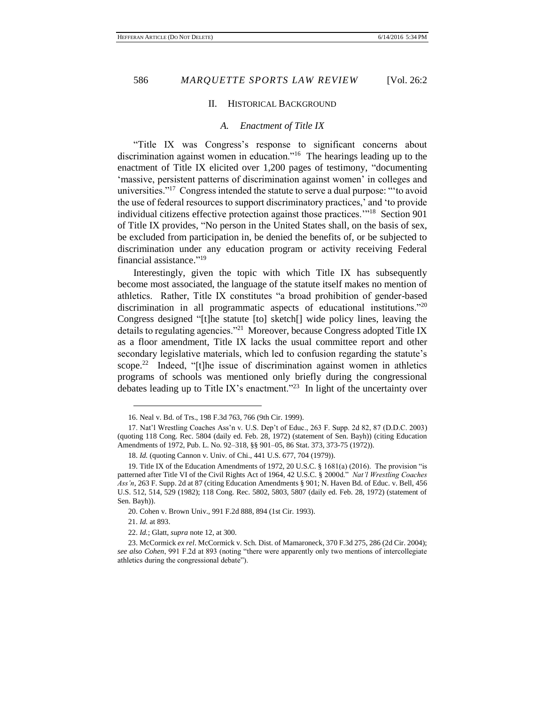# II. HISTORICAL BACKGROUND

# *A. Enactment of Title IX*

"Title IX was Congress's response to significant concerns about discrimination against women in education."<sup>16</sup> The hearings leading up to the enactment of Title IX elicited over 1,200 pages of testimony, "documenting 'massive, persistent patterns of discrimination against women' in colleges and universities."<sup>17</sup> Congress intended the statute to serve a dual purpose: "'to avoid the use of federal resources to support discriminatory practices,' and 'to provide individual citizens effective protection against those practices.'"<sup>18</sup> Section 901 of Title IX provides, "No person in the United States shall, on the basis of sex, be excluded from participation in, be denied the benefits of, or be subjected to discrimination under any education program or activity receiving Federal financial assistance." 19

Interestingly, given the topic with which Title IX has subsequently become most associated, the language of the statute itself makes no mention of athletics. Rather, Title IX constitutes "a broad prohibition of gender-based discrimination in all programmatic aspects of educational institutions."<sup>20</sup> Congress designed "[t]he statute [to] sketch[] wide policy lines, leaving the details to regulating agencies."<sup>21</sup> Moreover, because Congress adopted Title IX as a floor amendment, Title IX lacks the usual committee report and other secondary legislative materials, which led to confusion regarding the statute's scope.<sup>22</sup> Indeed, "[t]he issue of discrimination against women in athletics programs of schools was mentioned only briefly during the congressional debates leading up to Title IX's enactment."<sup>23</sup> In light of the uncertainty over

<sup>16.</sup> Neal v. Bd. of Trs., 198 F.3d 763, 766 (9th Cir. 1999).

<sup>17.</sup> Nat'l Wrestling Coaches Ass'n v. U.S. Dep't of Educ., 263 F. Supp. 2d 82, 87 (D.D.C. 2003) (quoting 118 Cong. Rec. 5804 (daily ed. Feb. 28, 1972) (statement of Sen. Bayh)) (citing Education Amendments of 1972, Pub. L. No. 92–318, §§ 901–05, 86 Stat. 373, 373-75 (1972)).

<sup>18.</sup> *Id.* (quoting Cannon v. Univ. of Chi., 441 U.S. 677, 704 (1979)).

<sup>19.</sup> Title IX of the Education Amendments of 1972, 20 U.S.C. § 1681(a) (2016). The provision "is patterned after Title VI of the Civil Rights Act of 1964, 42 U.S.C. § 2000d." *Nat'l Wrestling Coaches Ass'n*, 263 F. Supp. 2d at 87 (citing Education Amendments § 901; N. Haven Bd. of Educ. v. Bell, 456 U.S. 512, 514, 529 (1982); 118 Cong. Rec. 5802, 5803, 5807 (daily ed. Feb. 28, 1972) (statement of Sen. Bayh)).

<sup>20.</sup> Cohen v. Brown Univ., 991 F.2d 888, 894 (1st Cir. 1993).

<sup>21.</sup> *Id.* at 893.

<sup>22.</sup> *Id.*; Glatt, *supra* note 12, at 300.

<sup>23.</sup> McCormick *ex rel*. McCormick v. Sch. Dist. of Mamaroneck, 370 F.3d 275, 286 (2d Cir. 2004); *see also Cohen*, 991 F.2d at 893 (noting "there were apparently only two mentions of intercollegiate athletics during the congressional debate").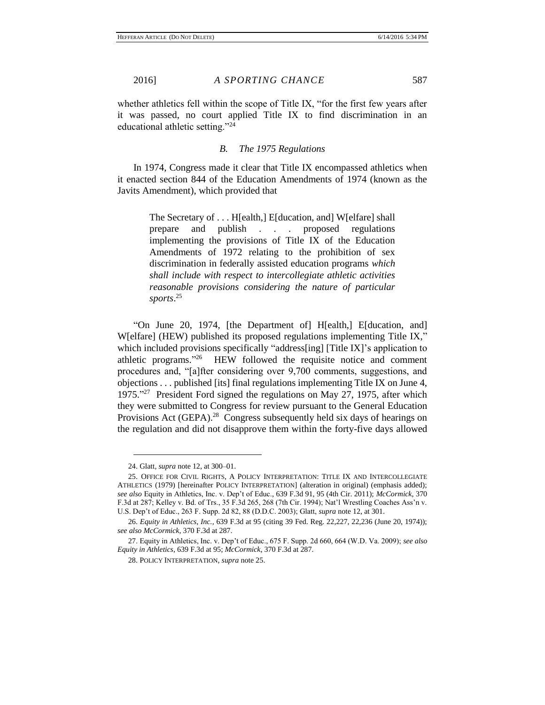whether athletics fell within the scope of Title IX, "for the first few years after it was passed, no court applied Title IX to find discrimination in an educational athletic setting."<sup>24</sup>

# *B. The 1975 Regulations*

In 1974, Congress made it clear that Title IX encompassed athletics when it enacted section 844 of the Education Amendments of 1974 (known as the Javits Amendment), which provided that

> The Secretary of . . . H[ealth,] E[ducation, and] W[elfare] shall prepare and publish . . . proposed regulations implementing the provisions of Title IX of the Education Amendments of 1972 relating to the prohibition of sex discrimination in federally assisted education programs *which shall include with respect to intercollegiate athletic activities reasonable provisions considering the nature of particular sports*. 25

"On June 20, 1974, [the Department of] H[ealth,] E[ducation, and] Welfare] (HEW) published its proposed regulations implementing Title IX," which included provisions specifically "address[ing] [Title IX]'s application to athletic programs." 26 HEW followed the requisite notice and comment procedures and, "[a]fter considering over 9,700 comments, suggestions, and objections . . . published [its] final regulations implementing Title IX on June 4, 1975."<sup>27</sup> President Ford signed the regulations on May 27, 1975, after which they were submitted to Congress for review pursuant to the General Education Provisions Act (GEPA).<sup>28</sup> Congress subsequently held six days of hearings on the regulation and did not disapprove them within the forty-five days allowed

<sup>24.</sup> Glatt, *supra* note 12, at 300–01.

<sup>25.</sup> OFFICE FOR CIVIL RIGHTS, A POLICY INTERPRETATION: TITLE IX AND INTERCOLLEGIATE ATHLETICS (1979) [hereinafter POLICY INTERPRETATION] (alteration in original) (emphasis added); *see also* Equity in Athletics, Inc. v. Dep't of Educ., 639 F.3d 91, 95 (4th Cir. 2011); *McCormick*, 370 F.3d at 287; Kelley v. Bd. of Trs., 35 F.3d 265, 268 (7th Cir. 1994); Nat'l Wrestling Coaches Ass'n v. U.S. Dep't of Educ., 263 F. Supp. 2d 82, 88 (D.D.C. 2003); Glatt, *supra* note 12, at 301.

<sup>26.</sup> *Equity in Athletics, Inc.*, 639 F.3d at 95 (citing 39 Fed. Reg. 22,227, 22,236 (June 20, 1974)); *see also McCormick*, 370 F.3d at 287.

<sup>27.</sup> Equity in Athletics, Inc. v. Dep't of Educ., 675 F. Supp. 2d 660, 664 (W.D. Va. 2009); *see also Equity in Athletics*, 639 F.3d at 95; *McCormick*, 370 F.3d at 287.

<sup>28.</sup> POLICY INTERPRETATION, *supra* note 25.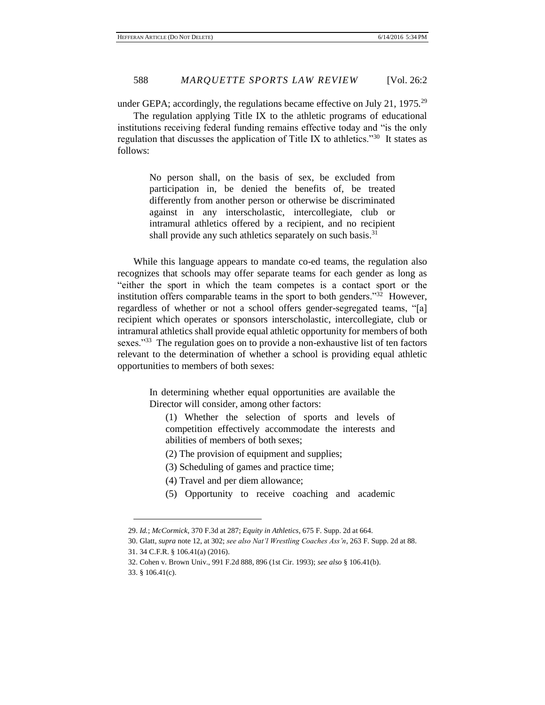under GEPA; accordingly, the regulations became effective on July 21, 1975.<sup>29</sup>

The regulation applying Title IX to the athletic programs of educational institutions receiving federal funding remains effective today and "is the only regulation that discusses the application of Title IX to athletics."<sup>30</sup> It states as follows:

> No person shall, on the basis of sex, be excluded from participation in, be denied the benefits of, be treated differently from another person or otherwise be discriminated against in any interscholastic, intercollegiate, club or intramural athletics offered by a recipient, and no recipient shall provide any such athletics separately on such basis.<sup>31</sup>

While this language appears to mandate co-ed teams, the regulation also recognizes that schools may offer separate teams for each gender as long as "either the sport in which the team competes is a contact sport or the institution offers comparable teams in the sport to both genders.<sup> $32$ </sup> However, regardless of whether or not a school offers gender-segregated teams, "[a] recipient which operates or sponsors interscholastic, intercollegiate, club or intramural athletics shall provide equal athletic opportunity for members of both sexes."<sup>33</sup> The regulation goes on to provide a non-exhaustive list of ten factors relevant to the determination of whether a school is providing equal athletic opportunities to members of both sexes:

> In determining whether equal opportunities are available the Director will consider, among other factors:

(1) Whether the selection of sports and levels of competition effectively accommodate the interests and abilities of members of both sexes;

- (2) The provision of equipment and supplies;
- (3) Scheduling of games and practice time;
- (4) Travel and per diem allowance;
- (5) Opportunity to receive coaching and academic

<sup>29.</sup> *Id.*; *McCormick*, 370 F.3d at 287; *Equity in Athletics*, 675 F. Supp. 2d at 664.

<sup>30.</sup> Glatt, *supra* note 12, at 302; *see also Nat'l Wrestling Coaches Ass'n*, 263 F. Supp. 2d at 88. 31. 34 C.F.R. § 106.41(a) (2016).

<sup>32.</sup> Cohen v. Brown Univ., 991 F.2d 888, 896 (1st Cir. 1993); *see also* § 106.41(b).

<sup>33. §</sup> 106.41(c).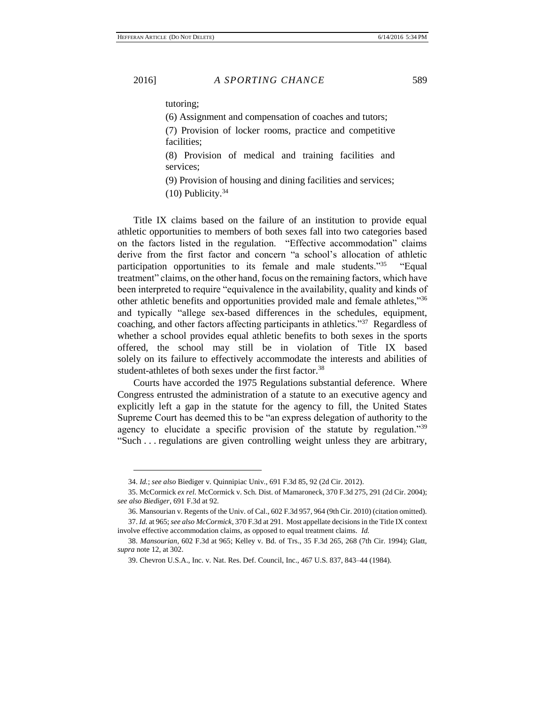tutoring;

(6) Assignment and compensation of coaches and tutors;

(7) Provision of locker rooms, practice and competitive facilities;

(8) Provision of medical and training facilities and services;

(9) Provision of housing and dining facilities and services;  $(10)$  Publicity.<sup>34</sup>

Title IX claims based on the failure of an institution to provide equal athletic opportunities to members of both sexes fall into two categories based on the factors listed in the regulation. "Effective accommodation" claims derive from the first factor and concern "a school's allocation of athletic participation opportunities to its female and male students."<sup>35</sup> "Equal treatment" claims, on the other hand, focus on the remaining factors, which have been interpreted to require "equivalence in the availability, quality and kinds of other athletic benefits and opportunities provided male and female athletes,"<sup>36</sup> and typically "allege sex-based differences in the schedules, equipment, coaching, and other factors affecting participants in athletics."<sup>37</sup> Regardless of whether a school provides equal athletic benefits to both sexes in the sports offered, the school may still be in violation of Title IX based solely on its failure to effectively accommodate the interests and abilities of student-athletes of both sexes under the first factor.<sup>38</sup>

Courts have accorded the 1975 Regulations substantial deference. Where Congress entrusted the administration of a statute to an executive agency and explicitly left a gap in the statute for the agency to fill, the United States Supreme Court has deemed this to be "an express delegation of authority to the agency to elucidate a specific provision of the statute by regulation."<sup>39</sup> "Such . . . regulations are given controlling weight unless they are arbitrary,

<sup>34.</sup> *Id.*; *see also* Biediger v. Quinnipiac Univ., 691 F.3d 85, 92 (2d Cir. 2012).

<sup>35.</sup> McCormick *ex rel.* McCormick v. Sch. Dist. of Mamaroneck, 370 F.3d 275, 291 (2d Cir. 2004); *see also Biediger*, 691 F.3d at 92.

<sup>36.</sup> Mansourian v. Regents of the Univ. of Cal., 602 F.3d 957, 964 (9th Cir. 2010) (citation omitted). 37. *Id.* at 965; *see also McCormick*, 370 F.3d at 291. Most appellate decisions in the Title IX context

involve effective accommodation claims, as opposed to equal treatment claims. *Id.* 38. *Mansourian*, 602 F.3d at 965; Kelley v. Bd. of Trs., 35 F.3d 265, 268 (7th Cir. 1994); Glatt, *supra* note 12, at 302.

<sup>39.</sup> Chevron U.S.A., Inc. v. Nat. Res. Def. Council, Inc., 467 U.S. 837, 843–44 (1984).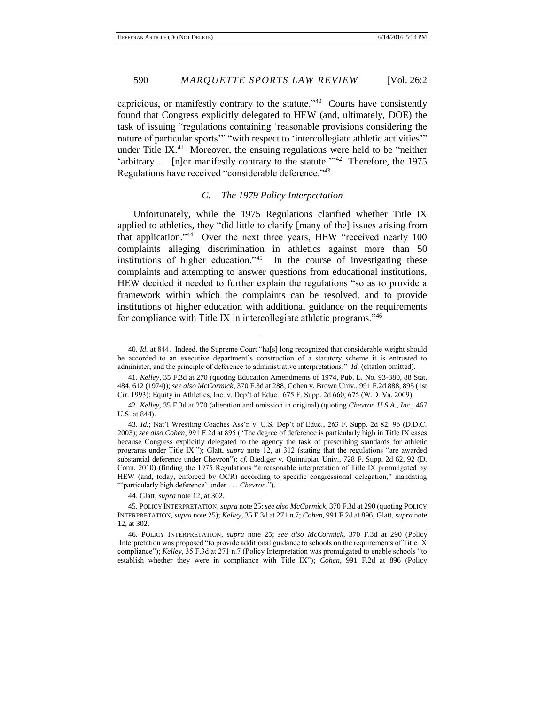capricious, or manifestly contrary to the statute.<sup> $40$ </sup> Courts have consistently found that Congress explicitly delegated to HEW (and, ultimately, DOE) the task of issuing "regulations containing 'reasonable provisions considering the nature of particular sports'" "with respect to 'intercollegiate athletic activities'" under Title IX. $41$  Moreover, the ensuing regulations were held to be "neither 'arbitrary . . . [n] or manifestly contrary to the statute.<sup>''42</sup> Therefore, the 1975 Regulations have received "considerable deference."<sup>43</sup>

# *C. The 1979 Policy Interpretation*

Unfortunately, while the 1975 Regulations clarified whether Title IX applied to athletics, they "did little to clarify [many of the] issues arising from that application." 44 Over the next three years, HEW "received nearly 100 complaints alleging discrimination in athletics against more than 50 institutions of higher education."<sup>45</sup> In the course of investigating these complaints and attempting to answer questions from educational institutions, HEW decided it needed to further explain the regulations "so as to provide a framework within which the complaints can be resolved, and to provide institutions of higher education with additional guidance on the requirements for compliance with Title IX in intercollegiate athletic programs."<sup>46</sup>

44. Glatt, *supra* note 12, at 302.

<sup>40.</sup> *Id.* at 844. Indeed, the Supreme Court "ha[s] long recognized that considerable weight should be accorded to an executive department's construction of a statutory scheme it is entrusted to administer, and the principle of deference to administrative interpretations." *Id.* (citation omitted).

<sup>41.</sup> *Kelley*, 35 F.3d at 270 (quoting Education Amendments of 1974, Pub. L. No. 93-380, 88 Stat. 484, 612 (1974)); *see also McCormick*, 370 F.3d at 288; Cohen v. Brown Univ., 991 F.2d 888, 895 (1st Cir. 1993); Equity in Athletics, Inc. v. Dep't of Educ., 675 F. Supp. 2d 660, 675 (W.D. Va. 2009).

<sup>42.</sup> *Kelley*, 35 F.3d at 270 (alteration and omission in original) (quoting *Chevron U.S.A., Inc.*, 467 U.S. at 844).

<sup>43.</sup> *Id.*; Nat'l Wrestling Coaches Ass'n v. U.S. Dep't of Educ., 263 F. Supp. 2d 82, 96 (D.D.C. 2003); *see also Cohen*, 991 F.2d at 895 ("The degree of deference is particularly high in Title IX cases because Congress explicitly delegated to the agency the task of prescribing standards for athletic programs under Title IX."); Glatt, *supra* note 12, at 312 (stating that the regulations "are awarded substantial deference under Chevron"); *cf.* Biediger v. Quinnipiac Univ., 728 F. Supp. 2d 62, 92 (D. Conn. 2010) (finding the 1975 Regulations "a reasonable interpretation of Title IX promulgated by HEW (and, today, enforced by OCR) according to specific congressional delegation," mandating "'particularly high deference' under . . . *Chevron*.").

<sup>45.</sup> POLICY INTERPRETATION, *supra* note 25; *see also McCormick*, 370 F.3d at 290 (quoting POLICY INTERPRETATION, *supra* note 25); *Kelley*, 35 F.3d at 271 n.7; *Cohen*, 991 F.2d at 896; Glatt, *supra* note 12, at 302.

<sup>46.</sup> POLICY INTERPRETATION, *supra* note 25; *see also McCormick*, 370 F.3d at 290 (Policy Interpretation was proposed "to provide additional guidance to schools on the requirements of Title IX compliance"); *Kelley*, 35 F.3d at 271 n.7 (Policy Interpretation was promulgated to enable schools "to establish whether they were in compliance with Title IX"); *Cohen*, 991 F.2d at 896 (Policy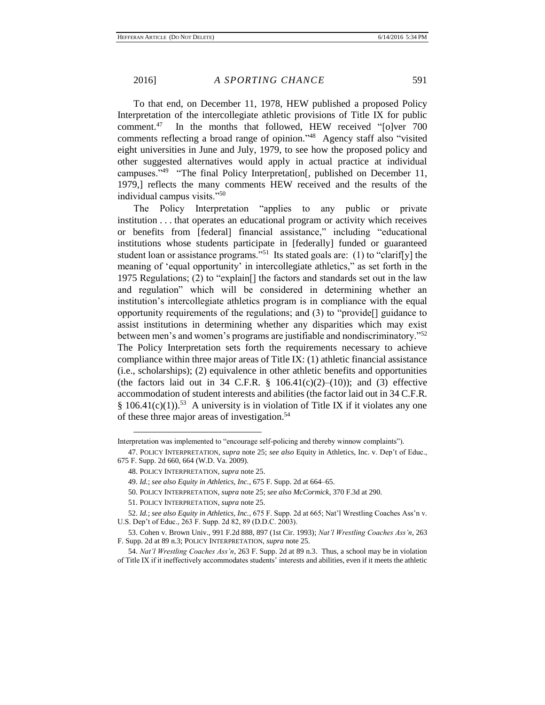To that end, on December 11, 1978, HEW published a proposed Policy Interpretation of the intercollegiate athletic provisions of Title IX for public comment.<sup>47</sup> In the months that followed, HEW received "[o]ver 700 comments reflecting a broad range of opinion." 48 Agency staff also "visited eight universities in June and July, 1979, to see how the proposed policy and other suggested alternatives would apply in actual practice at individual campuses."<sup>49</sup> "The final Policy Interpretation[, published on December 11, 1979,] reflects the many comments HEW received and the results of the individual campus visits."<sup>50</sup>

The Policy Interpretation "applies to any public or private institution . . . that operates an educational program or activity which receives or benefits from [federal] financial assistance," including "educational institutions whose students participate in [federally] funded or guaranteed student loan or assistance programs."<sup>51</sup> Its stated goals are: (1) to "clarif[y] the meaning of 'equal opportunity' in intercollegiate athletics," as set forth in the 1975 Regulations; (2) to "explain[] the factors and standards set out in the law and regulation" which will be considered in determining whether an institution's intercollegiate athletics program is in compliance with the equal opportunity requirements of the regulations; and (3) to "provide[] guidance to assist institutions in determining whether any disparities which may exist between men's and women's programs are justifiable and nondiscriminatory."<sup>52</sup> The Policy Interpretation sets forth the requirements necessary to achieve compliance within three major areas of Title IX: (1) athletic financial assistance (i.e., scholarships); (2) equivalence in other athletic benefits and opportunities (the factors laid out in 34 C.F.R.  $\S$  106.41(c)(2)–(10)); and (3) effective accommodation of student interests and abilities (the factor laid out in 34 C.F.R. § 106.41 $(c)(1)$ .<sup>53</sup> A university is in violation of Title IX if it violates any one of these three major areas of investigation.<sup>54</sup>

Interpretation was implemented to "encourage self-policing and thereby winnow complaints").

<sup>47.</sup> POLICY INTERPRETATION, *supra* note 25; *see also* Equity in Athletics, Inc. v. Dep't of Educ., 675 F. Supp. 2d 660, 664 (W.D. Va. 2009).

<sup>48.</sup> POLICY INTERPRETATION, *supra* note 25.

<sup>49.</sup> *Id.*; *see also Equity in Athletics, Inc.*, 675 F. Supp. 2d at 664–65.

<sup>50.</sup> POLICY INTERPRETATION, *supra* note 25; *see also McCormick*, 370 F.3d at 290.

<sup>51.</sup> POLICY INTERPRETATION, *supra* note 25.

<sup>52.</sup> *Id.*; *see also Equity in Athletics, Inc.*, 675 F. Supp. 2d at 665; Nat'l Wrestling Coaches Ass'n v. U.S. Dep't of Educ., 263 F. Supp. 2d 82, 89 (D.D.C. 2003).

<sup>53.</sup> Cohen v. Brown Univ., 991 F.2d 888, 897 (1st Cir. 1993); *Nat'l Wrestling Coaches Ass'n*, 263 F. Supp. 2d at 89 n.3; POLICY INTERPRETATION, *supra* note 25.

<sup>54.</sup> *Nat'l Wrestling Coaches Ass'n*, 263 F. Supp. 2d at 89 n.3. Thus, a school may be in violation of Title IX if it ineffectively accommodates students' interests and abilities, even if it meets the athletic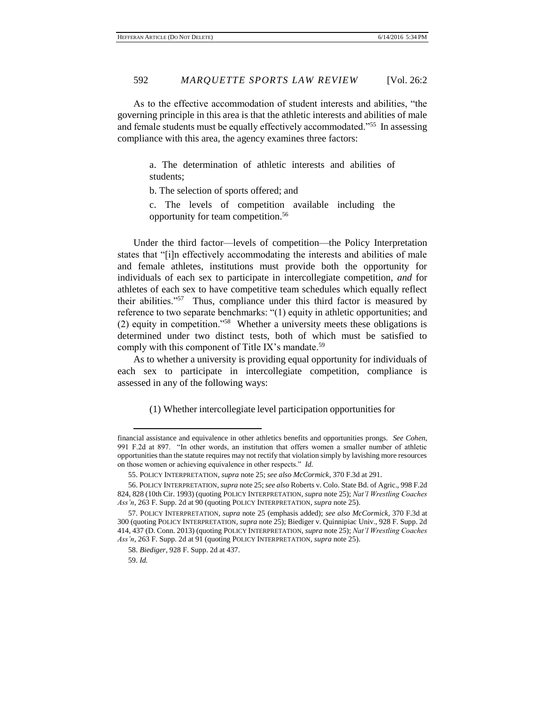As to the effective accommodation of student interests and abilities, "the governing principle in this area is that the athletic interests and abilities of male and female students must be equally effectively accommodated."<sup>55</sup> In assessing compliance with this area, the agency examines three factors:

> a. The determination of athletic interests and abilities of students;

b. The selection of sports offered; and

c. The levels of competition available including the opportunity for team competition.<sup>56</sup>

Under the third factor—levels of competition—the Policy Interpretation states that "[i]n effectively accommodating the interests and abilities of male and female athletes, institutions must provide both the opportunity for individuals of each sex to participate in intercollegiate competition, *and* for athletes of each sex to have competitive team schedules which equally reflect their abilities."<sup>57</sup> Thus, compliance under this third factor is measured by reference to two separate benchmarks: "(1) equity in athletic opportunities; and (2) equity in competition."<sup>58</sup> Whether a university meets these obligations is determined under two distinct tests, both of which must be satisfied to comply with this component of Title IX's mandate.<sup>59</sup>

As to whether a university is providing equal opportunity for individuals of each sex to participate in intercollegiate competition, compliance is assessed in any of the following ways:

(1) Whether intercollegiate level participation opportunities for

financial assistance and equivalence in other athletics benefits and opportunities prongs. *See Cohen*, 991 F.2d at 897. "In other words, an institution that offers women a smaller number of athletic opportunities than the statute requires may not rectify that violation simply by lavishing more resources on those women or achieving equivalence in other respects." *Id.*

<sup>55.</sup> POLICY INTERPRETATION, *supra* note 25; *see also McCormick*, 370 F.3d at 291.

<sup>56.</sup> POLICY INTERPRETATION, *supra* note 25; *see also* Roberts v. Colo. State Bd. of Agric., 998 F.2d 824, 828 (10th Cir. 1993) (quoting POLICY INTERPRETATION, *supra* note 25); *Nat'l Wrestling Coaches Ass'n*, 263 F. Supp. 2d at 90 (quoting POLICY INTERPRETATION, *supra* note 25).

<sup>57.</sup> POLICY INTERPRETATION, *supra* note 25 (emphasis added); *see also McCormick*, 370 F.3d at 300 (quoting POLICY INTERPRETATION, *supra* note 25); Biediger v. Quinnipiac Univ., 928 F. Supp. 2d 414, 437 (D. Conn. 2013) (quoting POLICY INTERPRETATION, *supra* note 25); *Nat'l Wrestling Coaches Ass'n*, 263 F. Supp. 2d at 91 (quoting POLICY INTERPRETATION, *supra* note 25).

<sup>58.</sup> *Biediger*, 928 F. Supp. 2d at 437.

<sup>59.</sup> *Id.*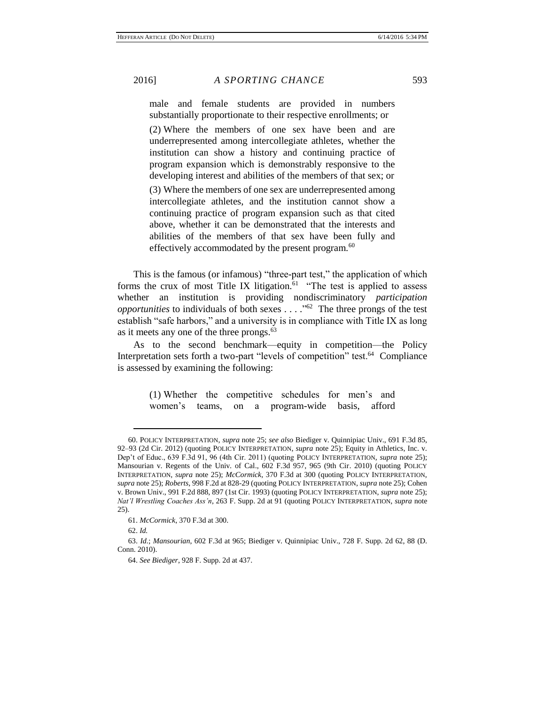male and female students are provided in numbers substantially proportionate to their respective enrollments; or

(2) Where the members of one sex have been and are underrepresented among intercollegiate athletes, whether the institution can show a history and continuing practice of program expansion which is demonstrably responsive to the developing interest and abilities of the members of that sex; or

(3) Where the members of one sex are underrepresented among intercollegiate athletes, and the institution cannot show a continuing practice of program expansion such as that cited above, whether it can be demonstrated that the interests and abilities of the members of that sex have been fully and effectively accommodated by the present program.<sup>60</sup>

This is the famous (or infamous) "three-part test," the application of which forms the crux of most Title IX litigation.<sup>61</sup> "The test is applied to assess whether an institution is providing nondiscriminatory *participation opportunities* to individuals of both sexes . . . ." 62 The three prongs of the test establish "safe harbors," and a university is in compliance with Title IX as long as it meets any one of the three prongs.<sup>63</sup>

As to the second benchmark—equity in competition—the Policy Interpretation sets forth a two-part "levels of competition" test.<sup>64</sup> Compliance is assessed by examining the following:

> (1) Whether the competitive schedules for men's and women's teams, on a program-wide basis, afford

<sup>60.</sup> POLICY INTERPRETATION, *supra* note 25; *see also* Biediger v. Quinnipiac Univ., 691 F.3d 85, 92–93 (2d Cir. 2012) (quoting POLICY INTERPRETATION, *supra* note 25); Equity in Athletics, Inc. v. Dep't of Educ., 639 F.3d 91, 96 (4th Cir. 2011) (quoting POLICY INTERPRETATION, *supra* note 25); Mansourian v. Regents of the Univ. of Cal., 602 F.3d 957, 965 (9th Cir. 2010) (quoting POLICY INTERPRETATION, *supra* note 25); *McCormick*, 370 F.3d at 300 (quoting POLICY INTERPRETATION, *supra* note 25); *Roberts*, 998 F.2d at 828-29 (quoting POLICY INTERPRETATION, *supra* note 25); Cohen v. Brown Univ., 991 F.2d 888, 897 (1st Cir. 1993) (quoting POLICY INTERPRETATION, *supra* note 25); *Nat'l Wrestling Coaches Ass'n*, 263 F. Supp. 2d at 91 (quoting POLICY INTERPRETATION, *supra* note 25).

<sup>61.</sup> *McCormick*, 370 F.3d at 300.

<sup>62.</sup> *Id.*

<sup>63.</sup> *Id.*; *Mansourian*, 602 F.3d at 965; Biediger v. Quinnipiac Univ., 728 F. Supp. 2d 62, 88 (D. Conn. 2010).

<sup>64.</sup> *See Biediger*, 928 F. Supp. 2d at 437.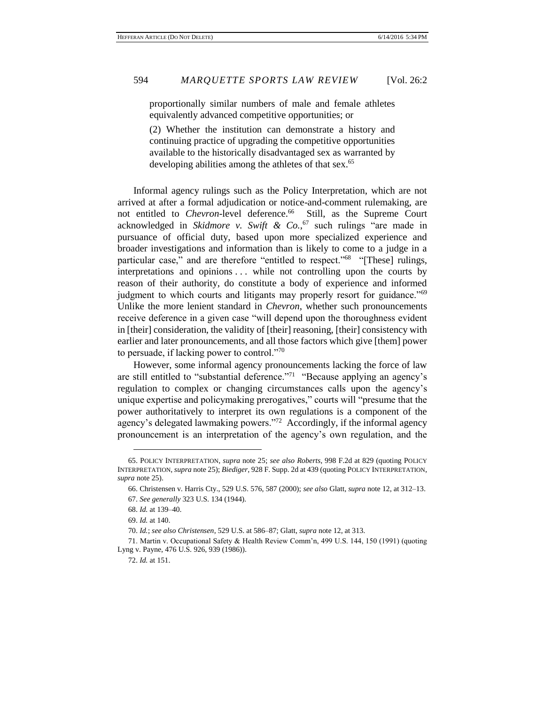proportionally similar numbers of male and female athletes equivalently advanced competitive opportunities; or

(2) Whether the institution can demonstrate a history and continuing practice of upgrading the competitive opportunities available to the historically disadvantaged sex as warranted by developing abilities among the athletes of that sex.<sup>65</sup>

Informal agency rulings such as the Policy Interpretation, which are not arrived at after a formal adjudication or notice-and-comment rulemaking, are not entitled to *Chevron*-level deference.<sup>66</sup> Still, as the Supreme Court acknowledged in *Skidmore v. Swift & Co.*, <sup>67</sup> such rulings "are made in pursuance of official duty, based upon more specialized experience and broader investigations and information than is likely to come to a judge in a particular case," and are therefore "entitled to respect."<sup>68</sup> "[These] rulings, interpretations and opinions . . . while not controlling upon the courts by reason of their authority, do constitute a body of experience and informed judgment to which courts and litigants may properly resort for guidance."<sup>69</sup> Unlike the more lenient standard in *Chevron*, whether such pronouncements receive deference in a given case "will depend upon the thoroughness evident in [their] consideration, the validity of [their] reasoning, [their] consistency with earlier and later pronouncements, and all those factors which give [them] power to persuade, if lacking power to control."<sup>70</sup>

However, some informal agency pronouncements lacking the force of law are still entitled to "substantial deference."<sup>71</sup> "Because applying an agency's regulation to complex or changing circumstances calls upon the agency's unique expertise and policymaking prerogatives," courts will "presume that the power authoritatively to interpret its own regulations is a component of the agency's delegated lawmaking powers."<sup>72</sup> Accordingly, if the informal agency pronouncement is an interpretation of the agency's own regulation, and the

<sup>65.</sup> POLICY INTERPRETATION, *supra* note 25; *see also Roberts*, 998 F.2d at 829 (quoting POLICY INTERPRETATION, *supra* note 25); *Biediger*, 928 F. Supp. 2d at 439 (quoting POLICY INTERPRETATION, *supra* note 25).

<sup>66.</sup> Christensen v. Harris Cty., 529 U.S. 576, 587 (2000); *see also* Glatt, *supra* note 12, at 312–13. 67. *See generally* 323 U.S. 134 (1944).

<sup>68.</sup> *Id.* at 139–40.

<sup>69.</sup> *Id.* at 140.

<sup>70.</sup> *Id.*; *see also Christensen*, 529 U.S. at 586–87; Glatt, *supra* note 12, at 313.

<sup>71.</sup> Martin v. Occupational Safety & Health Review Comm'n, 499 U.S. 144, 150 (1991) (quoting Lyng v. Payne, 476 U.S. 926, 939 (1986)).

<sup>72.</sup> *Id.* at 151.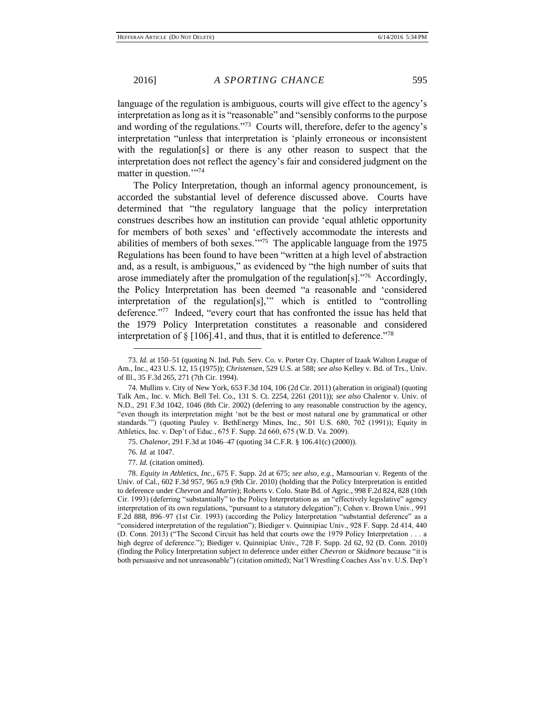language of the regulation is ambiguous, courts will give effect to the agency's interpretation as long as it is "reasonable" and "sensibly conforms to the purpose and wording of the regulations."<sup>73</sup> Courts will, therefore, defer to the agency's interpretation "unless that interpretation is 'plainly erroneous or inconsistent with the regulation[s] or there is any other reason to suspect that the interpretation does not reflect the agency's fair and considered judgment on the matter in question."<sup>774</sup>

The Policy Interpretation, though an informal agency pronouncement, is accorded the substantial level of deference discussed above. Courts have determined that "the regulatory language that the policy interpretation construes describes how an institution can provide 'equal athletic opportunity for members of both sexes' and 'effectively accommodate the interests and abilities of members of both sexes.'"<sup>75</sup> The applicable language from the 1975 Regulations has been found to have been "written at a high level of abstraction and, as a result, is ambiguous," as evidenced by "the high number of suits that arose immediately after the promulgation of the regulation  $[s]$ .<sup>776</sup> Accordingly, the Policy Interpretation has been deemed "a reasonable and 'considered interpretation of the regulation[s],'" which is entitled to "controlling deference."<sup>77</sup> Indeed, "every court that has confronted the issue has held that the 1979 Policy Interpretation constitutes a reasonable and considered interpretation of  $\S [106]$ .41, and thus, that it is entitled to deference.<sup>778</sup>

75. *Chalenor*, 291 F.3d at 1046–47 (quoting 34 C.F.R. § 106.41(c) (2000)).

76. *Id.* at 1047.

 $\overline{a}$ 

77. *Id.* (citation omitted).

78. *Equity in Athletics, Inc.*, 675 F. Supp. 2d at 675; *see also, e.g.*, Mansourian v. Regents of the Univ. of Cal., 602 F.3d 957, 965 n.9 (9th Cir. 2010) (holding that the Policy Interpretation is entitled to deference under *Chevron* and *Martin*); Roberts v. Colo. State Bd. of Agric., 998 F.2d 824, 828 (10th Cir. 1993) (deferring "substantially" to the Policy Interpretation as an "effectively legislative" agency interpretation of its own regulations, "pursuant to a statutory delegation"); Cohen v. Brown Univ., 991 F.2d 888, 896–97 (1st Cir. 1993) (according the Policy Interpretation "substantial deference" as a "considered interpretation of the regulation"); Biediger v. Quinnipiac Univ., 928 F. Supp. 2d 414, 440 (D. Conn. 2013) ("The Second Circuit has held that courts owe the 1979 Policy Interpretation . . . a high degree of deference."); Biediger v. Quinnipiac Univ., 728 F. Supp. 2d 62, 92 (D. Conn. 2010) (finding the Policy Interpretation subject to deference under either *Chevron* or *Skidmore* because "it is both persuasive and not unreasonable") (citation omitted); Nat'l Wrestling Coaches Ass'n v. U.S. Dep't

<sup>73.</sup> *Id.* at 150–51 (quoting N. Ind. Pub. Serv. Co. v. Porter Cty. Chapter of Izaak Walton League of Am., Inc., 423 U.S. 12, 15 (1975)); *Christensen*, 529 U.S. at 588; *see also* Kelley v. Bd. of Trs., Univ. of Ill., 35 F.3d 265, 271 (7th Cir. 1994).

<sup>74.</sup> Mullins v. City of New York, 653 F.3d 104, 106 (2d Cir. 2011) (alteration in original) (quoting Talk Am., Inc. v. Mich. Bell Tel. Co., 131 S. Ct. 2254, 2261 (2011)); *see also* Chalenor v. Univ. of N.D., 291 F.3d 1042, 1046 (8th Cir. 2002) (deferring to any reasonable construction by the agency, "even though its interpretation might 'not be the best or most natural one by grammatical or other standards.'") (quoting Pauley v. BethEnergy Mines, Inc., 501 U.S. 680, 702 (1991)); Equity in Athletics, Inc. v. Dep't of Educ., 675 F. Supp. 2d 660, 675 (W.D. Va. 2009).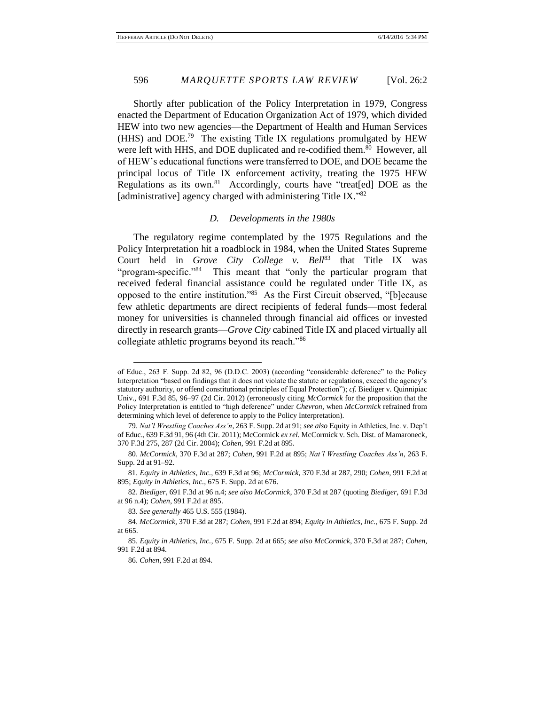Shortly after publication of the Policy Interpretation in 1979, Congress enacted the Department of Education Organization Act of 1979, which divided HEW into two new agencies—the Department of Health and Human Services (HHS) and DOE.<sup>79</sup> The existing Title IX regulations promulgated by HEW were left with HHS, and DOE duplicated and re-codified them.<sup>80</sup> However, all of HEW's educational functions were transferred to DOE, and DOE became the principal locus of Title IX enforcement activity, treating the 1975 HEW Regulations as its own.<sup>81</sup> Accordingly, courts have "treat[ed] DOE as the [administrative] agency charged with administering Title IX."82

#### *D. Developments in the 1980s*

The regulatory regime contemplated by the 1975 Regulations and the Policy Interpretation hit a roadblock in 1984, when the United States Supreme Court held in *Grove City College v. Bell*<sup>83</sup> that Title IX was "program-specific."<sup>84</sup> This meant that "only the particular program that received federal financial assistance could be regulated under Title IX, as opposed to the entire institution."<sup>85</sup> As the First Circuit observed, "[b]ecause few athletic departments are direct recipients of federal funds—most federal money for universities is channeled through financial aid offices or invested directly in research grants—*Grove City* cabined Title IX and placed virtually all collegiate athletic programs beyond its reach."<sup>86</sup>

of Educ., 263 F. Supp. 2d 82, 96 (D.D.C. 2003) (according "considerable deference" to the Policy Interpretation "based on findings that it does not violate the statute or regulations, exceed the agency's statutory authority, or offend constitutional principles of Equal Protection"); *cf.* Biediger v. Quinnipiac Univ., 691 F.3d 85, 96–97 (2d Cir. 2012) (erroneously citing *McCormick* for the proposition that the Policy Interpretation is entitled to "high deference" under *Chevron*, when *McCormick* refrained from determining which level of deference to apply to the Policy Interpretation).

<sup>79.</sup> *Nat'l Wrestling Coaches Ass'n*, 263 F. Supp. 2d at 91; *see also* Equity in Athletics, Inc. v. Dep't of Educ., 639 F.3d 91, 96 (4th Cir. 2011); McCormick *ex rel.* McCormick v. Sch. Dist. of Mamaroneck, 370 F.3d 275, 287 (2d Cir. 2004); *Cohen*, 991 F.2d at 895.

<sup>80.</sup> *McCormick*, 370 F.3d at 287; *Cohen*, 991 F.2d at 895; *Nat'l Wrestling Coaches Ass'n*, 263 F. Supp. 2d at 91–92.

<sup>81.</sup> *Equity in Athletics, Inc.*, 639 F.3d at 96; *McCormick*, 370 F.3d at 287, 290; *Cohen*, 991 F.2d at 895; *Equity in Athletics, Inc.*, 675 F. Supp. 2d at 676.

<sup>82.</sup> *Biediger*, 691 F.3d at 96 n.4; *see also McCormick*, 370 F.3d at 287 (quoting *Biediger*, 691 F.3d at 96 n.4); *Cohen*, 991 F.2d at 895.

<sup>83.</sup> *See generally* 465 U.S. 555 (1984).

<sup>84.</sup> *McCormick*, 370 F.3d at 287; *Cohen*, 991 F.2d at 894; *Equity in Athletics, Inc.*, 675 F. Supp. 2d at 665.

<sup>85.</sup> *Equity in Athletics, Inc.*, 675 F. Supp. 2d at 665; *see also McCormick*, 370 F.3d at 287; *Cohen*, 991 F.2d at 894.

<sup>86.</sup> *Cohen*, 991 F.2d at 894.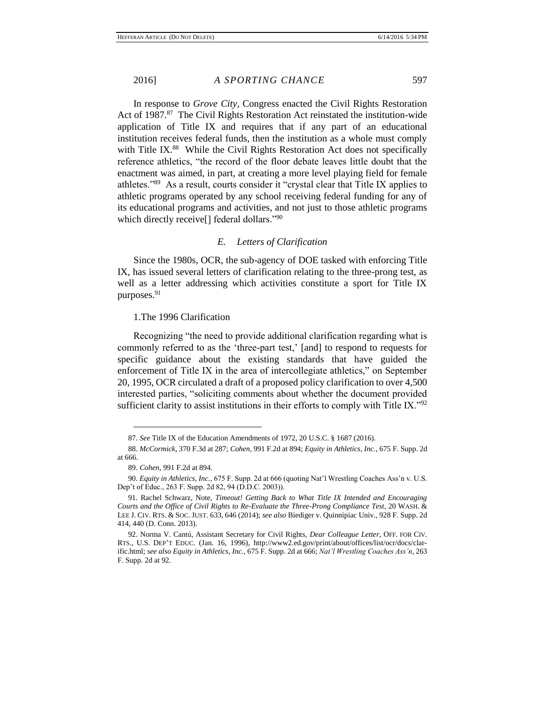In response to *Grove City*, Congress enacted the Civil Rights Restoration Act of 1987.<sup>87</sup> The Civil Rights Restoration Act reinstated the institution-wide application of Title IX and requires that if any part of an educational institution receives federal funds, then the institution as a whole must comply with Title IX.<sup>88</sup> While the Civil Rights Restoration Act does not specifically reference athletics, "the record of the floor debate leaves little doubt that the enactment was aimed, in part, at creating a more level playing field for female athletes."<sup>89</sup> As a result, courts consider it "crystal clear that Title IX applies to athletic programs operated by any school receiving federal funding for any of its educational programs and activities, and not just to those athletic programs which directly receive<sup>[]</sup> federal dollars."<sup>90</sup>

# *E. Letters of Clarification*

Since the 1980s, OCR, the sub-agency of DOE tasked with enforcing Title IX, has issued several letters of clarification relating to the three-prong test, as well as a letter addressing which activities constitute a sport for Title IX purposes.<sup>91</sup>

# 1.The 1996 Clarification

Recognizing "the need to provide additional clarification regarding what is commonly referred to as the 'three-part test,' [and] to respond to requests for specific guidance about the existing standards that have guided the enforcement of Title IX in the area of intercollegiate athletics," on September 20, 1995, OCR circulated a draft of a proposed policy clarification to over 4,500 interested parties, "soliciting comments about whether the document provided sufficient clarity to assist institutions in their efforts to comply with Title IX." $92$ 

<sup>87.</sup> *See* Title IX of the Education Amendments of 1972, 20 U.S.C. § 1687 (2016).

<sup>88.</sup> *McCormick*, 370 F.3d at 287; *Cohen*, 991 F.2d at 894; *Equity in Athletics, Inc.*, 675 F. Supp. 2d at 666.

<sup>89.</sup> *Cohen*, 991 F.2d at 894.

<sup>90.</sup> *Equity in Athletics, Inc.*, 675 F. Supp. 2d at 666 (quoting Nat'l Wrestling Coaches Ass'n v. U.S. Dep't of Educ., 263 F. Supp. 2d 82, 94 (D.D.C. 2003)).

<sup>91.</sup> Rachel Schwarz, Note, *Timeout! Getting Back to What Title IX Intended and Encouraging Courts and the Office of Civil Rights to Re-Evaluate the Three-Prong Compliance Test*, 20 WASH. & LEE J. CIV. RTS. & SOC. JUST. 633, 646 (2014); *see also* Biediger v. Quinnipiac Univ., 928 F. Supp. 2d 414, 440 (D. Conn. 2013).

<sup>92.</sup> Norma V. Cantú, Assistant Secretary for Civil Rights, *Dear Colleague Letter*, OFF. FOR CIV. RTS., U.S. DEP'T EDUC. (Jan. 16, 1996), http://www2.ed.gov/print/about/offices/list/ocr/docs/clarific.html; *see also Equity in Athletics, Inc.*, 675 F. Supp. 2d at 666; *Nat'l Wrestling Coaches Ass'n*, 263 F. Supp. 2d at 92.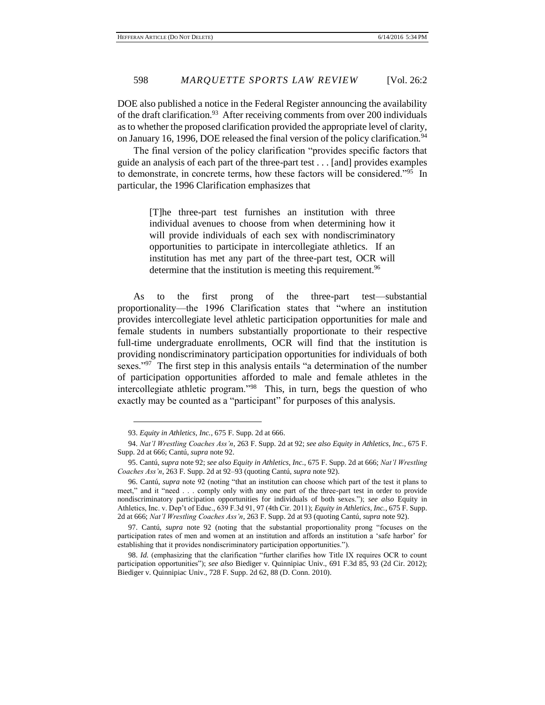DOE also published a notice in the Federal Register announcing the availability of the draft clarification.<sup>93</sup> After receiving comments from over 200 individuals as to whether the proposed clarification provided the appropriate level of clarity, on January 16, 1996, DOE released the final version of the policy clarification.<sup>94</sup>

The final version of the policy clarification "provides specific factors that guide an analysis of each part of the three-part test . . . [and] provides examples to demonstrate, in concrete terms, how these factors will be considered."<sup>95</sup> In particular, the 1996 Clarification emphasizes that

> [T]he three-part test furnishes an institution with three individual avenues to choose from when determining how it will provide individuals of each sex with nondiscriminatory opportunities to participate in intercollegiate athletics. If an institution has met any part of the three-part test, OCR will determine that the institution is meeting this requirement.<sup>96</sup>

As to the first prong of the three-part test—substantial proportionality—the 1996 Clarification states that "where an institution provides intercollegiate level athletic participation opportunities for male and female students in numbers substantially proportionate to their respective full-time undergraduate enrollments, OCR will find that the institution is providing nondiscriminatory participation opportunities for individuals of both sexes."<sup>97</sup> The first step in this analysis entails "a determination of the number of participation opportunities afforded to male and female athletes in the intercollegiate athletic program."<sup>98</sup> This, in turn, begs the question of who exactly may be counted as a "participant" for purposes of this analysis.

<sup>93.</sup> *Equity in Athletics, Inc.*, 675 F. Supp. 2d at 666.

<sup>94.</sup> *Nat'l Wrestling Coaches Ass'n*, 263 F. Supp. 2d at 92; *see also Equity in Athletics, Inc.*, 675 F. Supp. 2d at 666; Cantú, *supra* note 92.

<sup>95.</sup> Cantú, *supra* note 92; *see also Equity in Athletics, Inc.*, 675 F. Supp. 2d at 666; *Nat'l Wrestling Coaches Ass'n*, 263 F. Supp. 2d at 92–93 (quoting Cantú, *supra* note 92).

<sup>96.</sup> Cantú, *supra* note 92 (noting "that an institution can choose which part of the test it plans to meet," and it "need . . . comply only with any one part of the three-part test in order to provide nondiscriminatory participation opportunities for individuals of both sexes."); *see also* Equity in Athletics, Inc. v. Dep't of Educ., 639 F.3d 91, 97 (4th Cir. 2011); *Equity in Athletics, Inc.*, 675 F. Supp. 2d at 666; *Nat'l Wrestling Coaches Ass'n*, 263 F. Supp. 2d at 93 (quoting Cantú, *supra* note 92).

<sup>97.</sup> Cantú, *supra* note 92 (noting that the substantial proportionality prong "focuses on the participation rates of men and women at an institution and affords an institution a 'safe harbor' for establishing that it provides nondiscriminatory participation opportunities.").

<sup>98.</sup> *Id.* (emphasizing that the clarification "further clarifies how Title IX requires OCR to count participation opportunities"); *see also* Biediger v. Quinnipiac Univ., 691 F.3d 85, 93 (2d Cir. 2012); Biediger v. Quinnipiac Univ., 728 F. Supp. 2d 62, 88 (D. Conn. 2010).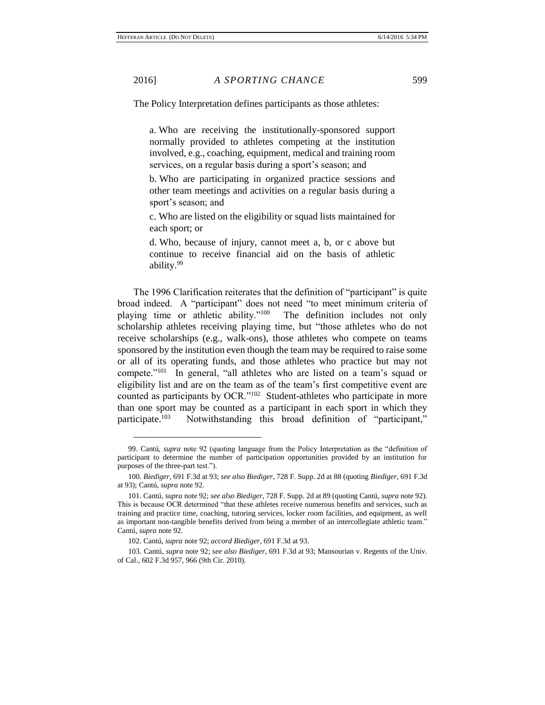$\overline{a}$ 

The Policy Interpretation defines participants as those athletes:

a. Who are receiving the institutionally-sponsored support normally provided to athletes competing at the institution involved, e.g., coaching, equipment, medical and training room services, on a regular basis during a sport's season; and

b. Who are participating in organized practice sessions and other team meetings and activities on a regular basis during a sport's season; and

c. Who are listed on the eligibility or squad lists maintained for each sport; or

d. Who, because of injury, cannot meet a, b, or c above but continue to receive financial aid on the basis of athletic ability.<sup>99</sup>

The 1996 Clarification reiterates that the definition of "participant" is quite broad indeed. A "participant" does not need "to meet minimum criteria of playing time or athletic ability."<sup>100</sup> The definition includes not only scholarship athletes receiving playing time, but "those athletes who do not receive scholarships (e.g., walk-ons), those athletes who compete on teams sponsored by the institution even though the team may be required to raise some or all of its operating funds, and those athletes who practice but may not compete."<sup>101</sup> In general, "all athletes who are listed on a team's squad or eligibility list and are on the team as of the team's first competitive event are counted as participants by OCR."<sup>102</sup> Student-athletes who participate in more than one sport may be counted as a participant in each sport in which they participate.<sup>103</sup> Notwithstanding this broad definition of "participant,"

<sup>99.</sup> Cantú, *supra* note 92 (quoting language from the Policy Interpretation as the "definition of participant to determine the number of participation opportunities provided by an institution for purposes of the three-part test.").

<sup>100.</sup> *Biediger*, 691 F.3d at 93; *see also Biediger*, 728 F. Supp. 2d at 88 (quoting *Biediger*, 691 F.3d at 93); Cantú, *supra* note 92.

<sup>101.</sup> Cantú, *supra* note 92; *see also Biediger*, 728 F. Supp. 2d at 89 (quoting Cantú, *supra* note 92). This is because OCR determined "that these athletes receive numerous benefits and services, such as training and practice time, coaching, tutoring services, locker room facilities, and equipment, as well as important non-tangible benefits derived from being a member of an intercollegiate athletic team." Cantú, *supra* note 92.

<sup>102.</sup> Cantú, *supra* note 92; *accord Biediger*, 691 F.3d at 93.

<sup>103.</sup> Cantú, *supra* note 92; *see also Biediger*, 691 F.3d at 93; Mansourian v. Regents of the Univ. of Cal., 602 F.3d 957, 966 (9th Cir. 2010).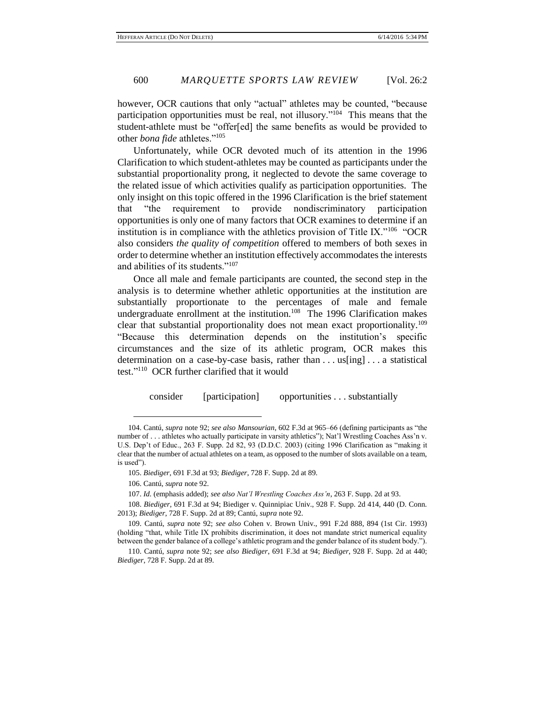however, OCR cautions that only "actual" athletes may be counted, "because participation opportunities must be real, not illusory."<sup>104</sup> This means that the student-athlete must be "offer[ed] the same benefits as would be provided to other *bona fide* athletes."<sup>105</sup>

Unfortunately, while OCR devoted much of its attention in the 1996 Clarification to which student-athletes may be counted as participants under the substantial proportionality prong, it neglected to devote the same coverage to the related issue of which activities qualify as participation opportunities. The only insight on this topic offered in the 1996 Clarification is the brief statement that "the requirement to provide nondiscriminatory participation opportunities is only one of many factors that OCR examines to determine if an institution is in compliance with the athletics provision of Title IX."<sup>106</sup> "OCR also considers *the quality of competition* offered to members of both sexes in order to determine whether an institution effectively accommodates the interests and abilities of its students."<sup>107</sup>

Once all male and female participants are counted, the second step in the analysis is to determine whether athletic opportunities at the institution are substantially proportionate to the percentages of male and female undergraduate enrollment at the institution.<sup>108</sup> The 1996 Clarification makes clear that substantial proportionality does not mean exact proportionality.<sup>109</sup> "Because this determination depends on the institution's specific circumstances and the size of its athletic program, OCR makes this determination on a case-by-case basis, rather than . . . us[ing] . . . a statistical test." 110 OCR further clarified that it would

consider [participation] opportunities . . . substantially

106. Cantú, *supra* note 92.

 $\overline{a}$ 

107. *Id.* (emphasis added); *see also Nat'l Wrestling Coaches Ass'n*, 263 F. Supp. 2d at 93.

108. *Biediger*, 691 F.3d at 94; Biediger v. Quinnipiac Univ., 928 F. Supp. 2d 414, 440 (D. Conn. 2013); *Biediger*, 728 F. Supp. 2d at 89; Cantú, *supra* note 92.

109. Cantú, *supra* note 92; *see also* Cohen v. Brown Univ., 991 F.2d 888, 894 (1st Cir. 1993) (holding "that, while Title IX prohibits discrimination, it does not mandate strict numerical equality between the gender balance of a college's athletic program and the gender balance of its student body.").

<sup>104.</sup> Cantú, *supra* note 92; *see also Mansourian*, 602 F.3d at 965–66 (defining participants as "the number of . . . athletes who actually participate in varsity athletics"); Nat'l Wrestling Coaches Ass'n v. U.S. Dep't of Educ., 263 F. Supp. 2d 82, 93 (D.D.C. 2003) (citing 1996 Clarification as "making it clear that the number of actual athletes on a team, as opposed to the number of slots available on a team, is used").

<sup>105.</sup> *Biediger*, 691 F.3d at 93; *Biediger*, 728 F. Supp. 2d at 89.

<sup>110.</sup> Cantú, *supra* note 92; *see also Biediger*, 691 F.3d at 94; *Biediger*, 928 F. Supp. 2d at 440; *Biediger*, 728 F. Supp. 2d at 89.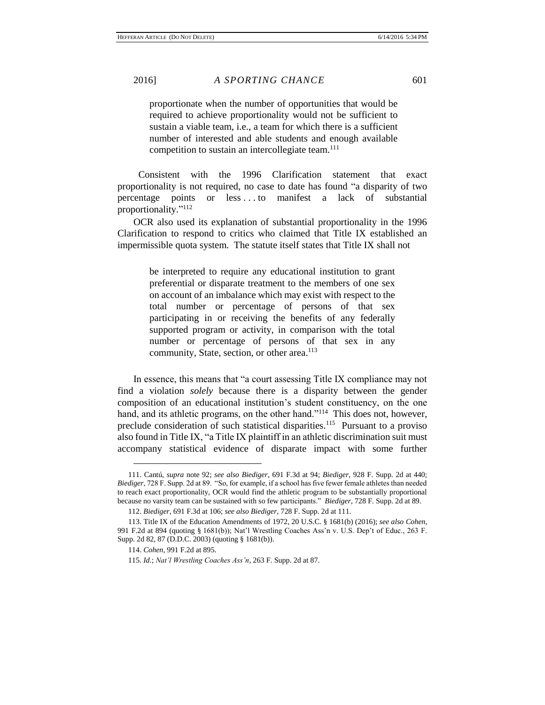proportionate when the number of opportunities that would be required to achieve proportionality would not be sufficient to sustain a viable team, i.e., a team for which there is a sufficient number of interested and able students and enough available competition to sustain an intercollegiate team.<sup>111</sup>

 Consistent with the 1996 Clarification statement that exact proportionality is not required, no case to date has found "a disparity of two percentage points or less . . . to manifest a lack of substantial proportionality." 112

OCR also used its explanation of substantial proportionality in the 1996 Clarification to respond to critics who claimed that Title IX established an impermissible quota system. The statute itself states that Title IX shall not

> be interpreted to require any educational institution to grant preferential or disparate treatment to the members of one sex on account of an imbalance which may exist with respect to the total number or percentage of persons of that sex participating in or receiving the benefits of any federally supported program or activity, in comparison with the total number or percentage of persons of that sex in any community, State, section, or other area. 113

In essence, this means that "a court assessing Title IX compliance may not find a violation *solely* because there is a disparity between the gender composition of an educational institution's student constituency, on the one hand, and its athletic programs, on the other hand."<sup>114</sup> This does not, however, preclude consideration of such statistical disparities.<sup>115</sup> Pursuant to a proviso also found in Title IX, "a Title IX plaintiff in an athletic discrimination suit must accompany statistical evidence of disparate impact with some further

<sup>111.</sup> Cantú, *supra* note 92; *see also Biediger*, 691 F.3d at 94; *Biediger*, 928 F. Supp. 2d at 440; *Biediger*, 728 F. Supp. 2d at 89. "So, for example, if a school has five fewer female athletes than needed to reach exact proportionality, OCR would find the athletic program to be substantially proportional because no varsity team can be sustained with so few participants." *Biediger*, 728 F. Supp. 2d at 89.

<sup>112.</sup> *Biediger*, 691 F.3d at 106; *see also Biediger*, 728 F. Supp. 2d at 111.

<sup>113.</sup> Title IX of the Education Amendments of 1972, 20 U.S.C. § 1681(b) (2016); *see also Cohen*, 991 F.2d at 894 (quoting § 1681(b)); Nat'l Wrestling Coaches Ass'n v. U.S. Dep't of Educ., 263 F. Supp. 2d 82, 87 (D.D.C. 2003) (quoting § 1681(b)).

<sup>114.</sup> *Cohen*, 991 F.2d at 895.

<sup>115.</sup> *Id.*; *Nat'l Wrestling Coaches Ass'n*, 263 F. Supp. 2d at 87.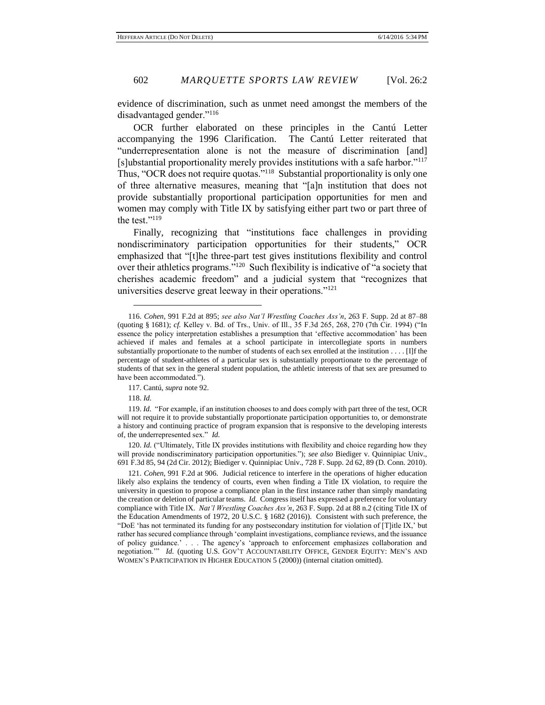evidence of discrimination, such as unmet need amongst the members of the disadvantaged gender."<sup>116</sup>

OCR further elaborated on these principles in the Cantú Letter accompanying the 1996 Clarification. The Cantú Letter reiterated that "underrepresentation alone is not the measure of discrimination [and] [s]ubstantial proportionality merely provides institutions with a safe harbor."<sup>117</sup> Thus, "OCR does not require quotas."<sup>118</sup> Substantial proportionality is only one of three alternative measures, meaning that "[a]n institution that does not provide substantially proportional participation opportunities for men and women may comply with Title IX by satisfying either part two or part three of the test."<sup>119</sup>

Finally, recognizing that "institutions face challenges in providing nondiscriminatory participation opportunities for their students," OCR emphasized that "[t]he three-part test gives institutions flexibility and control over their athletics programs."<sup>120</sup> Such flexibility is indicative of "a society that cherishes academic freedom" and a judicial system that "recognizes that universities deserve great leeway in their operations."<sup>121</sup>

118. *Id.*

 $\overline{a}$ 

120. *Id.* ("Ultimately, Title IX provides institutions with flexibility and choice regarding how they will provide nondiscriminatory participation opportunities."); *see also* Biediger v. Quinnipiac Univ., 691 F.3d 85, 94 (2d Cir. 2012); Biediger v. Quinnipiac Univ., 728 F. Supp. 2d 62, 89 (D. Conn. 2010).

121. *Cohen*, 991 F.2d at 906. Judicial reticence to interfere in the operations of higher education likely also explains the tendency of courts, even when finding a Title IX violation, to require the university in question to propose a compliance plan in the first instance rather than simply mandating the creation or deletion of particular teams. *Id.* Congress itself has expressed a preference for voluntary compliance with Title IX. *Nat'l Wrestling Coaches Ass'n*, 263 F. Supp. 2d at 88 n.2 (citing Title IX of the Education Amendments of 1972, 20 U.S.C. § 1682 (2016)). Consistent with such preference, the "DoE 'has not terminated its funding for any postsecondary institution for violation of [T]itle IX,' but rather has secured compliance through 'complaint investigations, compliance reviews, and the issuance of policy guidance.' . . . The agency's 'approach to enforcement emphasizes collaboration and negotiation.'" *Id.* (quoting U.S. GOV'T ACCOUNTABILITY OFFICE, GENDER EQUITY: MEN'S AND WOMEN'S PARTICIPATION IN HIGHER EDUCATION 5 (2000)) (internal citation omitted).

<sup>116.</sup> *Cohen*, 991 F.2d at 895; *see also Nat'l Wrestling Coaches Ass'n*, 263 F. Supp. 2d at 87–88 (quoting § 1681); *cf.* Kelley v. Bd. of Trs., Univ. of Ill., 35 F.3d 265, 268, 270 (7th Cir. 1994) ("In essence the policy interpretation establishes a presumption that 'effective accommodation' has been achieved if males and females at a school participate in intercollegiate sports in numbers substantially proportionate to the number of students of each sex enrolled at the institution . . . . [I]f the percentage of student-athletes of a particular sex is substantially proportionate to the percentage of students of that sex in the general student population, the athletic interests of that sex are presumed to have been accommodated.").

<sup>117.</sup> Cantú, *supra* note 92.

<sup>119.</sup> *Id.* "For example, if an institution chooses to and does comply with part three of the test, OCR will not require it to provide substantially proportionate participation opportunities to, or demonstrate a history and continuing practice of program expansion that is responsive to the developing interests of, the underrepresented sex." *Id.*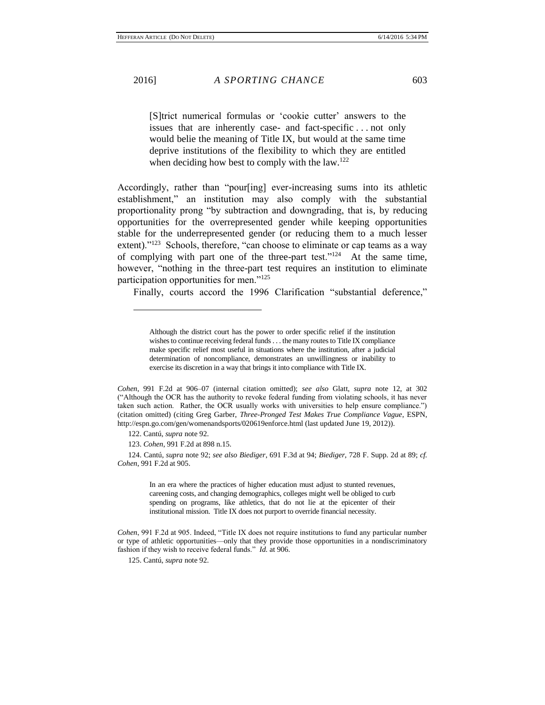$\overline{a}$ 

[S]trict numerical formulas or 'cookie cutter' answers to the issues that are inherently case- and fact-specific . . . not only would belie the meaning of Title IX, but would at the same time deprive institutions of the flexibility to which they are entitled when deciding how best to comply with the  $law<sup>122</sup>$ .

Accordingly, rather than "pour[ing] ever-increasing sums into its athletic establishment," an institution may also comply with the substantial proportionality prong "by subtraction and downgrading, that is, by reducing opportunities for the overrepresented gender while keeping opportunities stable for the underrepresented gender (or reducing them to a much lesser extent)."<sup>123</sup> Schools, therefore, "can choose to eliminate or cap teams as a way of complying with part one of the three-part test." $124$  At the same time, however, "nothing in the three-part test requires an institution to eliminate participation opportunities for men."<sup>125</sup>

Finally, courts accord the 1996 Clarification "substantial deference,"

123. *Cohen*, 991 F.2d at 898 n.15.

124. Cantú, *supra* note 92; *see also Biediger*, 691 F.3d at 94; *Biediger*, 728 F. Supp. 2d at 89; *cf. Cohen*, 991 F.2d at 905.

> In an era where the practices of higher education must adjust to stunted revenues, careening costs, and changing demographics, colleges might well be obliged to curb spending on programs, like athletics, that do not lie at the epicenter of their institutional mission. Title IX does not purport to override financial necessity.

*Cohen*, 991 F.2d at 905. Indeed, "Title IX does not require institutions to fund any particular number or type of athletic opportunities—only that they provide those opportunities in a nondiscriminatory fashion if they wish to receive federal funds." *Id.* at 906.

125. Cantú, *supra* note 92.

Although the district court has the power to order specific relief if the institution wishes to continue receiving federal funds . . . the many routes to Title IX compliance make specific relief most useful in situations where the institution, after a judicial determination of noncompliance, demonstrates an unwillingness or inability to exercise its discretion in a way that brings it into compliance with Title IX.

*Cohen*, 991 F.2d at 906–07 (internal citation omitted); *see also* Glatt, *supra* note 12, at 302 ("Although the OCR has the authority to revoke federal funding from violating schools, it has never taken such action. Rather, the OCR usually works with universities to help ensure compliance.") (citation omitted) (citing Greg Garber, *Three-Pronged Test Makes True Compliance Vague*, ESPN, http://espn.go.com/gen/womenandsports/020619enforce.html (last updated June 19, 2012)).

<sup>122.</sup> Cantú, *supra* note 92.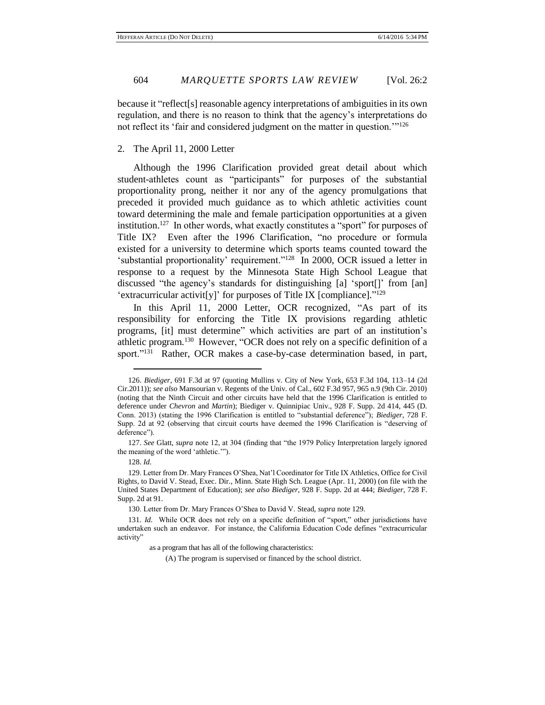because it "reflect[s] reasonable agency interpretations of ambiguities in its own regulation, and there is no reason to think that the agency's interpretations do not reflect its 'fair and considered judgment on the matter in question.'"<sup>126</sup>

# 2. The April 11, 2000 Letter

Although the 1996 Clarification provided great detail about which student-athletes count as "participants" for purposes of the substantial proportionality prong, neither it nor any of the agency promulgations that preceded it provided much guidance as to which athletic activities count toward determining the male and female participation opportunities at a given institution.<sup>127</sup> In other words, what exactly constitutes a "sport" for purposes of Title IX? Even after the 1996 Clarification, "no procedure or formula existed for a university to determine which sports teams counted toward the 'substantial proportionality' requirement."<sup>128</sup> In 2000, OCR issued a letter in response to a request by the Minnesota State High School League that discussed "the agency's standards for distinguishing [a] 'sport[]' from [an] 'extracurricular activit[y]' for purposes of Title IX [compliance]."<sup>129</sup>

In this April 11, 2000 Letter, OCR recognized, "As part of its responsibility for enforcing the Title IX provisions regarding athletic programs, [it] must determine" which activities are part of an institution's athletic program.<sup>130</sup> However, "OCR does not rely on a specific definition of a sport."<sup>131</sup> Rather, OCR makes a case-by-case determination based, in part,

 $\overline{a}$ 

as a program that has all of the following characteristics:

(A) The program is supervised or financed by the school district.

<sup>126.</sup> *Biediger*, 691 F.3d at 97 (quoting Mullins v. City of New York, 653 F.3d 104, 113–14 (2d Cir.2011)); *see also* Mansourian v. Regents of the Univ. of Cal., 602 F.3d 957, 965 n.9 (9th Cir. 2010) (noting that the Ninth Circuit and other circuits have held that the 1996 Clarification is entitled to deference under *Chevron* and *Martin*); Biediger v. Quinnipiac Univ., 928 F. Supp. 2d 414, 445 (D. Conn. 2013) (stating the 1996 Clarification is entitled to "substantial deference"); *Biediger*, 728 F. Supp. 2d at 92 (observing that circuit courts have deemed the 1996 Clarification is "deserving of deference").

<sup>127.</sup> *See* Glatt, *supra* note 12, at 304 (finding that "the 1979 Policy Interpretation largely ignored the meaning of the word 'athletic.'").

<sup>128.</sup> *Id.*

<sup>129.</sup> Letter from Dr. Mary Frances O'Shea, Nat'l Coordinator for Title IX Athletics, Office for Civil Rights, to David V. Stead, Exec. Dir., Minn. State High Sch. League (Apr. 11, 2000) (on file with the United States Department of Education); *see also Biediger*, 928 F. Supp. 2d at 444; *Biediger*, 728 F. Supp. 2d at 91.

<sup>130.</sup> Letter from Dr. Mary Frances O'Shea to David V. Stead, *supra* note 129.

<sup>131.</sup> *Id.* While OCR does not rely on a specific definition of "sport," other jurisdictions have undertaken such an endeavor. For instance, the California Education Code defines "extracurricular activity"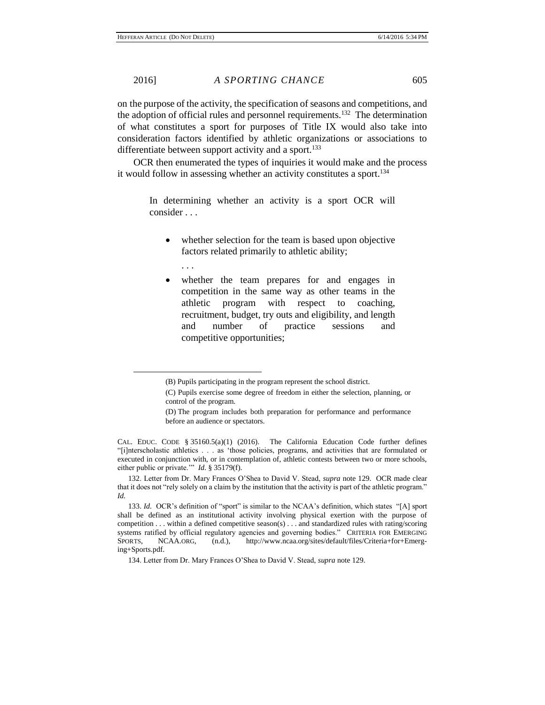on the purpose of the activity, the specification of seasons and competitions, and the adoption of official rules and personnel requirements.<sup>132</sup> The determination of what constitutes a sport for purposes of Title IX would also take into consideration factors identified by athletic organizations or associations to differentiate between support activity and a sport.<sup>133</sup>

OCR then enumerated the types of inquiries it would make and the process it would follow in assessing whether an activity constitutes a sport.<sup>134</sup>

In determining whether an activity is a sport OCR will consider . . .

- whether selection for the team is based upon objective factors related primarily to athletic ability;
	- . . .

 $\overline{a}$ 

 whether the team prepares for and engages in competition in the same way as other teams in the athletic program with respect to coaching, recruitment, budget, try outs and eligibility, and length and number of practice sessions and competitive opportunities;

<sup>(</sup>B) Pupils participating in the program represent the school district.

<sup>(</sup>C) Pupils exercise some degree of freedom in either the selection, planning, or control of the program.

<sup>(</sup>D) The program includes both preparation for performance and performance before an audience or spectators.

CAL. EDUC. CODE § 35160.5(a)(1) (2016). The California Education Code further defines "[i]nterscholastic athletics . . . as 'those policies, programs, and activities that are formulated or executed in conjunction with, or in contemplation of, athletic contests between two or more schools, either public or private.'" *Id.* § 35179(f).

<sup>132.</sup> Letter from Dr. Mary Frances O'Shea to David V. Stead, *supra* note 129. OCR made clear that it does not "rely solely on a claim by the institution that the activity is part of the athletic program." *Id.*

<sup>133.</sup> *Id.* OCR's definition of "sport" is similar to the NCAA's definition, which states "[A] sport shall be defined as an institutional activity involving physical exertion with the purpose of competition . . . within a defined competitive season(s) . . . and standardized rules with rating/scoring systems ratified by official regulatory agencies and governing bodies." CRITERIA FOR EMERGING SPORTS, NCAA.ORG, (n.d.), http://www.ncaa.org/sites/default/files/Criteria+for+Emerging+Sports.pdf.

<sup>134.</sup> Letter from Dr. Mary Frances O'Shea to David V. Stead, *supra* note 129.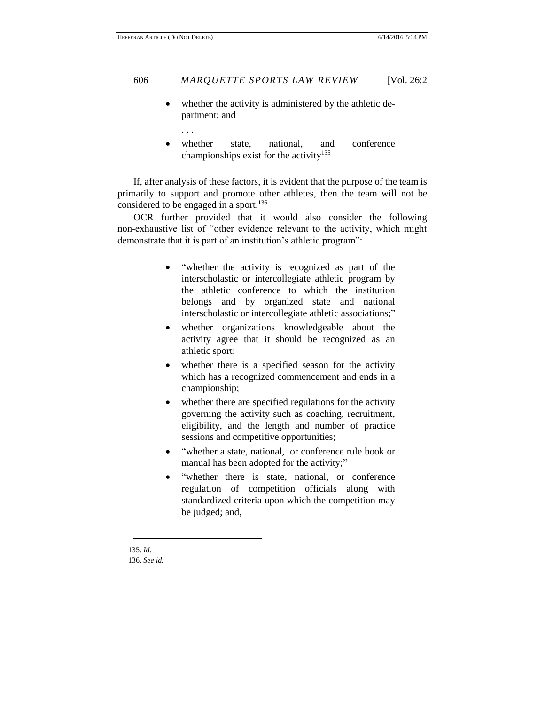whether the activity is administered by the athletic department; and

. . .

whether state, national, and conference championships exist for the activity<sup>135</sup>

If, after analysis of these factors, it is evident that the purpose of the team is primarily to support and promote other athletes, then the team will not be considered to be engaged in a sport.<sup>136</sup>

OCR further provided that it would also consider the following non-exhaustive list of "other evidence relevant to the activity, which might demonstrate that it is part of an institution's athletic program":

- "whether the activity is recognized as part of the interscholastic or intercollegiate athletic program by the athletic conference to which the institution belongs and by organized state and national interscholastic or intercollegiate athletic associations;"
- whether organizations knowledgeable about the activity agree that it should be recognized as an athletic sport;
- whether there is a specified season for the activity which has a recognized commencement and ends in a championship;
- whether there are specified regulations for the activity governing the activity such as coaching, recruitment, eligibility, and the length and number of practice sessions and competitive opportunities;
- "whether a state, national, or conference rule book or manual has been adopted for the activity;"
- "whether there is state, national, or conference regulation of competition officials along with standardized criteria upon which the competition may be judged; and,

135. *Id.* 136. *See id.*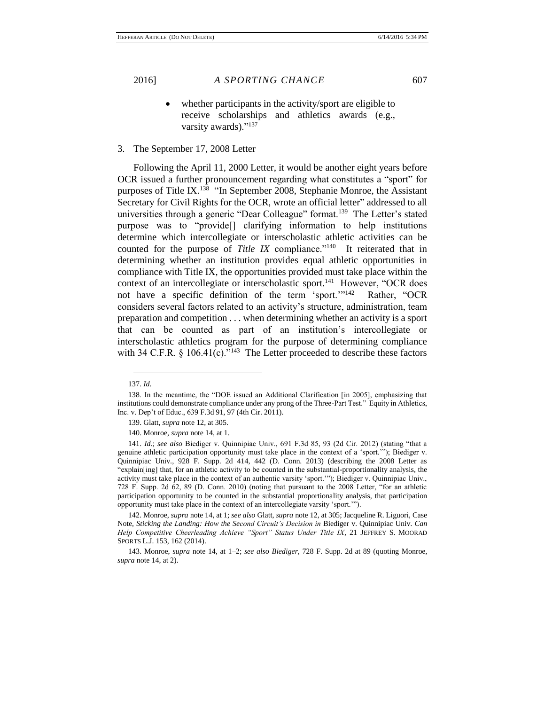whether participants in the activity/sport are eligible to receive scholarships and athletics awards (e.g., varsity awards)."<sup>137</sup>

3. The September 17, 2008 Letter

Following the April 11, 2000 Letter, it would be another eight years before OCR issued a further pronouncement regarding what constitutes a "sport" for purposes of Title IX.<sup>138</sup> "In September 2008, Stephanie Monroe, the Assistant Secretary for Civil Rights for the OCR, wrote an official letter" addressed to all universities through a generic "Dear Colleague" format.<sup>139</sup> The Letter's stated purpose was to "provide[] clarifying information to help institutions determine which intercollegiate or interscholastic athletic activities can be counted for the purpose of *Title IX* compliance."<sup>140</sup> It reiterated that in determining whether an institution provides equal athletic opportunities in compliance with Title IX, the opportunities provided must take place within the context of an intercollegiate or interscholastic sport.<sup>141</sup> However, "OCR does not have a specific definition of the term 'sport.'"<sup>142</sup> Rather, "OCR considers several factors related to an activity's structure, administration, team preparation and competition . . . when determining whether an activity is a sport that can be counted as part of an institution's intercollegiate or interscholastic athletics program for the purpose of determining compliance with 34 C.F.R.  $\S$  106.41(c).<sup> $\cdot$ 143</sup> The Letter proceeded to describe these factors

 $\overline{a}$ 

140. Monroe, *supra* note 14, at 1.

142. Monroe, *supra* note 14, at 1; *see also* Glatt, *supra* note 12, at 305; Jacqueline R. Liguori, Case Note, *Sticking the Landing: How the Second Circuit's Decision in* Biediger v. Quinnipiac Univ. *Can Help Competitive Cheerleading Achieve "Sport" Status Under Title IX*, 21 JEFFREY S. MOORAD SPORTS L.J. 153, 162 (2014).

143. Monroe, *supra* note 14, at 1–2; *see also Biediger*, 728 F. Supp. 2d at 89 (quoting Monroe, *supra* note 14, at 2).

<sup>137.</sup> *Id.*

<sup>138.</sup> In the meantime, the "DOE issued an Additional Clarification [in 2005], emphasizing that institutions could demonstrate compliance under any prong of the Three-Part Test." Equity in Athletics, Inc. v. Dep't of Educ., 639 F.3d 91, 97 (4th Cir. 2011).

<sup>139.</sup> Glatt, *supra* note 12, at 305.

<sup>141.</sup> *Id.*; *see also* Biediger v. Quinnipiac Univ., 691 F.3d 85, 93 (2d Cir. 2012) (stating "that a genuine athletic participation opportunity must take place in the context of a 'sport.'"); Biediger v. Quinnipiac Univ., 928 F. Supp. 2d 414, 442 (D. Conn. 2013) (describing the 2008 Letter as "explain[ing] that, for an athletic activity to be counted in the substantial-proportionality analysis, the activity must take place in the context of an authentic varsity 'sport.'"); Biediger v. Quinnipiac Univ., 728 F. Supp. 2d 62, 89 (D. Conn. 2010) (noting that pursuant to the 2008 Letter, "for an athletic participation opportunity to be counted in the substantial proportionality analysis, that participation opportunity must take place in the context of an intercollegiate varsity 'sport.'").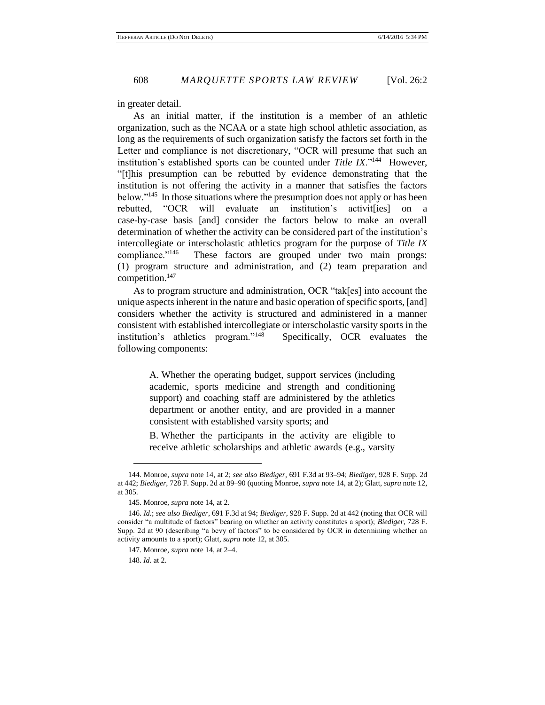in greater detail.

As an initial matter, if the institution is a member of an athletic organization, such as the NCAA or a state high school athletic association, as long as the requirements of such organization satisfy the factors set forth in the Letter and compliance is not discretionary, "OCR will presume that such an institution's established sports can be counted under *Title IX*."<sup>144</sup> However, "[t]his presumption can be rebutted by evidence demonstrating that the institution is not offering the activity in a manner that satisfies the factors below."<sup>145</sup> In those situations where the presumption does not apply or has been rebutted, "OCR will evaluate an institution's activit[ies] on a case-by-case basis [and] consider the factors below to make an overall determination of whether the activity can be considered part of the institution's intercollegiate or interscholastic athletics program for the purpose of *Title IX* compliance."<sup>146</sup> These factors are grouped under two main prongs: (1) program structure and administration, and (2) team preparation and competition.<sup>147</sup>

As to program structure and administration, OCR "tak[es] into account the unique aspects inherent in the nature and basic operation of specific sports, [and] considers whether the activity is structured and administered in a manner consistent with established intercollegiate or interscholastic varsity sports in the institution's athletics program."<sup>148</sup> Specifically, OCR evaluates the following components:

> A. Whether the operating budget, support services (including academic, sports medicine and strength and conditioning support) and coaching staff are administered by the athletics department or another entity, and are provided in a manner consistent with established varsity sports; and

> B. Whether the participants in the activity are eligible to receive athletic scholarships and athletic awards (e.g., varsity

<sup>144.</sup> Monroe, *supra* note 14, at 2; *see also Biediger*, 691 F.3d at 93–94; *Biediger*, 928 F. Supp. 2d at 442; *Biediger*, 728 F. Supp. 2d at 89–90 (quoting Monroe, *supra* note 14, at 2); Glatt, *supra* note 12, at 305.

<sup>145.</sup> Monroe, *supra* note 14, at 2.

<sup>146.</sup> *Id.*; *see also Biediger*, 691 F.3d at 94; *Biediger*, 928 F. Supp. 2d at 442 (noting that OCR will consider "a multitude of factors" bearing on whether an activity constitutes a sport); *Biediger*, 728 F. Supp. 2d at 90 (describing "a bevy of factors" to be considered by OCR in determining whether an activity amounts to a sport); Glatt, *supra* note 12, at 305.

<sup>147.</sup> Monroe, *supra* note 14, at 2–4.

<sup>148.</sup> *Id.* at 2.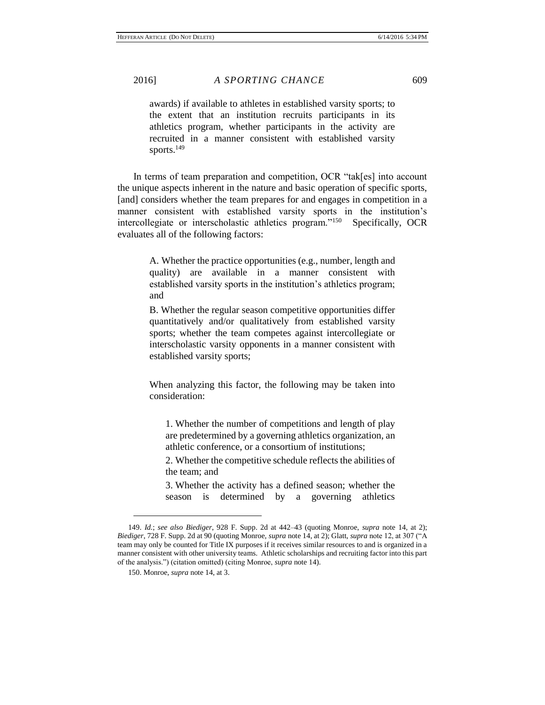awards) if available to athletes in established varsity sports; to the extent that an institution recruits participants in its athletics program, whether participants in the activity are recruited in a manner consistent with established varsity sports.<sup>149</sup>

In terms of team preparation and competition, OCR "tak[es] into account the unique aspects inherent in the nature and basic operation of specific sports, [and] considers whether the team prepares for and engages in competition in a manner consistent with established varsity sports in the institution's intercollegiate or interscholastic athletics program."<sup>150</sup> Specifically, OCR evaluates all of the following factors:

> A. Whether the practice opportunities (e.g., number, length and quality) are available in a manner consistent with established varsity sports in the institution's athletics program; and

> B. Whether the regular season competitive opportunities differ quantitatively and/or qualitatively from established varsity sports; whether the team competes against intercollegiate or interscholastic varsity opponents in a manner consistent with established varsity sports;

> When analyzing this factor, the following may be taken into consideration:

1. Whether the number of competitions and length of play are predetermined by a governing athletics organization, an athletic conference, or a consortium of institutions;

2. Whether the competitive schedule reflects the abilities of the team; and

3. Whether the activity has a defined season; whether the season is determined by a governing athletics

<sup>149.</sup> *Id.*; *see also Biediger*, 928 F. Supp. 2d at 442–43 (quoting Monroe, *supra* note 14, at 2); *Biediger*, 728 F. Supp. 2d at 90 (quoting Monroe, *supra* note 14, at 2); Glatt, *supra* note 12, at 307 ("A team may only be counted for Title IX purposes if it receives similar resources to and is organized in a manner consistent with other university teams. Athletic scholarships and recruiting factor into this part of the analysis.") (citation omitted) (citing Monroe, *supra* note 14).

<sup>150.</sup> Monroe, *supra* note 14, at 3.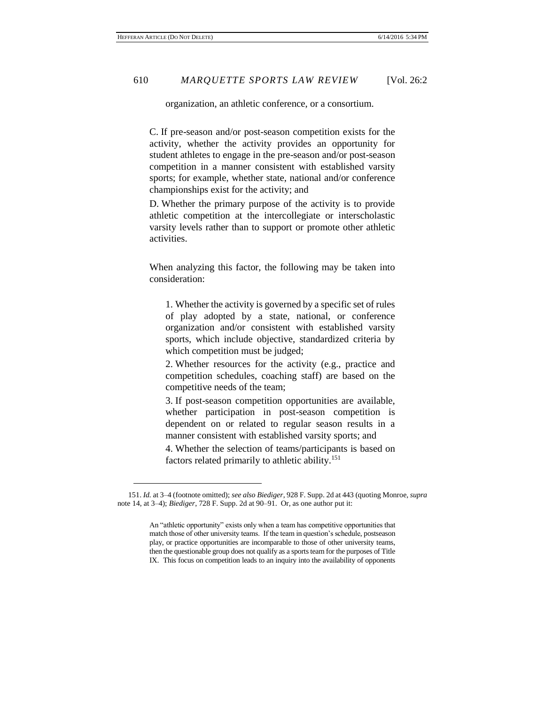$\overline{a}$ 

organization, an athletic conference, or a consortium.

C. If pre-season and/or post-season competition exists for the activity, whether the activity provides an opportunity for student athletes to engage in the pre-season and/or post-season competition in a manner consistent with established varsity sports; for example, whether state, national and/or conference championships exist for the activity; and

D. Whether the primary purpose of the activity is to provide athletic competition at the intercollegiate or interscholastic varsity levels rather than to support or promote other athletic activities.

When analyzing this factor, the following may be taken into consideration:

1. Whether the activity is governed by a specific set of rules of play adopted by a state, national, or conference organization and/or consistent with established varsity sports, which include objective, standardized criteria by which competition must be judged;

2. Whether resources for the activity (e.g., practice and competition schedules, coaching staff) are based on the competitive needs of the team;

3. If post-season competition opportunities are available, whether participation in post-season competition is dependent on or related to regular season results in a manner consistent with established varsity sports; and

4. Whether the selection of teams/participants is based on factors related primarily to athletic ability.<sup>151</sup>

<sup>151.</sup> *Id.* at 3–4 (footnote omitted); *see also Biediger*, 928 F. Supp. 2d at 443 (quoting Monroe, *supra*  note 14, at 3–4); *Biediger*, 728 F. Supp. 2d at 90–91. Or, as one author put it:

An "athletic opportunity" exists only when a team has competitive opportunities that match those of other university teams. If the team in question's schedule, postseason play, or practice opportunities are incomparable to those of other university teams, then the questionable group does not qualify as a sports team for the purposes of Title IX. This focus on competition leads to an inquiry into the availability of opponents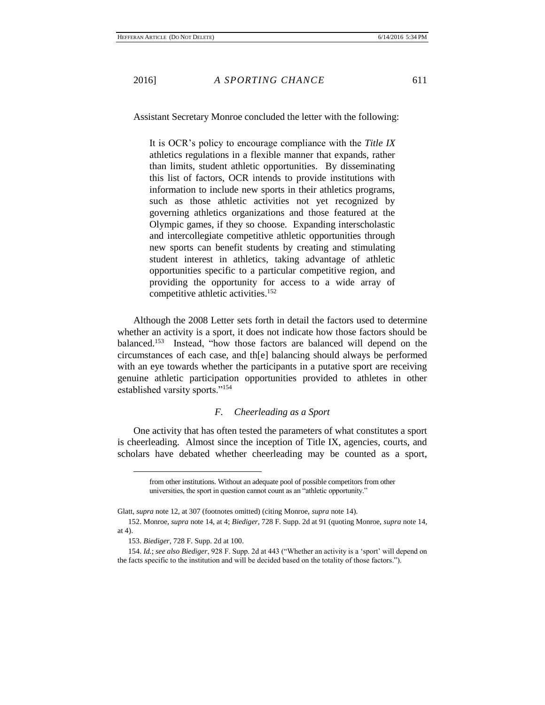Assistant Secretary Monroe concluded the letter with the following:

It is OCR's policy to encourage compliance with the *Title IX* athletics regulations in a flexible manner that expands, rather than limits, student athletic opportunities. By disseminating this list of factors, OCR intends to provide institutions with information to include new sports in their athletics programs, such as those athletic activities not yet recognized by governing athletics organizations and those featured at the Olympic games, if they so choose. Expanding interscholastic and intercollegiate competitive athletic opportunities through new sports can benefit students by creating and stimulating student interest in athletics, taking advantage of athletic opportunities specific to a particular competitive region, and providing the opportunity for access to a wide array of competitive athletic activities.<sup>152</sup>

Although the 2008 Letter sets forth in detail the factors used to determine whether an activity is a sport, it does not indicate how those factors should be balanced.<sup>153</sup> Instead, "how those factors are balanced will depend on the circumstances of each case, and th[e] balancing should always be performed with an eye towards whether the participants in a putative sport are receiving genuine athletic participation opportunities provided to athletes in other established varsity sports."<sup>154</sup>

# *F. Cheerleading as a Sport*

One activity that has often tested the parameters of what constitutes a sport is cheerleading. Almost since the inception of Title IX, agencies, courts, and scholars have debated whether cheerleading may be counted as a sport,

from other institutions. Without an adequate pool of possible competitors from other universities, the sport in question cannot count as an "athletic opportunity."

Glatt, *supra* note 12, at 307 (footnotes omitted) (citing Monroe, *supra* note 14).

<sup>152.</sup> Monroe, *supra* note 14, at 4; *Biediger*, 728 F. Supp. 2d at 91 (quoting Monroe, *supra* note 14, at 4).

<sup>153.</sup> *Biediger*, 728 F. Supp. 2d at 100.

<sup>154.</sup> *Id.*; *see also Biediger*, 928 F. Supp. 2d at 443 ("Whether an activity is a 'sport' will depend on the facts specific to the institution and will be decided based on the totality of those factors.").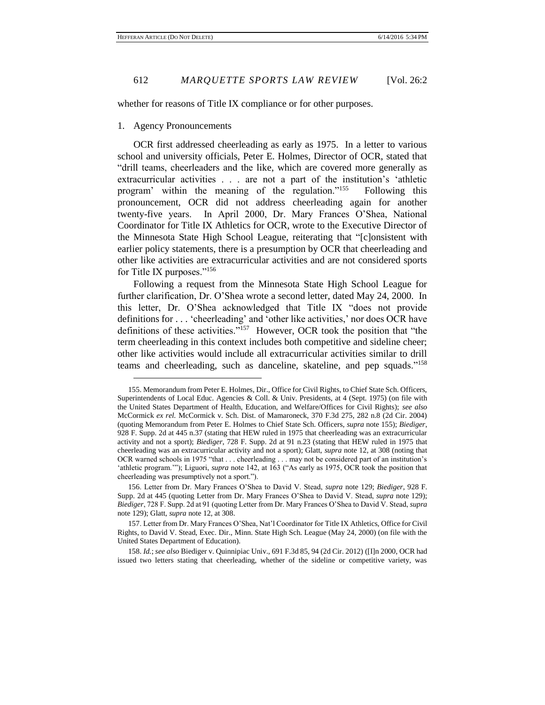whether for reasons of Title IX compliance or for other purposes.

# 1. Agency Pronouncements

 $\overline{a}$ 

OCR first addressed cheerleading as early as 1975. In a letter to various school and university officials, Peter E. Holmes, Director of OCR, stated that "drill teams, cheerleaders and the like, which are covered more generally as extracurricular activities . . . are not a part of the institution's 'athletic program' within the meaning of the regulation."<sup>155</sup> Following this pronouncement, OCR did not address cheerleading again for another twenty-five years. In April 2000, Dr. Mary Frances O'Shea, National Coordinator for Title IX Athletics for OCR, wrote to the Executive Director of the Minnesota State High School League, reiterating that "[c]onsistent with earlier policy statements, there is a presumption by OCR that cheerleading and other like activities are extracurricular activities and are not considered sports for Title IX purposes."<sup>156</sup>

Following a request from the Minnesota State High School League for further clarification, Dr. O'Shea wrote a second letter, dated May 24, 2000. In this letter, Dr. O'Shea acknowledged that Title IX "does not provide definitions for . . . 'cheerleading' and 'other like activities,' nor does OCR have definitions of these activities."<sup>157</sup> However, OCR took the position that "the term cheerleading in this context includes both competitive and sideline cheer; other like activities would include all extracurricular activities similar to drill teams and cheerleading, such as danceline, skateline, and pep squads."<sup>158</sup>

<sup>155.</sup> Memorandum from Peter E. Holmes, Dir., Office for Civil Rights, to Chief State Sch. Officers, Superintendents of Local Educ. Agencies & Coll. & Univ. Presidents, at 4 (Sept. 1975) (on file with the United States Department of Health, Education, and Welfare/Offices for Civil Rights); *see also* McCormick *ex rel.* McCormick v. Sch. Dist. of Mamaroneck, 370 F.3d 275, 282 n.8 (2d Cir. 2004) (quoting Memorandum from Peter E. Holmes to Chief State Sch. Officers, *supra* note 155); *Biediger*, 928 F. Supp. 2d at 445 n.37 (stating that HEW ruled in 1975 that cheerleading was an extracurricular activity and not a sport); *Biediger*, 728 F. Supp. 2d at 91 n.23 (stating that HEW ruled in 1975 that cheerleading was an extracurricular activity and not a sport); Glatt, *supra* note 12, at 308 (noting that OCR warned schools in 1975 "that . . . cheerleading . . . may not be considered part of an institution's 'athletic program.'"); Liguori, *supra* note 142, at 163 ("As early as 1975, OCR took the position that cheerleading was presumptively not a sport.").

<sup>156.</sup> Letter from Dr. Mary Frances O'Shea to David V. Stead, *supra* note 129; *Biediger*, 928 F. Supp. 2d at 445 (quoting Letter from Dr. Mary Frances O'Shea to David V. Stead, *supra* note 129); *Biediger*, 728 F. Supp. 2d at 91 (quoting Letter from Dr. Mary Frances O'Shea to David V. Stead, *supra*  note 129); Glatt, *supra* note 12, at 308.

<sup>157.</sup> Letter from Dr. Mary Frances O'Shea, Nat'l Coordinator for Title IX Athletics, Office for Civil Rights, to David V. Stead, Exec. Dir., Minn. State High Sch. League (May 24, 2000) (on file with the United States Department of Education).

<sup>158.</sup> *Id.*; *see also* Biediger v. Quinnipiac Univ., 691 F.3d 85, 94 (2d Cir. 2012) ([I]n 2000, OCR had issued two letters stating that cheerleading, whether of the sideline or competitive variety, was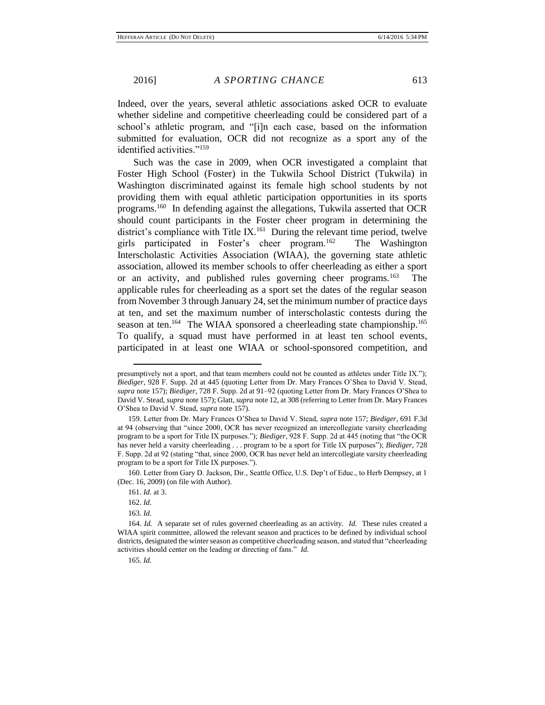Indeed, over the years, several athletic associations asked OCR to evaluate whether sideline and competitive cheerleading could be considered part of a school's athletic program, and "[i]n each case, based on the information submitted for evaluation, OCR did not recognize as a sport any of the identified activities."<sup>159</sup>

Such was the case in 2009, when OCR investigated a complaint that Foster High School (Foster) in the Tukwila School District (Tukwila) in Washington discriminated against its female high school students by not providing them with equal athletic participation opportunities in its sports programs.<sup>160</sup> In defending against the allegations, Tukwila asserted that OCR should count participants in the Foster cheer program in determining the district's compliance with Title IX. $<sup>161</sup>$  During the relevant time period, twelve</sup> girls participated in Foster's cheer program.<sup>162</sup> The Washington Interscholastic Activities Association (WIAA), the governing state athletic association, allowed its member schools to offer cheerleading as either a sport or an activity, and published rules governing cheer programs.<sup>163</sup> The applicable rules for cheerleading as a sport set the dates of the regular season from November 3 through January 24, set the minimum number of practice days at ten, and set the maximum number of interscholastic contests during the season at ten.<sup>164</sup> The WIAA sponsored a cheerleading state championship.<sup>165</sup> To qualify, a squad must have performed in at least ten school events, participated in at least one WIAA or school-sponsored competition, and

presumptively not a sport, and that team members could not be counted as athletes under Title IX."); *Biediger*, 928 F. Supp. 2d at 445 (quoting Letter from Dr. Mary Frances O'Shea to David V. Stead, *supra* note 157); *Biediger*, 728 F. Supp. 2d at 91–92 (quoting Letter from Dr. Mary Frances O'Shea to David V. Stead, *supra* note 157); Glatt, *supra* note 12, at 308 (referring to Letter from Dr. Mary Frances O'Shea to David V. Stead, *supra* note 157).

<sup>159.</sup> Letter from Dr. Mary Frances O'Shea to David V. Stead, *supra* note 157; *Biediger*, 691 F.3d at 94 (observing that "since 2000, OCR has never recognized an intercollegiate varsity cheerleading program to be a sport for Title IX purposes."); *Biediger*, 928 F. Supp. 2d at 445 (noting that "the OCR has never held a varsity cheerleading . . . program to be a sport for Title IX purposes"); *Biediger*, 728 F. Supp. 2d at 92 (stating "that, since 2000, OCR has never held an intercollegiate varsity cheerleading program to be a sport for Title IX purposes.").

<sup>160.</sup> Letter from Gary D. Jackson, Dir., Seattle Office, U.S. Dep't of Educ., to Herb Dempsey, at 1 (Dec. 16, 2009) (on file with Author).

<sup>161.</sup> *Id.* at 3.

<sup>162.</sup> *Id.*

<sup>163.</sup> *Id.*

<sup>164.</sup> *Id.* A separate set of rules governed cheerleading as an activity. *Id.* These rules created a WIAA spirit committee, allowed the relevant season and practices to be defined by individual school districts, designated the winter season as competitive cheerleading season, and stated that "cheerleading activities should center on the leading or directing of fans." *Id.*

<sup>165.</sup> *Id.*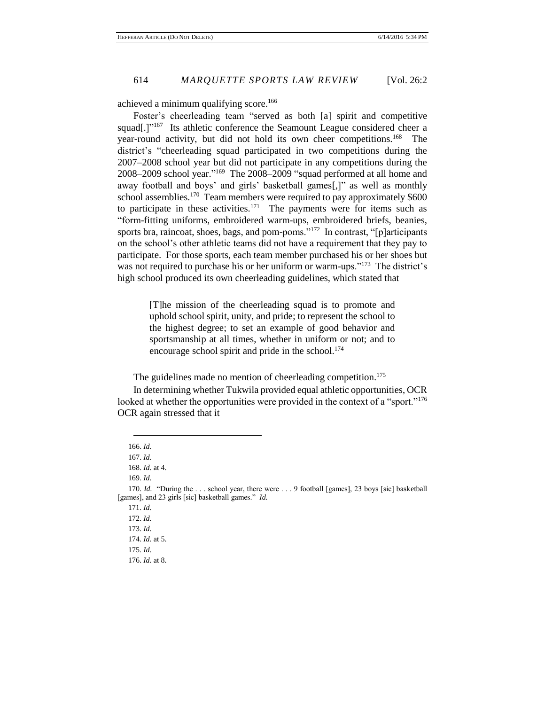achieved a minimum qualifying score.<sup>166</sup>

Foster's cheerleading team "served as both [a] spirit and competitive squad[.]"<sup>167</sup> Its athletic conference the Seamount League considered cheer a year-round activity, but did not hold its own cheer competitions.<sup>168</sup> The district's "cheerleading squad participated in two competitions during the 2007–2008 school year but did not participate in any competitions during the 2008–2009 school year." 169 The 2008–2009 "squad performed at all home and away football and boys' and girls' basketball games[,]" as well as monthly school assemblies.<sup>170</sup> Team members were required to pay approximately  $$600$ to participate in these activities.<sup>171</sup> The payments were for items such as "form-fitting uniforms, embroidered warm-ups, embroidered briefs, beanies, sports bra, raincoat, shoes, bags, and pom-poms."<sup>172</sup> In contrast, "[p]articipants on the school's other athletic teams did not have a requirement that they pay to participate. For those sports, each team member purchased his or her shoes but was not required to purchase his or her uniform or warm-ups."<sup>173</sup> The district's high school produced its own cheerleading guidelines, which stated that

> [T]he mission of the cheerleading squad is to promote and uphold school spirit, unity, and pride; to represent the school to the highest degree; to set an example of good behavior and sportsmanship at all times, whether in uniform or not; and to encourage school spirit and pride in the school. $174$

The guidelines made no mention of cheerleading competition.<sup>175</sup>

In determining whether Tukwila provided equal athletic opportunities, OCR looked at whether the opportunities were provided in the context of a "sport."<sup>176</sup> OCR again stressed that it

<sup>166.</sup> *Id.*

<sup>167.</sup> *Id.*

<sup>168.</sup> *Id.* at 4.

<sup>169.</sup> *Id.*

<sup>170.</sup> *Id.* "During the . . . school year, there were . . . 9 football [games], 23 boys [sic] basketball [games], and 23 girls [sic] basketball games." *Id.*

<sup>171.</sup> *Id.*

<sup>172.</sup> *Id.*

<sup>173.</sup> *Id.*

<sup>174.</sup> *Id.* at 5.

<sup>175.</sup> *Id.*

<sup>176.</sup> *Id.* at 8.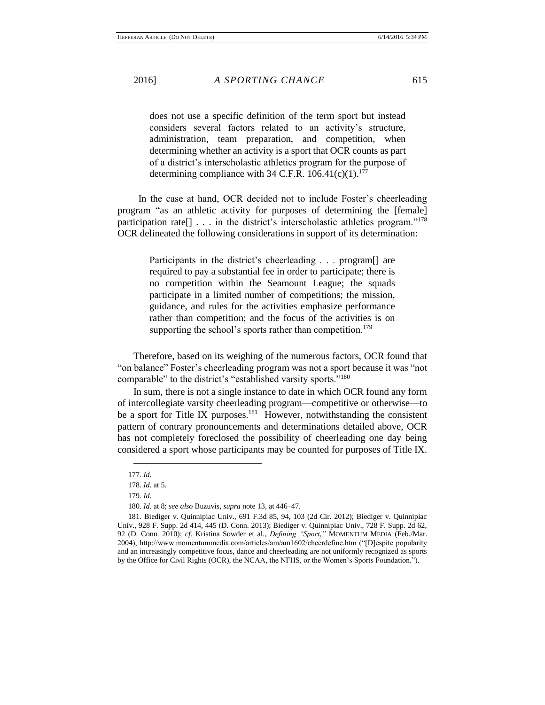does not use a specific definition of the term sport but instead considers several factors related to an activity's structure, administration, team preparation, and competition, when determining whether an activity is a sport that OCR counts as part of a district's interscholastic athletics program for the purpose of determining compliance with 34 C.F.R.  $106.41(c)(1)$ .<sup>177</sup>

 In the case at hand, OCR decided not to include Foster's cheerleading program "as an athletic activity for purposes of determining the [female] participation rate<sup>[]</sup> . . . in the district's interscholastic athletics program."<sup>178</sup> OCR delineated the following considerations in support of its determination:

> Participants in the district's cheerleading . . . program[] are required to pay a substantial fee in order to participate; there is no competition within the Seamount League; the squads participate in a limited number of competitions; the mission, guidance, and rules for the activities emphasize performance rather than competition; and the focus of the activities is on supporting the school's sports rather than competition.<sup>179</sup>

Therefore, based on its weighing of the numerous factors, OCR found that "on balance" Foster's cheerleading program was not a sport because it was "not comparable" to the district's "established varsity sports."<sup>180</sup>

In sum, there is not a single instance to date in which OCR found any form of intercollegiate varsity cheerleading program—competitive or otherwise—to be a sport for Title IX purposes.<sup>181</sup> However, notwithstanding the consistent pattern of contrary pronouncements and determinations detailed above, OCR has not completely foreclosed the possibility of cheerleading one day being considered a sport whose participants may be counted for purposes of Title IX.

<sup>177.</sup> *Id.*

<sup>178.</sup> *Id.* at 5.

<sup>179.</sup> *Id.*

<sup>180.</sup> *Id.* at 8; *see also* Buzuvis, *supra* note 13, at 446–47.

<sup>181.</sup> Biediger v. Quinnipiac Univ., 691 F.3d 85, 94, 103 (2d Cir. 2012); Biediger v. Quinnipiac Univ., 928 F. Supp. 2d 414, 445 (D. Conn. 2013); Biediger v. Quinnipiac Univ., 728 F. Supp. 2d 62, 92 (D. Conn. 2010); *cf.* Kristina Sowder et al., *Defining "Sport*,*"* MOMENTUM MEDIA (Feb./Mar. 2004), http://www.momentummedia.com/articles/am/am1602/cheerdefine.htm ("[D]espite popularity and an increasingly competitive focus, dance and cheerleading are not uniformly recognized as sports by the Office for Civil Rights (OCR), the NCAA, the NFHS, or the Women's Sports Foundation.").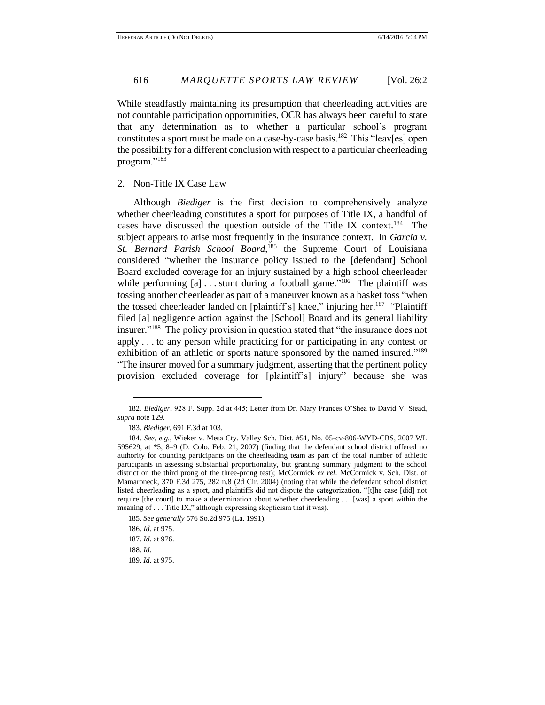While steadfastly maintaining its presumption that cheerleading activities are not countable participation opportunities, OCR has always been careful to state that any determination as to whether a particular school's program constitutes a sport must be made on a case-by-case basis.<sup>182</sup> This "leav[es] open the possibility for a different conclusion with respect to a particular cheerleading program."<sup>183</sup>

# 2. Non-Title IX Case Law

Although *Biediger* is the first decision to comprehensively analyze whether cheerleading constitutes a sport for purposes of Title IX, a handful of cases have discussed the question outside of the Title IX context.<sup>184</sup> The subject appears to arise most frequently in the insurance context. In *Garcia v.*  St. Bernard Parish School Board,<sup>185</sup> the Supreme Court of Louisiana considered "whether the insurance policy issued to the [defendant] School Board excluded coverage for an injury sustained by a high school cheerleader while performing  $[a] \dots$  stunt during a football game."<sup>186</sup> The plaintiff was tossing another cheerleader as part of a maneuver known as a basket toss "when the tossed cheerleader landed on [plaintiff's] knee," injuring her.<sup>187</sup> "Plaintiff" filed [a] negligence action against the [School] Board and its general liability insurer." 188 The policy provision in question stated that "the insurance does not apply . . . to any person while practicing for or participating in any contest or exhibition of an athletic or sports nature sponsored by the named insured."<sup>189</sup> "The insurer moved for a summary judgment, asserting that the pertinent policy provision excluded coverage for [plaintiff's] injury" because she was

188. *Id.*

<sup>182</sup>*. Biediger*, 928 F. Supp. 2d at 445; Letter from Dr. Mary Frances O'Shea to David V. Stead, *supra* note 129.

<sup>183.</sup> *Biediger*, 691 F.3d at 103.

<sup>184.</sup> *See, e.g.*, Wieker v. Mesa Cty. Valley Sch. Dist. #51, No. 05-cv-806-WYD-CBS, 2007 WL 595629, at \*5, 8–9 (D. Colo. Feb. 21, 2007) (finding that the defendant school district offered no authority for counting participants on the cheerleading team as part of the total number of athletic participants in assessing substantial proportionality, but granting summary judgment to the school district on the third prong of the three-prong test); McCormick *ex rel*. McCormick v. Sch. Dist. of Mamaroneck, 370 F.3d 275, 282 n.8 (2d Cir. 2004) (noting that while the defendant school district listed cheerleading as a sport, and plaintiffs did not dispute the categorization, "[t]he case [did] not require [the court] to make a determination about whether cheerleading . . . [was] a sport within the meaning of . . . Title IX," although expressing skepticism that it was).

<sup>185.</sup> *See generally* 576 So.2d 975 (La. 1991).

<sup>186.</sup> *Id.* at 975. 187. *Id.* at 976.

<sup>189.</sup> *Id.* at 975.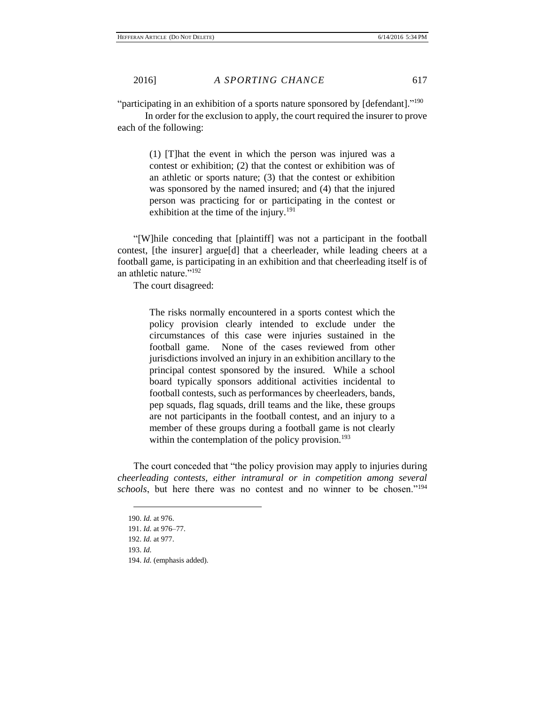"participating in an exhibition of a sports nature sponsored by [defendant]."<sup>190</sup>

In order for the exclusion to apply, the court required the insurer to prove each of the following:

> (1) [T]hat the event in which the person was injured was a contest or exhibition; (2) that the contest or exhibition was of an athletic or sports nature; (3) that the contest or exhibition was sponsored by the named insured; and (4) that the injured person was practicing for or participating in the contest or exhibition at the time of the injury.<sup>191</sup>

"[W]hile conceding that [plaintiff] was not a participant in the football contest, [the insurer] argue[d] that a cheerleader, while leading cheers at a football game, is participating in an exhibition and that cheerleading itself is of an athletic nature."<sup>192</sup>

The court disagreed:

The risks normally encountered in a sports contest which the policy provision clearly intended to exclude under the circumstances of this case were injuries sustained in the football game. None of the cases reviewed from other jurisdictions involved an injury in an exhibition ancillary to the principal contest sponsored by the insured. While a school board typically sponsors additional activities incidental to football contests, such as performances by cheerleaders, bands, pep squads, flag squads, drill teams and the like, these groups are not participants in the football contest, and an injury to a member of these groups during a football game is not clearly within the contemplation of the policy provision.<sup>193</sup>

The court conceded that "the policy provision may apply to injuries during *cheerleading contests, either intramural or in competition among several schools*, but here there was no contest and no winner to be chosen."<sup>194</sup>

<sup>190.</sup> *Id.* at 976. 191. *Id.* at 976–77. 192. *Id.* at 977. 193. *Id.* 194. *Id.* (emphasis added).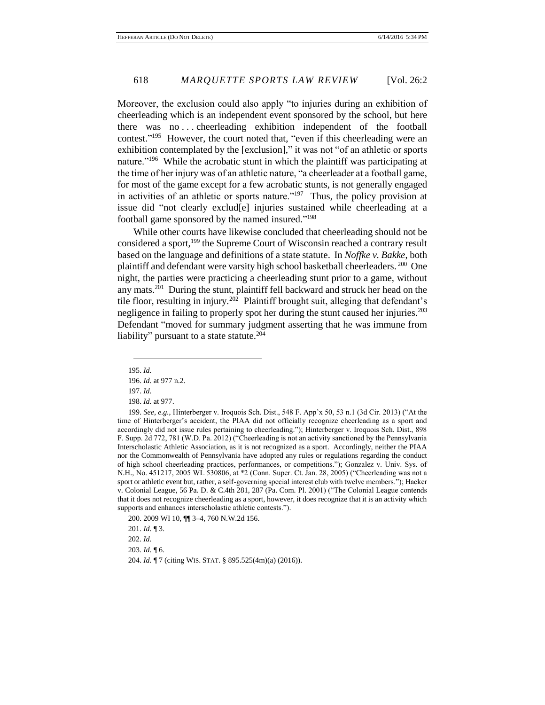Moreover, the exclusion could also apply "to injuries during an exhibition of cheerleading which is an independent event sponsored by the school, but here there was no . . . cheerleading exhibition independent of the football contest." 195 However, the court noted that, "even if this cheerleading were an exhibition contemplated by the [exclusion]," it was not "of an athletic or sports nature."<sup>196</sup> While the acrobatic stunt in which the plaintiff was participating at the time of her injury was of an athletic nature, "a cheerleader at a football game, for most of the game except for a few acrobatic stunts, is not generally engaged in activities of an athletic or sports nature."<sup>197</sup> Thus, the policy provision at issue did "not clearly exclud[e] injuries sustained while cheerleading at a football game sponsored by the named insured."<sup>198</sup>

While other courts have likewise concluded that cheerleading should not be considered a sport,<sup>199</sup> the Supreme Court of Wisconsin reached a contrary result based on the language and definitions of a state statute. In *Noffke v. Bakke*, both plaintiff and defendant were varsity high school basketball cheerleaders. <sup>200</sup> One night, the parties were practicing a cheerleading stunt prior to a game, without any mats.<sup>201</sup> During the stunt, plaintiff fell backward and struck her head on the tile floor, resulting in injury.<sup>202</sup> Plaintiff brought suit, alleging that defendant's negligence in failing to properly spot her during the stunt caused her injuries.<sup>203</sup> Defendant "moved for summary judgment asserting that he was immune from liability" pursuant to a state statute.<sup>204</sup>

 $\overline{a}$ 

200. 2009 WI 10, ¶¶ 3–4, 760 N.W.2d 156.

201. *Id.* ¶ 3.

202. *Id.*

203. *Id.* ¶ 6.

204. *Id.* ¶ 7 (citing WIS. STAT. § 895.525(4m)(a) (2016)).

<sup>195.</sup> *Id.*

<sup>196.</sup> *Id.* at 977 n.2.

<sup>197.</sup> *Id.*

<sup>198.</sup> *Id.* at 977.

<sup>199.</sup> *See, e.g.*, Hinterberger v. Iroquois Sch. Dist., 548 F. App'x 50, 53 n.1 (3d Cir. 2013) ("At the time of Hinterberger's accident, the PIAA did not officially recognize cheerleading as a sport and accordingly did not issue rules pertaining to cheerleading."); Hinterberger v. Iroquois Sch. Dist., 898 F. Supp. 2d 772, 781 (W.D. Pa. 2012) ("Cheerleading is not an activity sanctioned by the Pennsylvania Interscholastic Athletic Association, as it is not recognized as a sport. Accordingly, neither the PIAA nor the Commonwealth of Pennsylvania have adopted any rules or regulations regarding the conduct of high school cheerleading practices, performances, or competitions."); Gonzalez v. Univ. Sys. of N.H., No. 451217, 2005 WL 530806, at \*2 (Conn. Super. Ct. Jan. 28, 2005) ("Cheerleading was not a sport or athletic event but, rather, a self-governing special interest club with twelve members."); Hacker v. Colonial League, 56 Pa. D. & C.4th 281, 287 (Pa. Com. Pl. 2001) ("The Colonial League contends that it does not recognize cheerleading as a sport, however, it does recognize that it is an activity which supports and enhances interscholastic athletic contests.").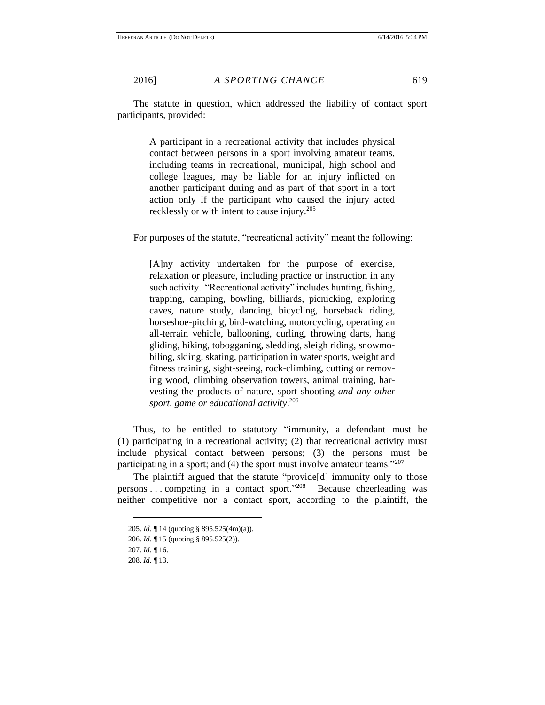The statute in question, which addressed the liability of contact sport participants, provided:

> A participant in a recreational activity that includes physical contact between persons in a sport involving amateur teams, including teams in recreational, municipal, high school and college leagues, may be liable for an injury inflicted on another participant during and as part of that sport in a tort action only if the participant who caused the injury acted recklessly or with intent to cause injury.<sup>205</sup>

For purposes of the statute, "recreational activity" meant the following:

[A]ny activity undertaken for the purpose of exercise, relaxation or pleasure, including practice or instruction in any such activity. "Recreational activity" includes hunting, fishing, trapping, camping, bowling, billiards, picnicking, exploring caves, nature study, dancing, bicycling, horseback riding, horseshoe-pitching, bird-watching, motorcycling, operating an all-terrain vehicle, ballooning, curling, throwing darts, hang gliding, hiking, tobogganing, sledding, sleigh riding, snowmobiling, skiing, skating, participation in water sports, weight and fitness training, sight-seeing, rock-climbing, cutting or removing wood, climbing observation towers, animal training, harvesting the products of nature, sport shooting *and any other sport, game or educational activity*. 206

Thus, to be entitled to statutory "immunity, a defendant must be (1) participating in a recreational activity; (2) that recreational activity must include physical contact between persons; (3) the persons must be participating in a sport; and (4) the sport must involve amateur teams."207

The plaintiff argued that the statute "provide[d] immunity only to those persons ... competing in a contact sport."<sup>208</sup> Because cheerleading was neither competitive nor a contact sport, according to the plaintiff, the

<sup>205.</sup> *Id*. ¶ 14 (quoting § 895.525(4m)(a)).

<sup>206.</sup> *Id*. ¶ 15 (quoting § 895.525(2)).

<sup>207.</sup> *Id.* ¶ 16.

<sup>208.</sup> *Id.* ¶ 13.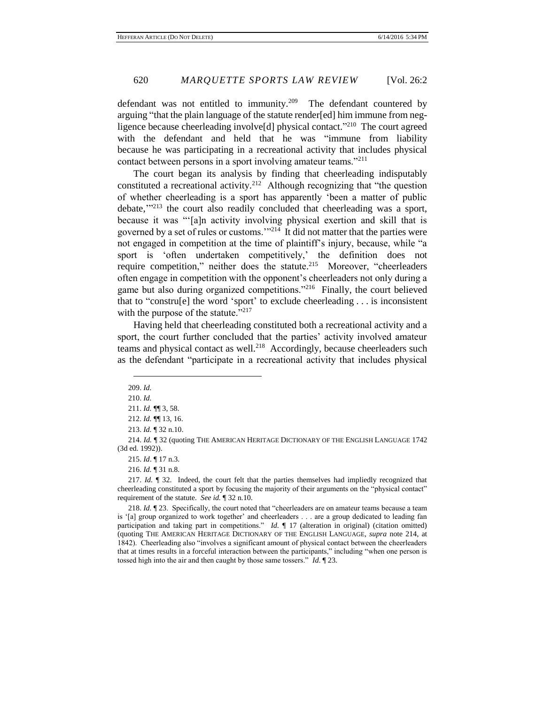defendant was not entitled to immunity.<sup>209</sup> The defendant countered by arguing "that the plain language of the statute render[ed] him immune from negligence because cheerleading involve[d] physical contact."<sup>210</sup> The court agreed with the defendant and held that he was "immune from liability because he was participating in a recreational activity that includes physical contact between persons in a sport involving amateur teams."<sup>211</sup>

The court began its analysis by finding that cheerleading indisputably constituted a recreational activity.<sup>212</sup> Although recognizing that "the question of whether cheerleading is a sport has apparently 'been a matter of public debate,"<sup>213</sup> the court also readily concluded that cheerleading was a sport, because it was "'[a]n activity involving physical exertion and skill that is governed by a set of rules or customs.'"<sup>214</sup> It did not matter that the parties were not engaged in competition at the time of plaintiff's injury, because, while "a sport is 'often undertaken competitively,' the definition does not require competition," neither does the statute.<sup>215</sup> Moreover, "cheerleaders often engage in competition with the opponent's cheerleaders not only during a game but also during organized competitions."<sup>216</sup> Finally, the court believed that to "constru[e] the word 'sport' to exclude cheerleading . . . is inconsistent with the purpose of the statute."<sup>217</sup>

Having held that cheerleading constituted both a recreational activity and a sport, the court further concluded that the parties' activity involved amateur teams and physical contact as well.<sup>218</sup> Accordingly, because cheerleaders such as the defendant "participate in a recreational activity that includes physical

209. *Id.*

 $\overline{a}$ 

215. *Id*. ¶ 17 n.3.

216. *Id.* ¶ 31 n.8.

217. *Id.* ¶ 32. Indeed, the court felt that the parties themselves had impliedly recognized that cheerleading constituted a sport by focusing the majority of their arguments on the "physical contact" requirement of the statute. *See id.* ¶ 32 n.10.

<sup>210.</sup> *Id.*

<sup>211.</sup> *Id.* ¶¶ 3, 58.

<sup>212.</sup> *Id.* ¶¶ 13, 16.

<sup>213.</sup> *Id.* ¶ 32 n.10.

<sup>214.</sup> *Id.* ¶ 32 (quoting THE AMERICAN HERITAGE DICTIONARY OF THE ENGLISH LANGUAGE 1742 (3d ed. 1992)).

<sup>218.</sup> *Id.* ¶ 23. Specifically, the court noted that "cheerleaders are on amateur teams because a team is '[a] group organized to work together' and cheerleaders . . . are a group dedicated to leading fan participation and taking part in competitions." *Id.*  $\parallel$  17 (alteration in original) (citation omitted) (quoting THE AMERICAN HERITAGE DICTIONARY OF THE ENGLISH LANGUAGE, *supra* note 214, at 1842). Cheerleading also "involves a significant amount of physical contact between the cheerleaders that at times results in a forceful interaction between the participants," including "when one person is tossed high into the air and then caught by those same tossers." *Id*. ¶ 23.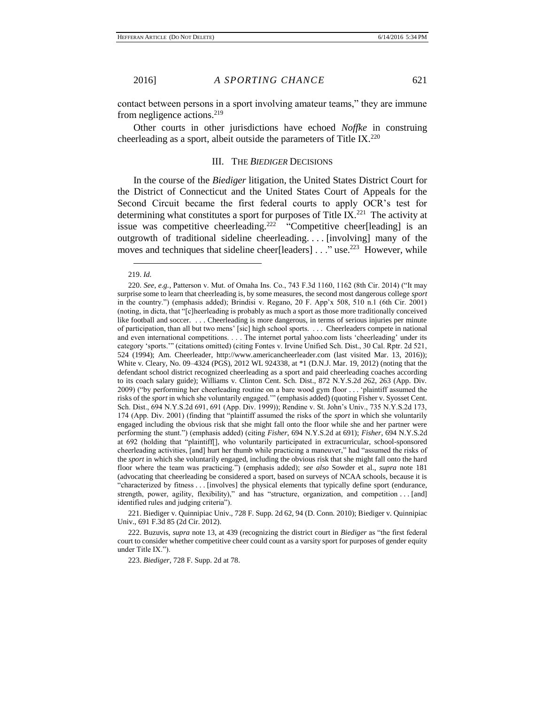contact between persons in a sport involving amateur teams," they are immune from negligence actions. $^{219}$ 

Other courts in other jurisdictions have echoed *Noffke* in construing cheerleading as a sport, albeit outside the parameters of Title IX. $^{220}$ 

#### III. THE *BIEDIGER* DECISIONS

In the course of the *Biediger* litigation, the United States District Court for the District of Connecticut and the United States Court of Appeals for the Second Circuit became the first federal courts to apply OCR's test for determining what constitutes a sport for purposes of Title IX.<sup>221</sup> The activity at issue was competitive cheerleading.<sup>222</sup> "Competitive cheer[leading] is an outgrowth of traditional sideline cheerleading. . . . [involving] many of the moves and techniques that sideline cheer[leaders] . . ." use.<sup>223</sup> However, while

221. Biediger v. Quinnipiac Univ., 728 F. Supp. 2d 62, 94 (D. Conn. 2010); Biediger v. Quinnipiac Univ., 691 F.3d 85 (2d Cir. 2012).

222. Buzuvis, *supra* note 13, at 439 (recognizing the district court in *Biediger* as "the first federal court to consider whether competitive cheer could count as a varsity sport for purposes of gender equity under Title IX.").

223. *Biediger*, 728 F. Supp. 2d at 78.

 $\overline{a}$ 219. *Id.*

<sup>220.</sup> *See, e.g.*, Patterson v. Mut. of Omaha Ins. Co., 743 F.3d 1160, 1162 (8th Cir. 2014) ("It may surprise some to learn that cheerleading is, by some measures, the second most dangerous college *sport* in the country.") (emphasis added); Brindisi v. Regano, 20 F. App'x 508, 510 n.1 (6th Cir. 2001) (noting, in dicta, that "[c]heerleading is probably as much a sport as those more traditionally conceived like football and soccer. . . . Cheerleading is more dangerous, in terms of serious injuries per minute of participation, than all but two mens' [sic] high school sports. . . . Cheerleaders compete in national and even international competitions. . . . The internet portal yahoo.com lists 'cheerleading' under its category 'sports.'" (citations omitted) (citing Fontes v. Irvine Unified Sch. Dist., 30 Cal. Rptr. 2d 521, 524 (1994); Am. Cheerleader, http://www.americancheerleader.com (last visited Mar. 13, 2016)); White v. Cleary, No. 09–4324 (PGS), 2012 WL 924338, at \*1 (D.N.J. Mar. 19, 2012) (noting that the defendant school district recognized cheerleading as a sport and paid cheerleading coaches according to its coach salary guide); Williams v. Clinton Cent. Sch. Dist., 872 N.Y.S.2d 262, 263 (App. Div. 2009) ("by performing her cheerleading routine on a bare wood gym floor . . . 'plaintiff assumed the risks of the *sport* in which she voluntarily engaged.'" (emphasis added) (quoting Fisher v. Syosset Cent. Sch. Dist., 694 N.Y.S.2d 691, 691 (App. Div. 1999)); Rendine v. St. John's Univ., 735 N.Y.S.2d 173, 174 (App. Div. 2001) (finding that "plaintiff assumed the risks of the *sport* in which she voluntarily engaged including the obvious risk that she might fall onto the floor while she and her partner were performing the stunt.") (emphasis added) (citing *Fisher*, 694 N.Y.S.2d at 691); *Fisher*, 694 N.Y.S.2d at 692 (holding that "plaintiff[], who voluntarily participated in extracurricular, school-sponsored cheerleading activities, [and] hurt her thumb while practicing a maneuver," had "assumed the risks of the *sport* in which she voluntarily engaged, including the obvious risk that she might fall onto the hard floor where the team was practicing.") (emphasis added); *see also* Sowder et al., *supra* note 181 (advocating that cheerleading be considered a sport, based on surveys of NCAA schools, because it is "characterized by fitness . . . [involves] the physical elements that typically define sport (endurance, strength, power, agility, flexibility)," and has "structure, organization, and competition . . . [and] identified rules and judging criteria").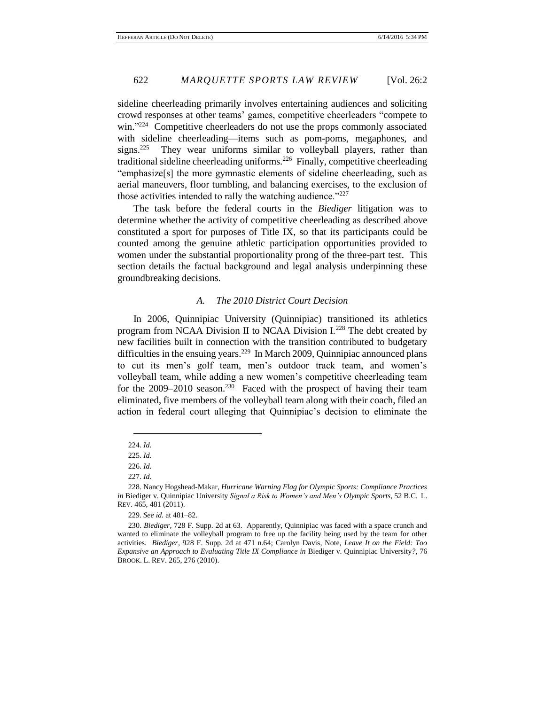sideline cheerleading primarily involves entertaining audiences and soliciting crowd responses at other teams' games, competitive cheerleaders "compete to win."<sup>224</sup> Competitive cheerleaders do not use the props commonly associated with sideline cheerleading—items such as pom-poms, megaphones, and signs. $225$  They wear uniforms similar to volleyball players, rather than traditional sideline cheerleading uniforms.<sup>226</sup> Finally, competitive cheerleading "emphasize[s] the more gymnastic elements of sideline cheerleading, such as aerial maneuvers, floor tumbling, and balancing exercises, to the exclusion of those activities intended to rally the watching audience."<sup>227</sup>

The task before the federal courts in the *Biediger* litigation was to determine whether the activity of competitive cheerleading as described above constituted a sport for purposes of Title IX, so that its participants could be counted among the genuine athletic participation opportunities provided to women under the substantial proportionality prong of the three-part test. This section details the factual background and legal analysis underpinning these groundbreaking decisions.

### *A. The 2010 District Court Decision*

In 2006, Quinnipiac University (Quinnipiac) transitioned its athletics program from NCAA Division II to NCAA Division I.<sup>228</sup> The debt created by new facilities built in connection with the transition contributed to budgetary difficulties in the ensuing years.<sup>229</sup> In March 2009, Quinnipiac announced plans to cut its men's golf team, men's outdoor track team, and women's volleyball team, while adding a new women's competitive cheerleading team for the  $2009-2010$  season.<sup>230</sup> Faced with the prospect of having their team eliminated, five members of the volleyball team along with their coach, filed an action in federal court alleging that Quinnipiac's decision to eliminate the

<sup>224.</sup> *Id.*

<sup>225.</sup> *Id.*

<sup>226.</sup> *Id.*

<sup>227.</sup> *Id.*

<sup>228.</sup> Nancy Hogshead-Makar, *Hurricane Warning Flag for Olympic Sports: Compliance Practices in* Biediger v. Quinnipiac University *Signal a Risk to Women's and Men's Olympic Sports*, 52 B.C. L. REV. 465, 481 (2011).

<sup>229.</sup> *See id.* at 481–82.

<sup>230.</sup> *Biediger*, 728 F. Supp. 2d at 63. Apparently, Quinnipiac was faced with a space crunch and wanted to eliminate the volleyball program to free up the facility being used by the team for other activities. *Biediger*, 928 F. Supp. 2d at 471 n.64; Carolyn Davis, Note, *Leave It on the Field: Too Expansive an Approach to Evaluating Title IX Compliance in Biediger v. Quinnipiac University?, 76* BROOK. L. REV. 265, 276 (2010).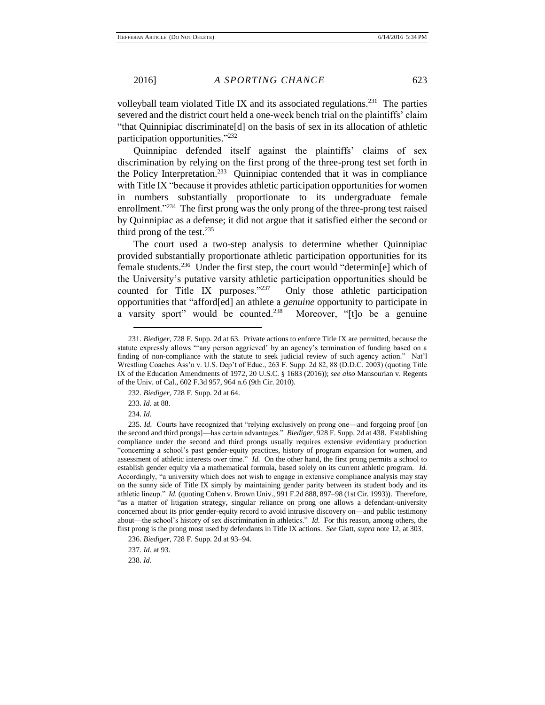volleyball team violated Title IX and its associated regulations.<sup>231</sup> The parties severed and the district court held a one-week bench trial on the plaintiffs' claim "that Quinnipiac discriminate[d] on the basis of sex in its allocation of athletic participation opportunities."<sup>232</sup>

Quinnipiac defended itself against the plaintiffs' claims of sex discrimination by relying on the first prong of the three-prong test set forth in the Policy Interpretation.<sup>233</sup> Quinnipiac contended that it was in compliance with Title IX "because it provides athletic participation opportunities for women in numbers substantially proportionate to its undergraduate female enrollment."<sup>234</sup> The first prong was the only prong of the three-prong test raised by Quinnipiac as a defense; it did not argue that it satisfied either the second or third prong of the test. $235$ 

The court used a two-step analysis to determine whether Quinnipiac provided substantially proportionate athletic participation opportunities for its female students.<sup>236</sup> Under the first step, the court would "determin[e] which of the University's putative varsity athletic participation opportunities should be counted for Title IX purposes."<sup>237</sup> Only those athletic participation opportunities that "afford[ed] an athlete a *genuine* opportunity to participate in a varsity sport" would be counted.<sup>238</sup> Moreover, "[t]o be a genuine

234. *Id.*

 $\overline{a}$ 

236. *Biediger*, 728 F. Supp. 2d at 93–94. 237. *Id.* at 93.

238. *Id.*

<sup>231.</sup> *Biediger*, 728 F. Supp. 2d at 63. Private actions to enforce Title IX are permitted, because the statute expressly allows "'any person aggrieved' by an agency's termination of funding based on a finding of non-compliance with the statute to seek judicial review of such agency action." Nat'l Wrestling Coaches Ass'n v. U.S. Dep't of Educ., 263 F. Supp. 2d 82, 88 (D.D.C. 2003) (quoting Title IX of the Education Amendments of 1972, 20 U.S.C. § 1683 (2016)); *see also* Mansourian v. Regents of the Univ. of Cal., 602 F.3d 957, 964 n.6 (9th Cir. 2010).

<sup>232.</sup> *Biediger*, 728 F. Supp. 2d at 64.

<sup>233.</sup> *Id.* at 88.

<sup>235.</sup> *Id.* Courts have recognized that "relying exclusively on prong one—and forgoing proof [on the second and third prongs]—has certain advantages." *Biediger*, 928 F. Supp. 2d at 438. Establishing compliance under the second and third prongs usually requires extensive evidentiary production "concerning a school's past gender-equity practices, history of program expansion for women, and assessment of athletic interests over time." *Id.* On the other hand, the first prong permits a school to establish gender equity via a mathematical formula, based solely on its current athletic program. *Id.* Accordingly, "a university which does not wish to engage in extensive compliance analysis may stay on the sunny side of Title IX simply by maintaining gender parity between its student body and its athletic lineup." *Id.* (quoting Cohen v. Brown Univ., 991 F.2d 888, 897–98 (1st Cir. 1993)). Therefore, "as a matter of litigation strategy, singular reliance on prong one allows a defendant-university concerned about its prior gender-equity record to avoid intrusive discovery on—and public testimony about—the school's history of sex discrimination in athletics." *Id.* For this reason, among others, the first prong is the prong most used by defendants in Title IX actions. *See* Glatt, *supra* note 12, at 303.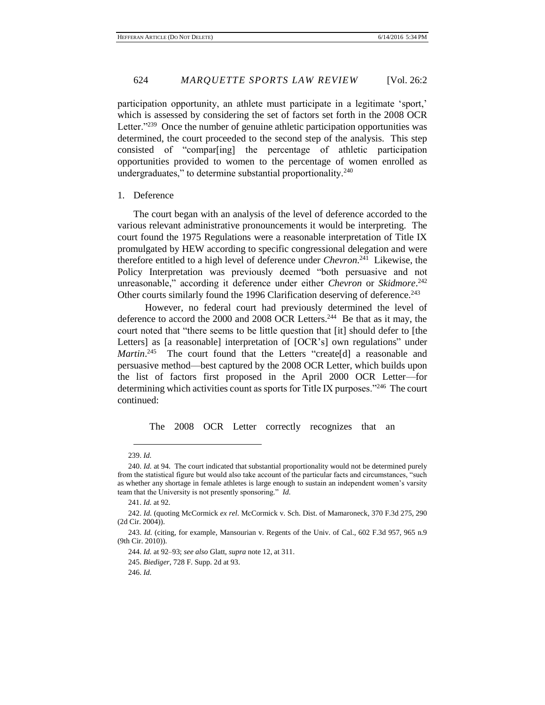participation opportunity, an athlete must participate in a legitimate 'sport,' which is assessed by considering the set of factors set forth in the 2008 OCR Letter."<sup>239</sup> Once the number of genuine athletic participation opportunities was determined, the court proceeded to the second step of the analysis. This step consisted of "compar[ing] the percentage of athletic participation opportunities provided to women to the percentage of women enrolled as undergraduates," to determine substantial proportionality. $240$ 

## 1. Deference

The court began with an analysis of the level of deference accorded to the various relevant administrative pronouncements it would be interpreting. The court found the 1975 Regulations were a reasonable interpretation of Title IX promulgated by HEW according to specific congressional delegation and were therefore entitled to a high level of deference under *Chevron*. 241 Likewise, the Policy Interpretation was previously deemed "both persuasive and not unreasonable," according it deference under either *Chevron* or *Skidmore*. 242 Other courts similarly found the 1996 Clarification deserving of deference.<sup>243</sup>

However, no federal court had previously determined the level of deference to accord the 2000 and 2008 OCR Letters.<sup>244</sup> Be that as it may, the court noted that "there seems to be little question that [it] should defer to [the Letters] as [a reasonable] interpretation of [OCR's] own regulations" under Martin.<sup>245</sup> The court found that the Letters "create[d] a reasonable and persuasive method—best captured by the 2008 OCR Letter, which builds upon the list of factors first proposed in the April 2000 OCR Letter—for determining which activities count as sports for Title IX purposes."<sup>246</sup> The court continued:

The 2008 OCR Letter correctly recognizes that an

246. *Id.*

 $\overline{a}$ 239. *Id.*

<sup>240.</sup> *Id.* at 94. The court indicated that substantial proportionality would not be determined purely from the statistical figure but would also take account of the particular facts and circumstances, "such as whether any shortage in female athletes is large enough to sustain an independent women's varsity team that the University is not presently sponsoring." *Id.*

<sup>241.</sup> *Id.* at 92.

<sup>242.</sup> *Id.* (quoting McCormick *ex rel.* McCormick v. Sch. Dist. of Mamaroneck, 370 F.3d 275, 290 (2d Cir. 2004)).

<sup>243.</sup> *Id.* (citing, for example, Mansourian v. Regents of the Univ. of Cal., 602 F.3d 957, 965 n.9 (9th Cir. 2010)).

<sup>244.</sup> *Id.* at 92–93; *see also* Glatt, *supra* note 12, at 311.

<sup>245.</sup> *Biediger*, 728 F. Supp. 2d at 93.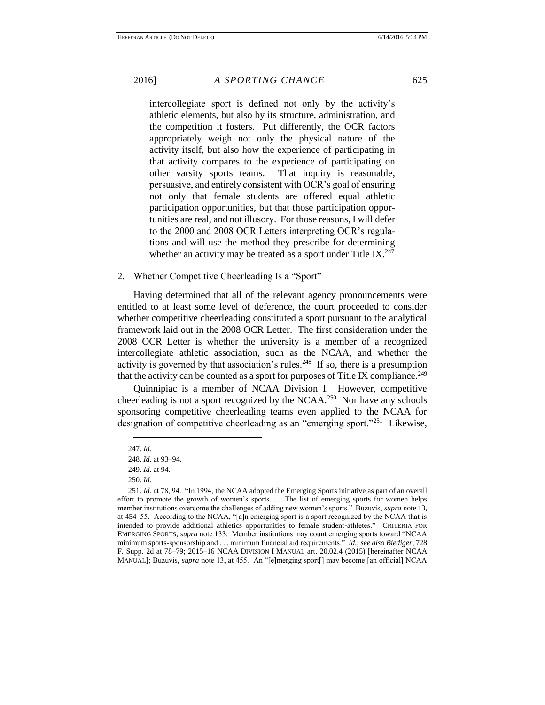intercollegiate sport is defined not only by the activity's athletic elements, but also by its structure, administration, and the competition it fosters. Put differently, the OCR factors appropriately weigh not only the physical nature of the activity itself, but also how the experience of participating in that activity compares to the experience of participating on other varsity sports teams. That inquiry is reasonable, persuasive, and entirely consistent with OCR's goal of ensuring not only that female students are offered equal athletic participation opportunities, but that those participation opportunities are real, and not illusory. For those reasons, I will defer to the 2000 and 2008 OCR Letters interpreting OCR's regulations and will use the method they prescribe for determining whether an activity may be treated as a sport under Title IX. $^{247}$ 

2. Whether Competitive Cheerleading Is a "Sport"

Having determined that all of the relevant agency pronouncements were entitled to at least some level of deference, the court proceeded to consider whether competitive cheerleading constituted a sport pursuant to the analytical framework laid out in the 2008 OCR Letter. The first consideration under the 2008 OCR Letter is whether the university is a member of a recognized intercollegiate athletic association, such as the NCAA, and whether the activity is governed by that association's rules.<sup>248</sup> If so, there is a presumption that the activity can be counted as a sport for purposes of Title IX compliance.<sup>249</sup>

Quinnipiac is a member of NCAA Division I. However, competitive cheerleading is not a sport recognized by the NCAA.<sup>250</sup> Nor have any schools sponsoring competitive cheerleading teams even applied to the NCAA for designation of competitive cheerleading as an "emerging sport."<sup>251</sup> Likewise,

<sup>247.</sup> *Id.*

<sup>248.</sup> *Id.* at 93–94.

<sup>249.</sup> *Id.* at 94.

<sup>250.</sup> *Id.*

<sup>251.</sup> *Id.* at 78, 94. "In 1994, the NCAA adopted the Emerging Sports initiative as part of an overall effort to promote the growth of women's sports. . . . The list of emerging sports for women helps member institutions overcome the challenges of adding new women's sports." Buzuvis, *supra* note 13, at 454–55. According to the NCAA, "[a]n emerging sport is a sport recognized by the NCAA that is intended to provide additional athletics opportunities to female student-athletes." CRITERIA FOR EMERGING SPORTS, *supra* note 133. Member institutions may count emerging sports toward "NCAA minimum sports-sponsorship and . . . minimum financial aid requirements." *Id.*; *see also Biediger*, 728 F. Supp. 2d at 78–79; 2015–16 NCAA DIVISION I MANUAL art. 20.02.4 (2015) [hereinafter NCAA MANUAL]; Buzuvis, *supra* note 13, at 455. An "[e]merging sport[] may become [an official] NCAA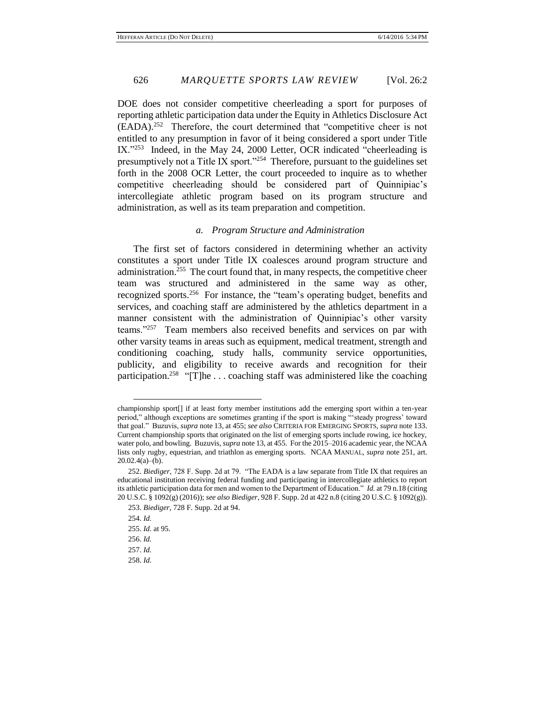DOE does not consider competitive cheerleading a sport for purposes of reporting athletic participation data under the Equity in Athletics Disclosure Act (EADA).<sup>252</sup> Therefore, the court determined that "competitive cheer is not entitled to any presumption in favor of it being considered a sport under Title IX."<sup>253</sup> Indeed, in the May 24, 2000 Letter, OCR indicated "cheerleading is presumptively not a Title IX sport."<sup>254</sup> Therefore, pursuant to the guidelines set forth in the 2008 OCR Letter, the court proceeded to inquire as to whether competitive cheerleading should be considered part of Quinnipiac's intercollegiate athletic program based on its program structure and administration, as well as its team preparation and competition.

# *a. Program Structure and Administration*

The first set of factors considered in determining whether an activity constitutes a sport under Title IX coalesces around program structure and administration.<sup>255</sup> The court found that, in many respects, the competitive cheer team was structured and administered in the same way as other, recognized sports.<sup>256</sup> For instance, the "team's operating budget, benefits and services, and coaching staff are administered by the athletics department in a manner consistent with the administration of Quinnipiac's other varsity teams."<sup>257</sup> Team members also received benefits and services on par with other varsity teams in areas such as equipment, medical treatment, strength and conditioning coaching, study halls, community service opportunities, publicity, and eligibility to receive awards and recognition for their participation.<sup>258</sup> "[T]he ... coaching staff was administered like the coaching

championship sport[] if at least forty member institutions add the emerging sport within a ten-year period," although exceptions are sometimes granting if the sport is making "'steady progress' toward that goal." Buzuvis, *supra* note 13, at 455; *see also* CRITERIA FOR EMERGING SPORTS, *supra* note 133. Current championship sports that originated on the list of emerging sports include rowing, ice hockey, water polo, and bowling. Buzuvis, *supra* note 13, at 455. For the 2015–2016 academic year, the NCAA lists only rugby, equestrian, and triathlon as emerging sports. NCAA MANUAL, *supra* note 251, art.  $20.02.4(a)–(b)$ .

<sup>252.</sup> *Biediger*, 728 F. Supp. 2d at 79. "The EADA is a law separate from Title IX that requires an educational institution receiving federal funding and participating in intercollegiate athletics to report its athletic participation data for men and women to the Department of Education." *Id.* at 79 n.18 (citing 20 U.S.C. § 1092(g) (2016)); *see also Biediger*, 928 F. Supp. 2d at 422 n.8 (citing 20 U.S.C. § 1092(g)). 253. *Biediger*, 728 F. Supp. 2d at 94.

<sup>254.</sup> *Id.*

<sup>255.</sup> *Id.* at 95.

<sup>256.</sup> *Id.*

<sup>257.</sup> *Id.*

<sup>258.</sup> *Id.*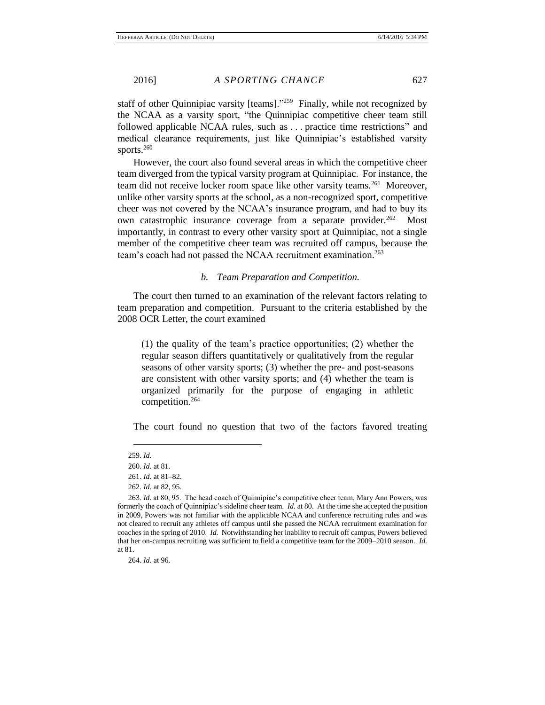staff of other Quinnipiac varsity [teams]."<sup>259</sup> Finally, while not recognized by the NCAA as a varsity sport, "the Quinnipiac competitive cheer team still followed applicable NCAA rules, such as . . . practice time restrictions" and medical clearance requirements, just like Quinnipiac's established varsity sports.<sup>260</sup>

However, the court also found several areas in which the competitive cheer team diverged from the typical varsity program at Quinnipiac. For instance, the team did not receive locker room space like other varsity teams.<sup>261</sup> Moreover, unlike other varsity sports at the school, as a non-recognized sport, competitive cheer was not covered by the NCAA's insurance program, and had to buy its own catastrophic insurance coverage from a separate provider.<sup>262</sup> Most importantly, in contrast to every other varsity sport at Quinnipiac, not a single member of the competitive cheer team was recruited off campus, because the team's coach had not passed the NCAA recruitment examination.<sup>263</sup>

## *b. Team Preparation and Competition.*

The court then turned to an examination of the relevant factors relating to team preparation and competition. Pursuant to the criteria established by the 2008 OCR Letter, the court examined

(1) the quality of the team's practice opportunities; (2) whether the regular season differs quantitatively or qualitatively from the regular seasons of other varsity sports; (3) whether the pre- and post-seasons are consistent with other varsity sports; and (4) whether the team is organized primarily for the purpose of engaging in athletic competition.<sup>264</sup>

The court found no question that two of the factors favored treating

 $\overline{a}$ 259. *Id.*

<sup>260.</sup> *Id.* at 81.

<sup>261.</sup> *Id.* at 81–82.

<sup>262.</sup> *Id.* at 82, 95.

<sup>263.</sup> *Id.* at 80, 95. The head coach of Quinnipiac's competitive cheer team, Mary Ann Powers, was formerly the coach of Quinnipiac's sideline cheer team. *Id.* at 80. At the time she accepted the position in 2009, Powers was not familiar with the applicable NCAA and conference recruiting rules and was not cleared to recruit any athletes off campus until she passed the NCAA recruitment examination for coaches in the spring of 2010. *Id.* Notwithstanding her inability to recruit off campus, Powers believed that her on-campus recruiting was sufficient to field a competitive team for the 2009–2010 season. *Id.* at 81.

<sup>264.</sup> *Id.* at 96.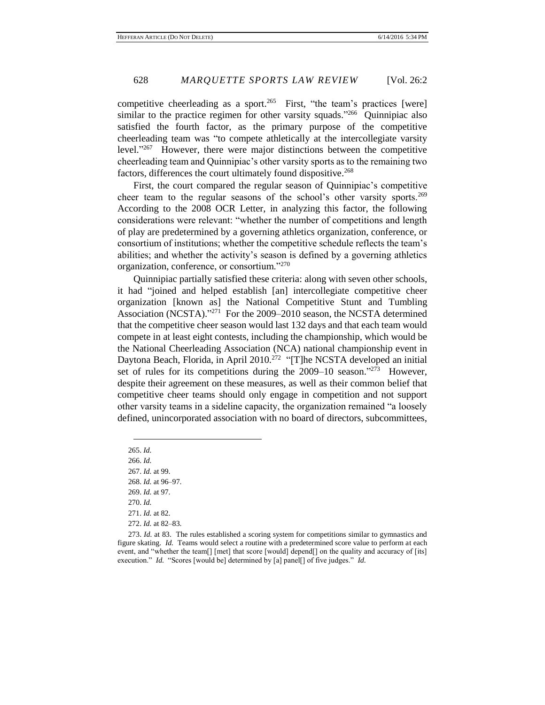competitive cheerleading as a sport.<sup>265</sup> First, "the team's practices [were] similar to the practice regimen for other varsity squads."<sup>266</sup> Quinnipiac also satisfied the fourth factor, as the primary purpose of the competitive cheerleading team was "to compete athletically at the intercollegiate varsity level."<sup>267</sup> However, there were major distinctions between the competitive cheerleading team and Quinnipiac's other varsity sports as to the remaining two factors, differences the court ultimately found dispositive.<sup>268</sup>

First, the court compared the regular season of Quinnipiac's competitive cheer team to the regular seasons of the school's other varsity sports.<sup>269</sup> According to the 2008 OCR Letter, in analyzing this factor, the following considerations were relevant: "whether the number of competitions and length of play are predetermined by a governing athletics organization, conference, or consortium of institutions; whether the competitive schedule reflects the team's abilities; and whether the activity's season is defined by a governing athletics organization, conference, or consortium."<sup>270</sup>

Quinnipiac partially satisfied these criteria: along with seven other schools, it had "joined and helped establish [an] intercollegiate competitive cheer organization [known as] the National Competitive Stunt and Tumbling Association (NCSTA)." 271 For the 2009–2010 season, the NCSTA determined that the competitive cheer season would last 132 days and that each team would compete in at least eight contests, including the championship, which would be the National Cheerleading Association (NCA) national championship event in Daytona Beach, Florida, in April 2010.<sup>272</sup> "[T]he NCSTA developed an initial set of rules for its competitions during the  $2009-10$  season."<sup>273</sup> However, despite their agreement on these measures, as well as their common belief that competitive cheer teams should only engage in competition and not support other varsity teams in a sideline capacity, the organization remained "a loosely defined, unincorporated association with no board of directors, subcommittees,

265. *Id.*

 $\overline{a}$ 

266. *Id.*

267. *Id.* at 99.

268. *Id.* at 96–97.

269. *Id.* at 97.

270. *Id.*

271. *Id.* at 82.

272. *Id.* at 82–83.

273. *Id.* at 83. The rules established a scoring system for competitions similar to gymnastics and figure skating. *Id.* Teams would select a routine with a predetermined score value to perform at each event, and "whether the team<sup>[]</sup> [met] that score [would] depend<sup>[]</sup> on the quality and accuracy of [its] execution." *Id.* "Scores [would be] determined by [a] panel[] of five judges." *Id.*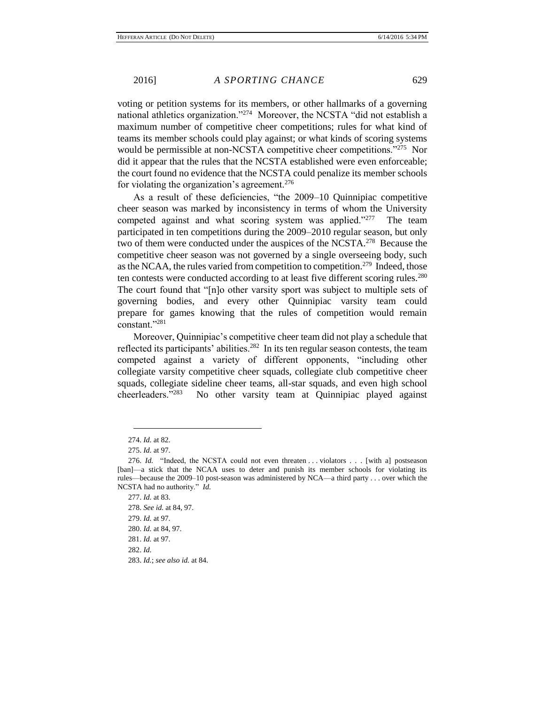voting or petition systems for its members, or other hallmarks of a governing national athletics organization."<sup>274</sup> Moreover, the NCSTA "did not establish a maximum number of competitive cheer competitions; rules for what kind of teams its member schools could play against; or what kinds of scoring systems would be permissible at non-NCSTA competitive cheer competitions."<sup>275</sup> Nor did it appear that the rules that the NCSTA established were even enforceable; the court found no evidence that the NCSTA could penalize its member schools for violating the organization's agreement.<sup>276</sup>

As a result of these deficiencies, "the 2009–10 Quinnipiac competitive cheer season was marked by inconsistency in terms of whom the University competed against and what scoring system was applied."<sup>277</sup> The team participated in ten competitions during the 2009–2010 regular season, but only two of them were conducted under the auspices of the NCSTA. $^{278}$  Because the competitive cheer season was not governed by a single overseeing body, such as the NCAA, the rules varied from competition to competition.<sup>279</sup> Indeed, those ten contests were conducted according to at least five different scoring rules.<sup>280</sup> The court found that "[n]o other varsity sport was subject to multiple sets of governing bodies, and every other Quinnipiac varsity team could prepare for games knowing that the rules of competition would remain constant."<sup>281</sup>

Moreover, Quinnipiac's competitive cheer team did not play a schedule that reflected its participants' abilities.<sup>282</sup> In its ten regular season contests, the team competed against a variety of different opponents, "including other collegiate varsity competitive cheer squads, collegiate club competitive cheer squads, collegiate sideline cheer teams, all-star squads, and even high school cheerleaders."<sup>283</sup> No other varsity team at Quinnipiac played against

<sup>274.</sup> *Id.* at 82.

<sup>275.</sup> *Id.* at 97.

<sup>276.</sup> *Id.* "Indeed, the NCSTA could not even threaten . . . violators . . . [with a] postseason [ban]—a stick that the NCAA uses to deter and punish its member schools for violating its rules—because the 2009–10 post-season was administered by NCA—a third party . . . over which the NCSTA had no authority." *Id.*

<sup>277.</sup> *Id.* at 83.

<sup>278.</sup> *See id.* at 84, 97. 279. *Id.* at 97. 280. *Id.* at 84, 97.

<sup>281.</sup> *Id.* at 97.

<sup>282.</sup> *Id.*

<sup>283.</sup> *Id.*; *see also id.* at 84.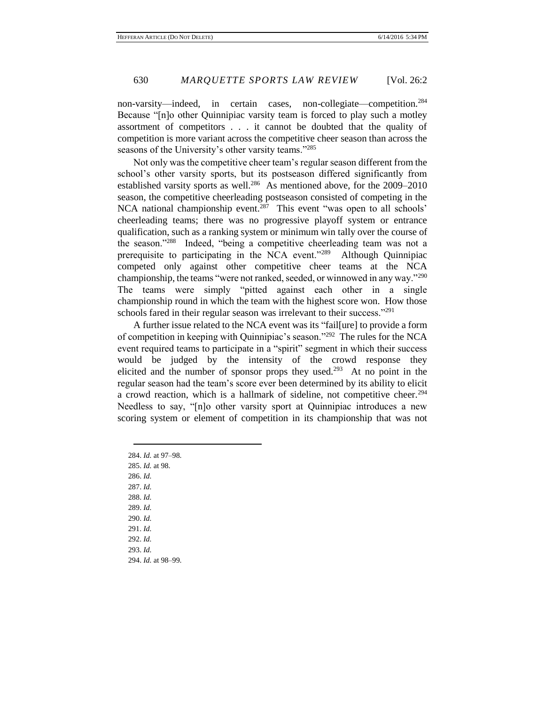non-varsity—indeed, in certain cases, non-collegiate—competition.<sup>284</sup> Because "[n]o other Quinnipiac varsity team is forced to play such a motley assortment of competitors . . . it cannot be doubted that the quality of competition is more variant across the competitive cheer season than across the seasons of the University's other varsity teams."<sup>285</sup>

Not only was the competitive cheer team's regular season different from the school's other varsity sports, but its postseason differed significantly from established varsity sports as well.<sup>286</sup> As mentioned above, for the 2009–2010 season, the competitive cheerleading postseason consisted of competing in the NCA national championship event.<sup>287</sup> This event "was open to all schools" cheerleading teams; there was no progressive playoff system or entrance qualification, such as a ranking system or minimum win tally over the course of the season."<sup>288</sup> Indeed, "being a competitive cheerleading team was not a prerequisite to participating in the NCA event."<sup>289</sup> Although Quinnipiac competed only against other competitive cheer teams at the NCA championship, the teams "were not ranked, seeded, or winnowed in any way."<sup>290</sup> The teams were simply "pitted against each other in a single championship round in which the team with the highest score won. How those schools fared in their regular season was irrelevant to their success."<sup>291</sup>

A further issue related to the NCA event was its "fail[ure] to provide a form of competition in keeping with Quinnipiac's season."<sup>292</sup> The rules for the NCA event required teams to participate in a "spirit" segment in which their success would be judged by the intensity of the crowd response they elicited and the number of sponsor props they used.<sup>293</sup> At no point in the regular season had the team's score ever been determined by its ability to elicit a crowd reaction, which is a hallmark of sideline, not competitive cheer.<sup>294</sup> Needless to say, "[n]o other varsity sport at Quinnipiac introduces a new scoring system or element of competition in its championship that was not

284. *Id.* at 97–98. 285. *Id.* at 98. 286. *Id.*  287. *Id.* 288. *Id.* 289. *Id.* 290. *Id.* 291. *Id.* 292. *Id.* 293. *Id.* 294. *Id.* at 98–99.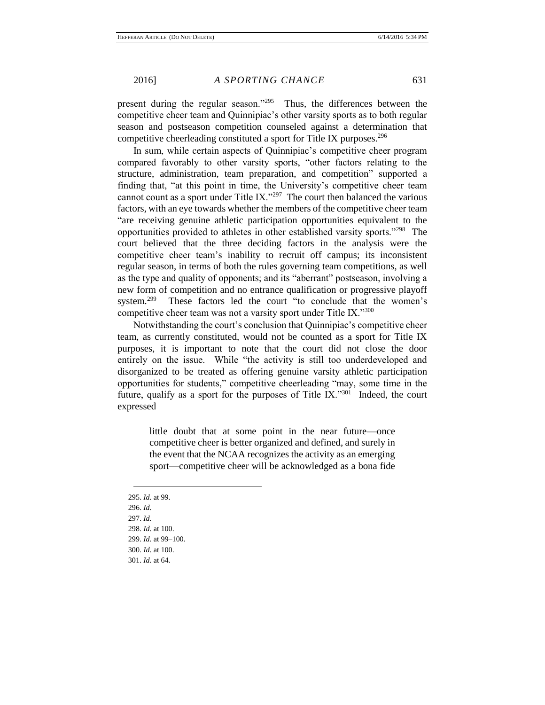present during the regular season."<sup>295</sup> Thus, the differences between the competitive cheer team and Quinnipiac's other varsity sports as to both regular season and postseason competition counseled against a determination that competitive cheerleading constituted a sport for Title IX purposes.<sup>296</sup>

In sum, while certain aspects of Quinnipiac's competitive cheer program compared favorably to other varsity sports, "other factors relating to the structure, administration, team preparation, and competition" supported a finding that, "at this point in time, the University's competitive cheer team cannot count as a sport under Title IX."<sup>297</sup> The court then balanced the various factors, with an eye towards whether the members of the competitive cheer team "are receiving genuine athletic participation opportunities equivalent to the opportunities provided to athletes in other established varsity sports."<sup>298</sup> The court believed that the three deciding factors in the analysis were the competitive cheer team's inability to recruit off campus; its inconsistent regular season, in terms of both the rules governing team competitions, as well as the type and quality of opponents; and its "aberrant" postseason, involving a new form of competition and no entrance qualification or progressive playoff system.<sup>299</sup> These factors led the court "to conclude that the women's competitive cheer team was not a varsity sport under Title IX."<sup>300</sup>

Notwithstanding the court's conclusion that Quinnipiac's competitive cheer team, as currently constituted, would not be counted as a sport for Title IX purposes, it is important to note that the court did not close the door entirely on the issue. While "the activity is still too underdeveloped and disorganized to be treated as offering genuine varsity athletic participation opportunities for students," competitive cheerleading "may, some time in the future, qualify as a sport for the purposes of Title  $IX.^{301}$  Indeed, the court expressed

> little doubt that at some point in the near future—once competitive cheer is better organized and defined, and surely in the event that the NCAA recognizes the activity as an emerging sport—competitive cheer will be acknowledged as a bona fide

295. *Id.* at 99. 296. *Id.* 297. *Id.* 298. *Id.* at 100. 299. *Id.* at 99–100. 300. *Id.* at 100. 301. *Id.* at 64.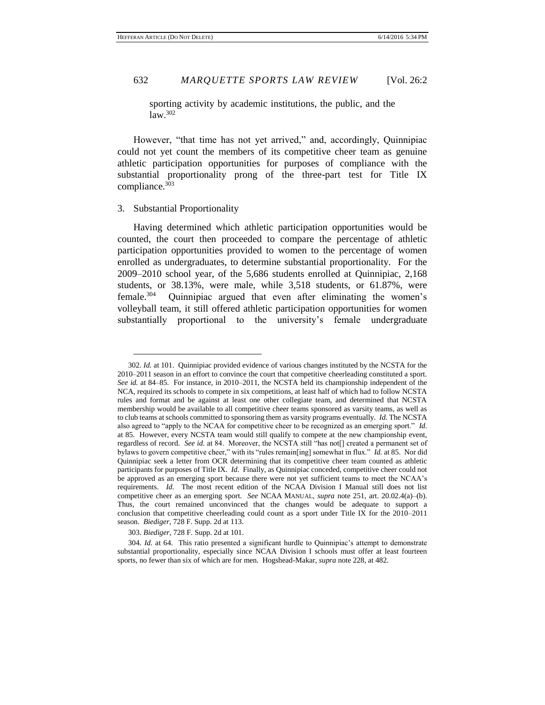sporting activity by academic institutions, the public, and the  $law.<sup>302</sup>$ 

However, "that time has not yet arrived," and, accordingly, Quinnipiac could not yet count the members of its competitive cheer team as genuine athletic participation opportunities for purposes of compliance with the substantial proportionality prong of the three-part test for Title IX compliance.<sup>303</sup>

# 3. Substantial Proportionality

 $\overline{a}$ 

Having determined which athletic participation opportunities would be counted, the court then proceeded to compare the percentage of athletic participation opportunities provided to women to the percentage of women enrolled as undergraduates, to determine substantial proportionality. For the 2009–2010 school year, of the 5,686 students enrolled at Quinnipiac, 2,168 students, or 38.13%, were male, while 3,518 students, or 61.87%, were female.<sup>304</sup> Quinnipiac argued that even after eliminating the women's volleyball team, it still offered athletic participation opportunities for women substantially proportional to the university's female undergraduate

303. *Biediger*, 728 F. Supp. 2d at 101.

<sup>302.</sup> *Id.* at 101. Quinnipiac provided evidence of various changes instituted by the NCSTA for the 2010–2011 season in an effort to convince the court that competitive cheerleading constituted a sport. *See id.* at 84–85. For instance, in 2010–2011, the NCSTA held its championship independent of the NCA, required its schools to compete in six competitions, at least half of which had to follow NCSTA rules and format and be against at least one other collegiate team, and determined that NCSTA membership would be available to all competitive cheer teams sponsored as varsity teams, as well as to club teams at schools committed to sponsoring them as varsity programs eventually. *Id.* The NCSTA also agreed to "apply to the NCAA for competitive cheer to be recognized as an emerging sport." *Id.* at 85. However, every NCSTA team would still qualify to compete at the new championship event, regardless of record. *See id.* at 84. Moreover, the NCSTA still "has not[] created a permanent set of bylaws to govern competitive cheer," with its "rules remain[ing] somewhat in flux." *Id.* at 85. Nor did Quinnipiac seek a letter from OCR determining that its competitive cheer team counted as athletic participants for purposes of Title IX. *Id.* Finally, as Quinnipiac conceded, competitive cheer could not be approved as an emerging sport because there were not yet sufficient teams to meet the NCAA's requirements. *Id.* The most recent edition of the NCAA Division I Manual still does not list competitive cheer as an emerging sport. *See* NCAA MANUAL, *supra* note 251, art. 20.02.4(a)–(b). Thus, the court remained unconvinced that the changes would be adequate to support a conclusion that competitive cheerleading could count as a sport under Title IX for the 2010–2011 season. *Biediger*, 728 F. Supp. 2d at 113.

<sup>304.</sup> *Id.* at 64. This ratio presented a significant hurdle to Quinnipiac's attempt to demonstrate substantial proportionality, especially since NCAA Division I schools must offer at least fourteen sports, no fewer than six of which are for men. Hogshead-Makar, *supra* note 228, at 482.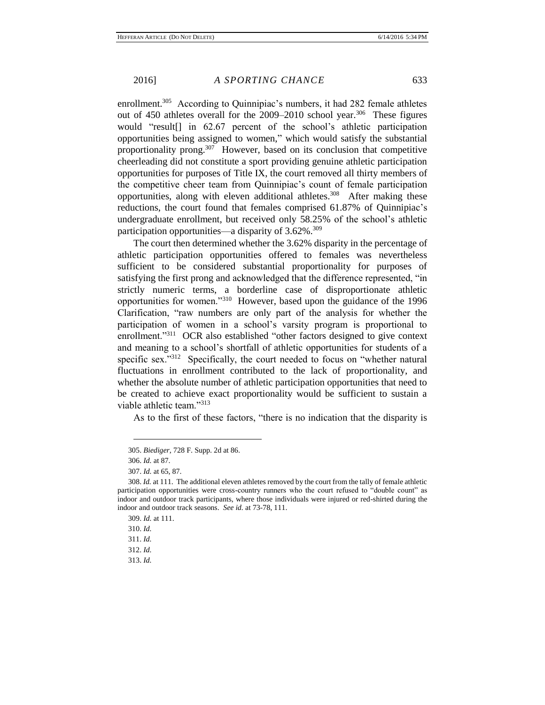enrollment.<sup>305</sup> According to Quinnipiac's numbers, it had 282 female athletes out of  $450$  athletes overall for the  $2009-2010$  school year.<sup>306</sup> These figures would "result[] in 62.67 percent of the school's athletic participation opportunities being assigned to women," which would satisfy the substantial proportionality prong.<sup>307</sup> However, based on its conclusion that competitive cheerleading did not constitute a sport providing genuine athletic participation opportunities for purposes of Title IX, the court removed all thirty members of the competitive cheer team from Quinnipiac's count of female participation opportunities, along with eleven additional athletes.<sup>308</sup> After making these reductions, the court found that females comprised 61.87% of Quinnipiac's undergraduate enrollment, but received only 58.25% of the school's athletic participation opportunities—a disparity of 3.62%.<sup>309</sup>

The court then determined whether the 3.62% disparity in the percentage of athletic participation opportunities offered to females was nevertheless sufficient to be considered substantial proportionality for purposes of satisfying the first prong and acknowledged that the difference represented, "in strictly numeric terms, a borderline case of disproportionate athletic opportunities for women."<sup>310</sup> However, based upon the guidance of the 1996 Clarification, "raw numbers are only part of the analysis for whether the participation of women in a school's varsity program is proportional to enrollment."<sup>311</sup> OCR also established "other factors designed to give context and meaning to a school's shortfall of athletic opportunities for students of a specific sex."<sup>312</sup> Specifically, the court needed to focus on "whether natural fluctuations in enrollment contributed to the lack of proportionality, and whether the absolute number of athletic participation opportunities that need to be created to achieve exact proportionality would be sufficient to sustain a viable athletic team."313

As to the first of these factors, "there is no indication that the disparity is

<sup>305.</sup> *Biediger*, 728 F. Supp. 2d at 86.

<sup>306.</sup> *Id.* at 87.

<sup>307.</sup> *Id.* at 65, 87.

<sup>308.</sup> *Id.* at 111. The additional eleven athletes removed by the court from the tally of female athletic participation opportunities were cross-country runners who the court refused to "double count" as indoor and outdoor track participants, where those individuals were injured or red-shirted during the indoor and outdoor track seasons. *See id.* at 73-78, 111.

<sup>309.</sup> *Id.* at 111.

<sup>310.</sup> *Id.*

<sup>311.</sup> *Id.*

<sup>312.</sup> *Id.*

<sup>313.</sup> *Id.*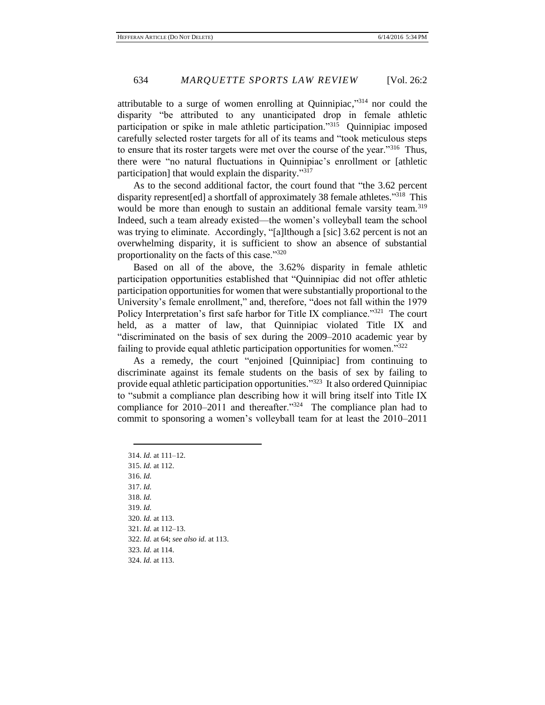attributable to a surge of women enrolling at Quinnipiac,"<sup>314</sup> nor could the disparity "be attributed to any unanticipated drop in female athletic participation or spike in male athletic participation."<sup>315</sup> Quinnipiac imposed carefully selected roster targets for all of its teams and "took meticulous steps to ensure that its roster targets were met over the course of the year."<sup>316</sup> Thus, there were "no natural fluctuations in Quinnipiac's enrollment or [athletic participation] that would explain the disparity."<sup>317</sup>

As to the second additional factor, the court found that "the 3.62 percent disparity represent [ed] a shortfall of approximately 38 female athletes."<sup>318</sup> This would be more than enough to sustain an additional female varsity team.<sup>319</sup> Indeed, such a team already existed—the women's volleyball team the school was trying to eliminate. Accordingly, "[a]lthough a [sic] 3.62 percent is not an overwhelming disparity, it is sufficient to show an absence of substantial proportionality on the facts of this case."320

Based on all of the above, the 3.62% disparity in female athletic participation opportunities established that "Quinnipiac did not offer athletic participation opportunities for women that were substantially proportional to the University's female enrollment," and, therefore, "does not fall within the 1979 Policy Interpretation's first safe harbor for Title IX compliance."<sup>321</sup> The court held, as a matter of law, that Quinnipiac violated Title IX and "discriminated on the basis of sex during the 2009–2010 academic year by failing to provide equal athletic participation opportunities for women."<sup>322</sup>

As a remedy, the court "enjoined [Quinnipiac] from continuing to discriminate against its female students on the basis of sex by failing to provide equal athletic participation opportunities."<sup>323</sup> It also ordered Quinnipiac to "submit a compliance plan describing how it will bring itself into Title IX compliance for 2010–2011 and thereafter.<sup>"324</sup> The compliance plan had to commit to sponsoring a women's volleyball team for at least the 2010–2011

314. *Id.* at 111–12. 315. *Id.* at 112. 316. *Id.* 317. *Id.* 318. *Id.* 319. *Id.* 320. *Id.* at 113. 321. *Id.* at 112–13. 322. *Id.* at 64; *see also id.* at 113. 323. *Id.* at 114. 324. *Id.* at 113.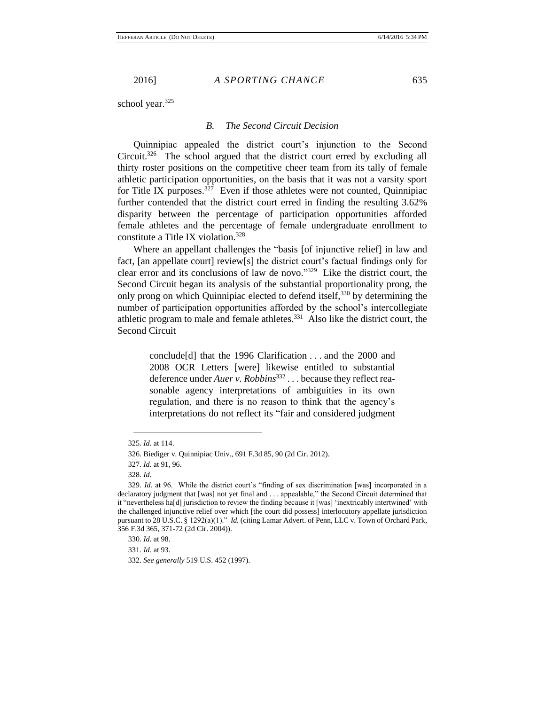school year.<sup>325</sup>

### *B. The Second Circuit Decision*

Quinnipiac appealed the district court's injunction to the Second Circuit.<sup>326</sup> The school argued that the district court erred by excluding all thirty roster positions on the competitive cheer team from its tally of female athletic participation opportunities, on the basis that it was not a varsity sport for Title IX purposes.<sup>327</sup> Even if those athletes were not counted, Quinnipiac further contended that the district court erred in finding the resulting 3.62% disparity between the percentage of participation opportunities afforded female athletes and the percentage of female undergraduate enrollment to constitute a Title IX violation.<sup>328</sup>

Where an appellant challenges the "basis [of injunctive relief] in law and fact, [an appellate court] review[s] the district court's factual findings only for clear error and its conclusions of law de novo." 329 Like the district court, the Second Circuit began its analysis of the substantial proportionality prong, the only prong on which Quinnipiac elected to defend itself,<sup>330</sup> by determining the number of participation opportunities afforded by the school's intercollegiate athletic program to male and female athletes. $331$  Also like the district court, the Second Circuit

> conclude[d] that the 1996 Clarification . . . and the 2000 and 2008 OCR Letters [were] likewise entitled to substantial deference under *Auer v. Robbins*<sup>332</sup>... because they reflect reasonable agency interpretations of ambiguities in its own regulation, and there is no reason to think that the agency's interpretations do not reflect its "fair and considered judgment

<sup>325.</sup> *Id.* at 114.

<sup>326.</sup> Biediger v. Quinnipiac Univ., 691 F.3d 85, 90 (2d Cir. 2012).

<sup>327.</sup> *Id.* at 91, 96.

<sup>328.</sup> *Id.*

<sup>329.</sup> *Id.* at 96. While the district court's "finding of sex discrimination [was] incorporated in a declaratory judgment that [was] not yet final and . . . appealable," the Second Circuit determined that it "nevertheless ha[d] jurisdiction to review the finding because it [was] 'inextricably intertwined' with the challenged injunctive relief over which [the court did possess] interlocutory appellate jurisdiction pursuant to 28 U.S.C. § 1292(a)(1)." *Id.* (citing Lamar Advert. of Penn, LLC v. Town of Orchard Park, 356 F.3d 365, 371-72 (2d Cir. 2004)).

<sup>330.</sup> *Id.* at 98.

<sup>331.</sup> *Id.* at 93.

<sup>332.</sup> *See generally* 519 U.S. 452 (1997).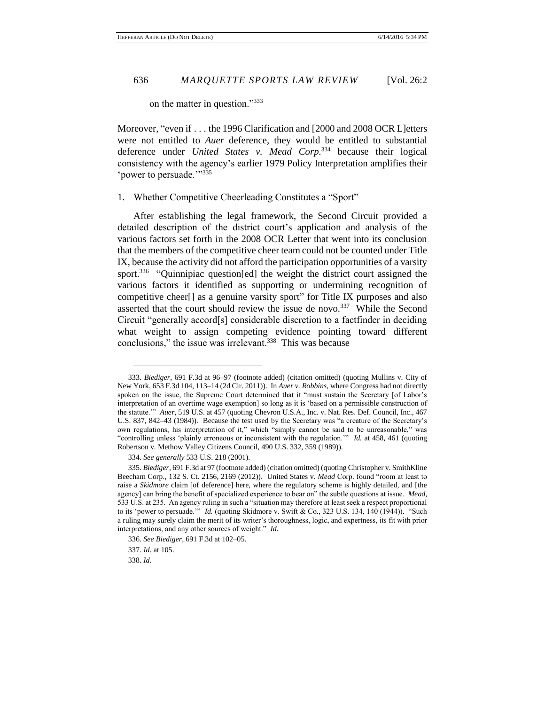on the matter in question."333

Moreover, "even if . . . the 1996 Clarification and [2000 and 2008 OCR L]etters were not entitled to *Auer* deference, they would be entitled to substantial deference under *United States v. Mead Corp.*<sup>334</sup> because their logical consistency with the agency's earlier 1979 Policy Interpretation amplifies their 'power to persuade.'"<sup>335</sup>

# 1. Whether Competitive Cheerleading Constitutes a "Sport"

After establishing the legal framework, the Second Circuit provided a detailed description of the district court's application and analysis of the various factors set forth in the 2008 OCR Letter that went into its conclusion that the members of the competitive cheer team could not be counted under Title IX, because the activity did not afford the participation opportunities of a varsity sport.<sup>336</sup> "Quinnipiac question[ed] the weight the district court assigned the various factors it identified as supporting or undermining recognition of competitive cheer[] as a genuine varsity sport" for Title IX purposes and also asserted that the court should review the issue de novo.<sup>337</sup> While the Second Circuit "generally accord[s] considerable discretion to a factfinder in deciding what weight to assign competing evidence pointing toward different conclusions," the issue was irrelevant. $338$  This was because

<sup>333.</sup> *Biediger*, 691 F.3d at 96–97 (footnote added) (citation omitted) (quoting Mullins v. City of New York, 653 F.3d 104, 113–14 (2d Cir. 2011)). In *Auer v. Robbins*, where Congress had not directly spoken on the issue, the Supreme Court determined that it "must sustain the Secretary [of Labor's interpretation of an overtime wage exemption] so long as it is 'based on a permissible construction of the statute.'" *Auer*, 519 U.S. at 457 (quoting Chevron U.S.A., Inc. v. Nat. Res. Def. Council, Inc., 467 U.S. 837, 842–43 (1984)). Because the test used by the Secretary was "a creature of the Secretary's own regulations, his interpretation of it," which "simply cannot be said to be unreasonable," was "controlling unless 'plainly erroneous or inconsistent with the regulation.'" *Id.* at 458, 461 (quoting Robertson v. Methow Valley Citizens Council, 490 U.S. 332, 359 (1989)).

<sup>334.</sup> *See generally* 533 U.S. 218 (2001).

<sup>335.</sup> *Biediger*, 691 F.3d at 97 (footnote added) (citation omitted) (quoting Christopher v. SmithKline Beecham Corp., 132 S. Ct. 2156, 2169 (2012)). United States v. *Mead* Corp. found "room at least to raise a *Skidmore* claim [of deference] here, where the regulatory scheme is highly detailed, and [the agency] can bring the benefit of specialized experience to bear on" the subtle questions at issue. *Mead*, 533 U.S. at 235. An agency ruling in such a "situation may therefore at least seek a respect proportional to its 'power to persuade.'" *Id.* (quoting Skidmore v. Swift & Co., 323 U.S. 134, 140 (1944)). "Such a ruling may surely claim the merit of its writer's thoroughness, logic, and expertness, its fit with prior interpretations, and any other sources of weight." *Id.*

<sup>336.</sup> *See Biediger*, 691 F.3d at 102–05. 337. *Id.* at 105.

<sup>338.</sup> *Id.*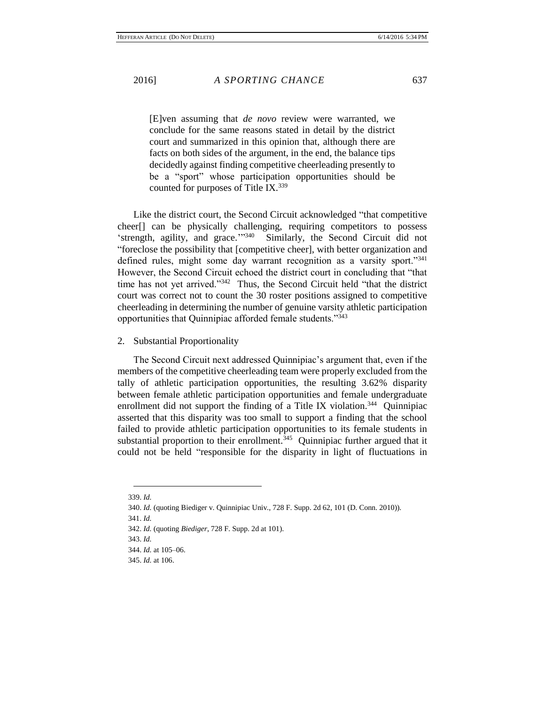[E]ven assuming that *de novo* review were warranted, we conclude for the same reasons stated in detail by the district court and summarized in this opinion that, although there are facts on both sides of the argument, in the end, the balance tips decidedly against finding competitive cheerleading presently to be a "sport" whose participation opportunities should be counted for purposes of Title IX.<sup>339</sup>

Like the district court, the Second Circuit acknowledged "that competitive cheer[] can be physically challenging, requiring competitors to possess 'strength, agility, and grace.'"<sup>340</sup> Similarly, the Second Circuit did not "foreclose the possibility that [competitive cheer], with better organization and defined rules, might some day warrant recognition as a varsity sport."341 However, the Second Circuit echoed the district court in concluding that "that time has not yet arrived."<sup>342</sup> Thus, the Second Circuit held "that the district court was correct not to count the 30 roster positions assigned to competitive cheerleading in determining the number of genuine varsity athletic participation opportunities that Quinnipiac afforded female students."<sup>343</sup>

### 2. Substantial Proportionality

The Second Circuit next addressed Quinnipiac's argument that, even if the members of the competitive cheerleading team were properly excluded from the tally of athletic participation opportunities, the resulting 3.62% disparity between female athletic participation opportunities and female undergraduate enrollment did not support the finding of a Title IX violation.<sup>344</sup> Quinnipiac asserted that this disparity was too small to support a finding that the school failed to provide athletic participation opportunities to its female students in substantial proportion to their enrollment.<sup>345</sup> Quinnipiac further argued that it could not be held "responsible for the disparity in light of fluctuations in

- 341. *Id.*
- 342. *Id.* (quoting *Biediger*, 728 F. Supp. 2d at 101).

344. *Id.* at 105–06.

 $\overline{a}$ 339. *Id.*

<sup>340.</sup> *Id.* (quoting Biediger v. Quinnipiac Univ., 728 F. Supp. 2d 62, 101 (D. Conn. 2010)).

<sup>343.</sup> *Id.*

<sup>345.</sup> *Id.* at 106.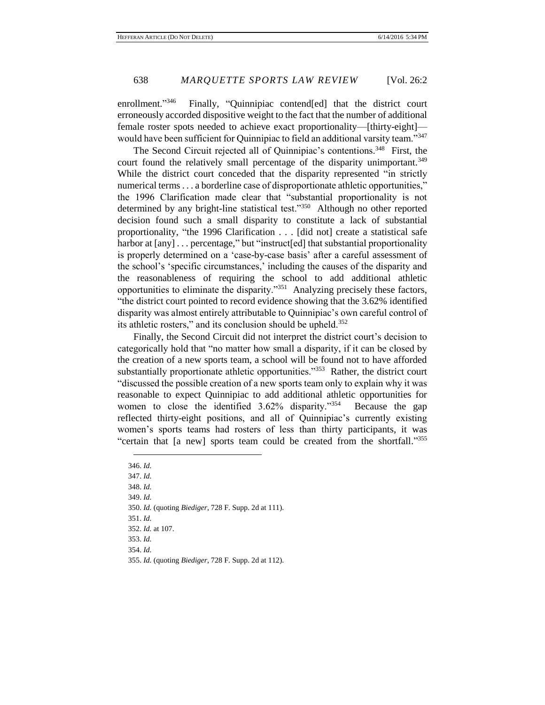enrollment." 346 Finally, "Quinnipiac contend[ed] that the district court erroneously accorded dispositive weight to the fact that the number of additional female roster spots needed to achieve exact proportionality—[thirty-eight] would have been sufficient for Quinnipiac to field an additional varsity team."347

The Second Circuit rejected all of Quinnipiac's contentions.<sup>348</sup> First, the court found the relatively small percentage of the disparity unimportant.<sup>349</sup> While the district court conceded that the disparity represented "in strictly numerical terms . . . a borderline case of disproportionate athletic opportunities," the 1996 Clarification made clear that "substantial proportionality is not determined by any bright-line statistical test."<sup>350</sup> Although no other reported decision found such a small disparity to constitute a lack of substantial proportionality, "the 1996 Clarification . . . [did not] create a statistical safe harbor at  $\lceil \text{any} \rceil$ ... percentage," but "instruct  $\lceil \text{ed} \rceil$  that substantial proportionality is properly determined on a 'case-by-case basis' after a careful assessment of the school's 'specific circumstances,' including the causes of the disparity and the reasonableness of requiring the school to add additional athletic opportunities to eliminate the disparity."<sup>351</sup> Analyzing precisely these factors, "the district court pointed to record evidence showing that the 3.62% identified disparity was almost entirely attributable to Quinnipiac's own careful control of its athletic rosters," and its conclusion should be upheld.<sup>352</sup>

Finally, the Second Circuit did not interpret the district court's decision to categorically hold that "no matter how small a disparity, if it can be closed by the creation of a new sports team, a school will be found not to have afforded substantially proportionate athletic opportunities."<sup>353</sup> Rather, the district court "discussed the possible creation of a new sports team only to explain why it was reasonable to expect Quinnipiac to add additional athletic opportunities for women to close the identified 3.62% disparity."<sup>354</sup> Because the gap reflected thirty-eight positions, and all of Quinnipiac's currently existing women's sports teams had rosters of less than thirty participants, it was "certain that [a new] sports team could be created from the shortfall."355

346. *Id.* 347. *Id.* 348. *Id.* 349. *Id.* 350. *Id.* (quoting *Biediger*, 728 F. Supp. 2d at 111). 351. *Id.* 352. *Id.* at 107. 353. *Id.* 354. *Id.* 355. *Id.* (quoting *Biediger*, 728 F. Supp. 2d at 112).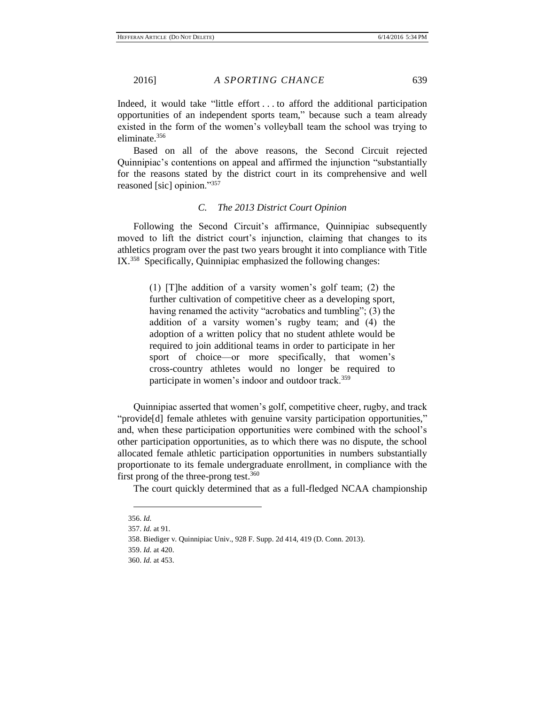Indeed, it would take "little effort . . . to afford the additional participation opportunities of an independent sports team," because such a team already existed in the form of the women's volleyball team the school was trying to eliminate.<sup>356</sup>

Based on all of the above reasons, the Second Circuit rejected Quinnipiac's contentions on appeal and affirmed the injunction "substantially for the reasons stated by the district court in its comprehensive and well reasoned [sic] opinion."<sup>357</sup>

# *C. The 2013 District Court Opinion*

Following the Second Circuit's affirmance, Quinnipiac subsequently moved to lift the district court's injunction, claiming that changes to its athletics program over the past two years brought it into compliance with Title IX.<sup>358</sup> Specifically, Quinnipiac emphasized the following changes:

> (1) [T]he addition of a varsity women's golf team; (2) the further cultivation of competitive cheer as a developing sport, having renamed the activity "acrobatics and tumbling"; (3) the addition of a varsity women's rugby team; and (4) the adoption of a written policy that no student athlete would be required to join additional teams in order to participate in her sport of choice—or more specifically, that women's cross-country athletes would no longer be required to participate in women's indoor and outdoor track.<sup>359</sup>

Quinnipiac asserted that women's golf, competitive cheer, rugby, and track "provide[d] female athletes with genuine varsity participation opportunities," and, when these participation opportunities were combined with the school's other participation opportunities, as to which there was no dispute, the school allocated female athletic participation opportunities in numbers substantially proportionate to its female undergraduate enrollment, in compliance with the first prong of the three-prong test.<sup>360</sup>

The court quickly determined that as a full-fledged NCAA championship

 $\overline{a}$ 356. *Id.*

<sup>357.</sup> *Id.* at 91.

<sup>358.</sup> Biediger v. Quinnipiac Univ., 928 F. Supp. 2d 414, 419 (D. Conn. 2013).

<sup>359.</sup> *Id.* at 420.

<sup>360.</sup> *Id.* at 453.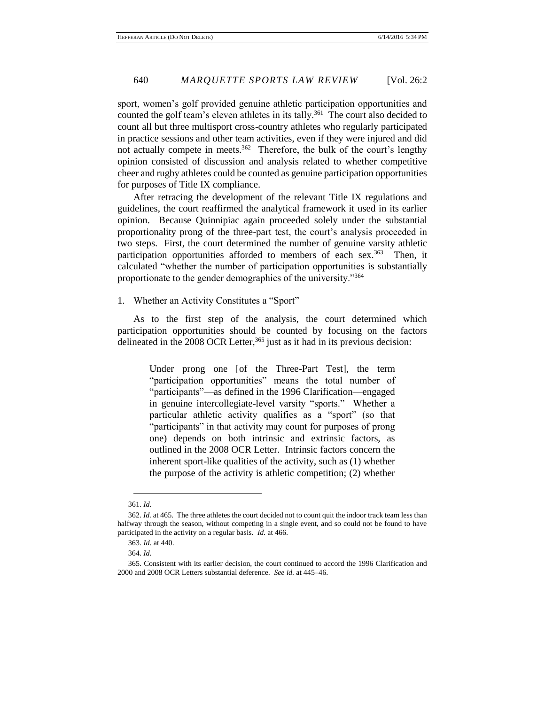sport, women's golf provided genuine athletic participation opportunities and counted the golf team's eleven athletes in its tally.<sup>361</sup> The court also decided to count all but three multisport cross-country athletes who regularly participated in practice sessions and other team activities, even if they were injured and did not actually compete in meets.<sup>362</sup> Therefore, the bulk of the court's lengthy opinion consisted of discussion and analysis related to whether competitive cheer and rugby athletes could be counted as genuine participation opportunities for purposes of Title IX compliance.

After retracing the development of the relevant Title IX regulations and guidelines, the court reaffirmed the analytical framework it used in its earlier opinion. Because Quinnipiac again proceeded solely under the substantial proportionality prong of the three-part test, the court's analysis proceeded in two steps. First, the court determined the number of genuine varsity athletic participation opportunities afforded to members of each sex.<sup>363</sup> Then, it calculated "whether the number of participation opportunities is substantially proportionate to the gender demographics of the university."<sup>364</sup>

### 1. Whether an Activity Constitutes a "Sport"

As to the first step of the analysis, the court determined which participation opportunities should be counted by focusing on the factors delineated in the 2008 OCR Letter,  $365$  just as it had in its previous decision:

> Under prong one [of the Three-Part Test], the term "participation opportunities" means the total number of "participants"—as defined in the 1996 Clarification—engaged in genuine intercollegiate-level varsity "sports." Whether a particular athletic activity qualifies as a "sport" (so that "participants" in that activity may count for purposes of prong one) depends on both intrinsic and extrinsic factors, as outlined in the 2008 OCR Letter. Intrinsic factors concern the inherent sport-like qualities of the activity, such as (1) whether the purpose of the activity is athletic competition; (2) whether

 $\overline{a}$ 361. *Id.*

<sup>362.</sup> *Id.* at 465. The three athletes the court decided not to count quit the indoor track team less than halfway through the season, without competing in a single event, and so could not be found to have participated in the activity on a regular basis. *Id.* at 466.

<sup>363.</sup> *Id.* at 440.

<sup>364.</sup> *Id.*

<sup>365.</sup> Consistent with its earlier decision, the court continued to accord the 1996 Clarification and 2000 and 2008 OCR Letters substantial deference. *See id.* at 445–46.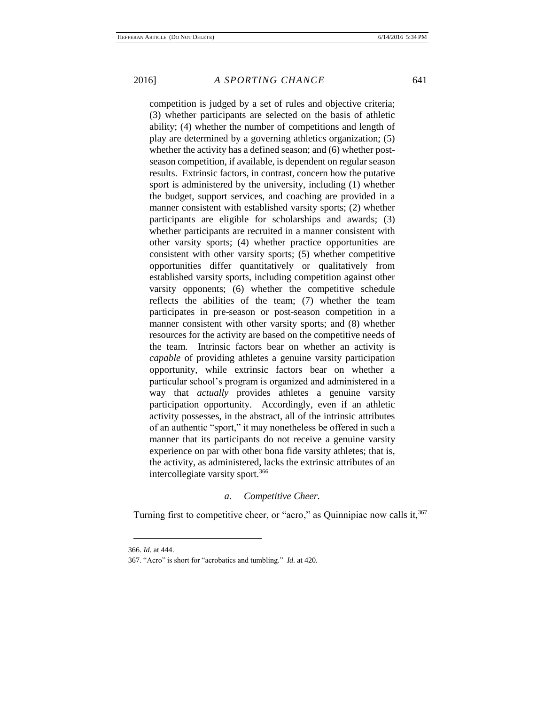competition is judged by a set of rules and objective criteria; (3) whether participants are selected on the basis of athletic ability; (4) whether the number of competitions and length of play are determined by a governing athletics organization; (5) whether the activity has a defined season; and (6) whether postseason competition, if available, is dependent on regular season results. Extrinsic factors, in contrast, concern how the putative sport is administered by the university, including (1) whether the budget, support services, and coaching are provided in a manner consistent with established varsity sports; (2) whether participants are eligible for scholarships and awards; (3) whether participants are recruited in a manner consistent with other varsity sports; (4) whether practice opportunities are consistent with other varsity sports; (5) whether competitive opportunities differ quantitatively or qualitatively from established varsity sports, including competition against other varsity opponents; (6) whether the competitive schedule reflects the abilities of the team; (7) whether the team participates in pre-season or post-season competition in a manner consistent with other varsity sports; and (8) whether resources for the activity are based on the competitive needs of the team. Intrinsic factors bear on whether an activity is *capable* of providing athletes a genuine varsity participation opportunity, while extrinsic factors bear on whether a particular school's program is organized and administered in a way that *actually* provides athletes a genuine varsity participation opportunity. Accordingly, even if an athletic activity possesses, in the abstract, all of the intrinsic attributes of an authentic "sport," it may nonetheless be offered in such a manner that its participants do not receive a genuine varsity experience on par with other bona fide varsity athletes; that is, the activity, as administered, lacks the extrinsic attributes of an intercollegiate varsity sport.<sup>366</sup>

# *a. Competitive Cheer.*

Turning first to competitive cheer, or "acro," as Quinnipiac now calls it,<sup>367</sup>

<sup>366.</sup> *Id.* at 444.

<sup>367. &</sup>quot;Acro" is short for "acrobatics and tumbling." *Id.* at 420.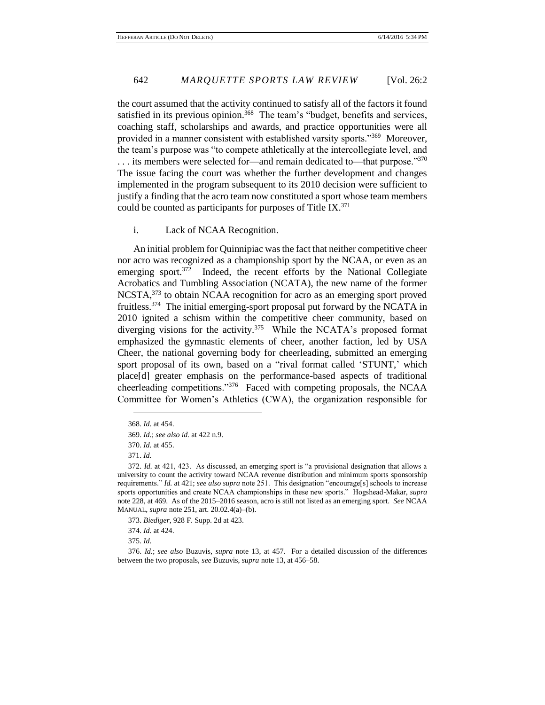the court assumed that the activity continued to satisfy all of the factors it found satisfied in its previous opinion.<sup>368</sup> The team's "budget, benefits and services, coaching staff, scholarships and awards, and practice opportunities were all provided in a manner consistent with established varsity sports."<sup>369</sup> Moreover, the team's purpose was "to compete athletically at the intercollegiate level, and ... its members were selected for—and remain dedicated to—that purpose."370 The issue facing the court was whether the further development and changes implemented in the program subsequent to its 2010 decision were sufficient to justify a finding that the acro team now constituted a sport whose team members could be counted as participants for purposes of Title IX. $^{371}$ 

# i. Lack of NCAA Recognition.

An initial problem for Quinnipiac was the fact that neither competitive cheer nor acro was recognized as a championship sport by the NCAA, or even as an emerging sport.<sup>372</sup> Indeed, the recent efforts by the National Collegiate Acrobatics and Tumbling Association (NCATA), the new name of the former NCSTA,<sup>373</sup> to obtain NCAA recognition for acro as an emerging sport proved fruitless.<sup>374</sup> The initial emerging-sport proposal put forward by the NCATA in 2010 ignited a schism within the competitive cheer community, based on diverging visions for the activity.<sup>375</sup> While the NCATA's proposed format emphasized the gymnastic elements of cheer, another faction, led by USA Cheer, the national governing body for cheerleading, submitted an emerging sport proposal of its own, based on a "rival format called 'STUNT,' which place[d] greater emphasis on the performance-based aspects of traditional cheerleading competitions."<sup>376</sup> Faced with competing proposals, the NCAA Committee for Women's Athletics (CWA), the organization responsible for

 $\overline{a}$ 

374. *Id.* at 424.

375. *Id.*

<sup>368.</sup> *Id.* at 454.

<sup>369.</sup> *Id.*; *see also id.* at 422 n.9.

<sup>370.</sup> *Id.* at 455.

<sup>371.</sup> *Id.*

<sup>372.</sup> *Id.* at 421, 423. As discussed, an emerging sport is "a provisional designation that allows a university to count the activity toward NCAA revenue distribution and minimum sports sponsorship requirements." *Id.* at 421; *see also supra* note 251. This designation "encourage[s] schools to increase sports opportunities and create NCAA championships in these new sports." Hogshead-Makar, *supra* note 228, at 469. As of the 2015–2016 season, acro is still not listed as an emerging sport. *See* NCAA MANUAL, *supra* note 251, art. 20.02.4(a)–(b).

<sup>373.</sup> *Biediger*, 928 F. Supp. 2d at 423.

<sup>376.</sup> *Id.*; *see also* Buzuvis, *supra* note 13, at 457. For a detailed discussion of the differences between the two proposals, *see* Buzuvis, *supra* note 13, at 456–58.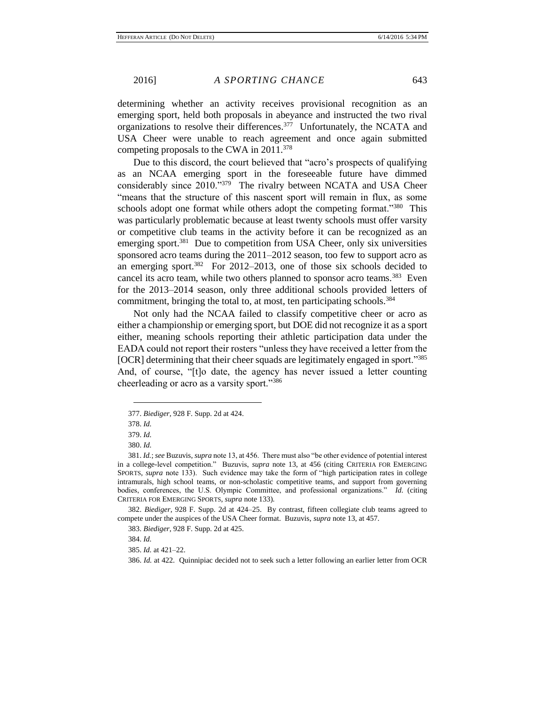determining whether an activity receives provisional recognition as an emerging sport, held both proposals in abeyance and instructed the two rival organizations to resolve their differences.<sup>377</sup> Unfortunately, the NCATA and USA Cheer were unable to reach agreement and once again submitted competing proposals to the CWA in 2011.<sup>378</sup>

Due to this discord, the court believed that "acro's prospects of qualifying as an NCAA emerging sport in the foreseeable future have dimmed considerably since 2010."<sup>379</sup> The rivalry between NCATA and USA Cheer "means that the structure of this nascent sport will remain in flux, as some schools adopt one format while others adopt the competing format."<sup>380</sup> This was particularly problematic because at least twenty schools must offer varsity or competitive club teams in the activity before it can be recognized as an emerging sport.<sup>381</sup> Due to competition from USA Cheer, only six universities sponsored acro teams during the 2011–2012 season, too few to support acro as an emerging sport.<sup>382</sup> For 2012–2013, one of those six schools decided to cancel its acro team, while two others planned to sponsor acro teams.<sup>383</sup> Even for the 2013–2014 season, only three additional schools provided letters of commitment, bringing the total to, at most, ten participating schools.<sup>384</sup>

Not only had the NCAA failed to classify competitive cheer or acro as either a championship or emerging sport, but DOE did not recognize it as a sport either, meaning schools reporting their athletic participation data under the EADA could not report their rosters "unless they have received a letter from the [OCR] determining that their cheer squads are legitimately engaged in sport."385 And, of course, "[t]o date, the agency has never issued a letter counting cheerleading or acro as a varsity sport."<sup>386</sup>

 $\overline{a}$ 

382. *Biediger*, 928 F. Supp. 2d at 424–25. By contrast, fifteen collegiate club teams agreed to compete under the auspices of the USA Cheer format. Buzuvis, *supra* note 13, at 457.

384. *Id.*

386. *Id.* at 422. Quinnipiac decided not to seek such a letter following an earlier letter from OCR

<sup>377.</sup> *Biediger*, 928 F. Supp. 2d at 424.

<sup>378.</sup> *Id.*

<sup>379.</sup> *Id.*

<sup>380.</sup> *Id.*

<sup>381.</sup> *Id.*; *see* Buzuvis, *supra* note 13, at 456. There must also "be other evidence of potential interest in a college-level competition." Buzuvis, *supra* note 13, at 456 (citing CRITERIA FOR EMERGING SPORTS, *supra* note 133). Such evidence may take the form of "high participation rates in college intramurals, high school teams, or non-scholastic competitive teams, and support from governing bodies, conferences, the U.S. Olympic Committee, and professional organizations." *Id.* (citing CRITERIA FOR EMERGING SPORTS, *supra* note 133).

<sup>383.</sup> *Biediger*, 928 F. Supp. 2d at 425.

<sup>385.</sup> *Id.* at 421–22.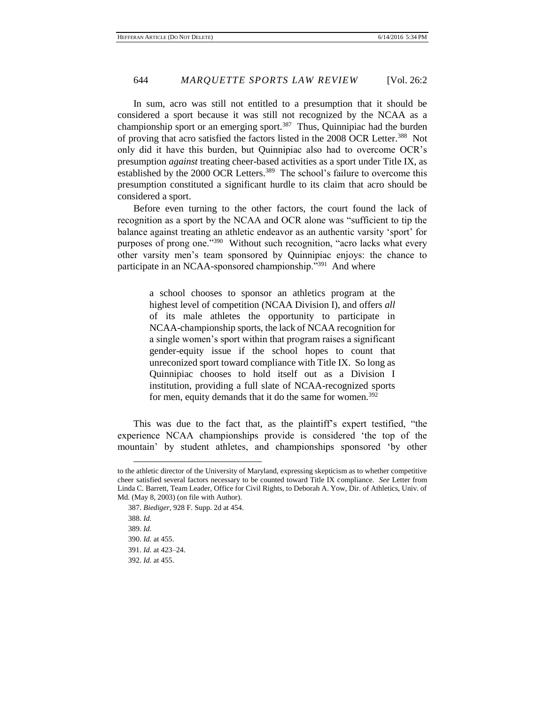In sum, acro was still not entitled to a presumption that it should be considered a sport because it was still not recognized by the NCAA as a championship sport or an emerging sport.<sup>387</sup> Thus, Quinnipiac had the burden of proving that acro satisfied the factors listed in the 2008 OCR Letter.<sup>388</sup> Not only did it have this burden, but Quinnipiac also had to overcome OCR's presumption *against* treating cheer-based activities as a sport under Title IX, as established by the 2000 OCR Letters.<sup>389</sup> The school's failure to overcome this presumption constituted a significant hurdle to its claim that acro should be considered a sport.

Before even turning to the other factors, the court found the lack of recognition as a sport by the NCAA and OCR alone was "sufficient to tip the balance against treating an athletic endeavor as an authentic varsity 'sport' for purposes of prong one."<sup>390</sup> Without such recognition, "acro lacks what every other varsity men's team sponsored by Quinnipiac enjoys: the chance to participate in an NCAA-sponsored championship."<sup>391</sup> And where

> a school chooses to sponsor an athletics program at the highest level of competition (NCAA Division I), and offers *all* of its male athletes the opportunity to participate in NCAA-championship sports, the lack of NCAA recognition for a single women's sport within that program raises a significant gender-equity issue if the school hopes to count that unreconized sport toward compliance with Title IX. So long as Quinnipiac chooses to hold itself out as a Division I institution, providing a full slate of NCAA-recognized sports for men, equity demands that it do the same for women.<sup>392</sup>

This was due to the fact that, as the plaintiff's expert testified, "the experience NCAA championships provide is considered 'the top of the mountain' by student athletes, and championships sponsored 'by other

to the athletic director of the University of Maryland, expressing skepticism as to whether competitive cheer satisfied several factors necessary to be counted toward Title IX compliance. *See* Letter from Linda C. Barrett, Team Leader, Office for Civil Rights, to Deborah A. Yow, Dir. of Athletics, Univ. of Md. (May 8, 2003) (on file with Author).

<sup>387.</sup> *Biediger*, 928 F. Supp. 2d at 454.

<sup>388.</sup> *Id.* 389. *Id.* 390. *Id.* at 455. 391. *Id.* at 423–24. 392. *Id.* at 455.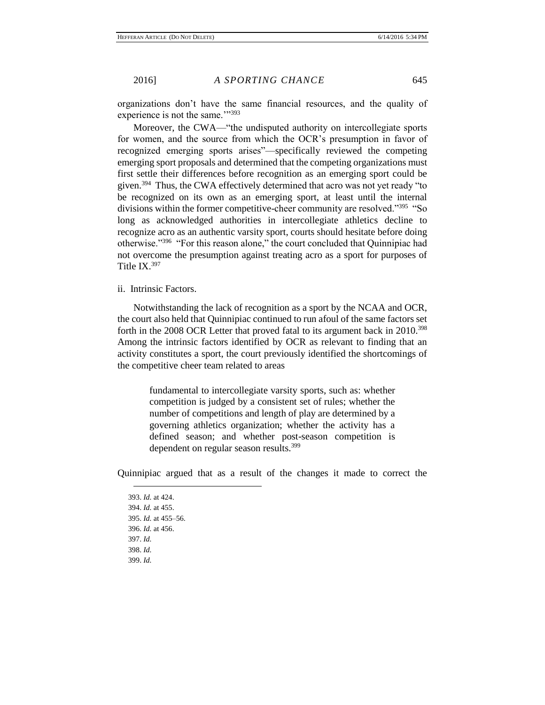organizations don't have the same financial resources, and the quality of experience is not the same.""393

Moreover, the CWA—"the undisputed authority on intercollegiate sports for women, and the source from which the OCR's presumption in favor of recognized emerging sports arises"—specifically reviewed the competing emerging sport proposals and determined that the competing organizations must first settle their differences before recognition as an emerging sport could be given.<sup>394</sup> Thus, the CWA effectively determined that acro was not yet ready "to be recognized on its own as an emerging sport, at least until the internal divisions within the former competitive-cheer community are resolved."<sup>395</sup> "So long as acknowledged authorities in intercollegiate athletics decline to recognize acro as an authentic varsity sport, courts should hesitate before doing otherwise."<sup>396</sup> "For this reason alone," the court concluded that Quinnipiac had not overcome the presumption against treating acro as a sport for purposes of Title IX.<sup>397</sup>

ii. Intrinsic Factors.

Notwithstanding the lack of recognition as a sport by the NCAA and OCR, the court also held that Quinnipiac continued to run afoul of the same factors set forth in the 2008 OCR Letter that proved fatal to its argument back in 2010.<sup>398</sup> Among the intrinsic factors identified by OCR as relevant to finding that an activity constitutes a sport, the court previously identified the shortcomings of the competitive cheer team related to areas

> fundamental to intercollegiate varsity sports, such as: whether competition is judged by a consistent set of rules; whether the number of competitions and length of play are determined by a governing athletics organization; whether the activity has a defined season; and whether post-season competition is dependent on regular season results.<sup>399</sup>

Quinnipiac argued that as a result of the changes it made to correct the

393. *Id.* at 424. 394. *Id.* at 455. 395. *Id.* at 455–56. 396. *Id.* at 456. 397. *Id.* 398. *Id.* 399. *Id.*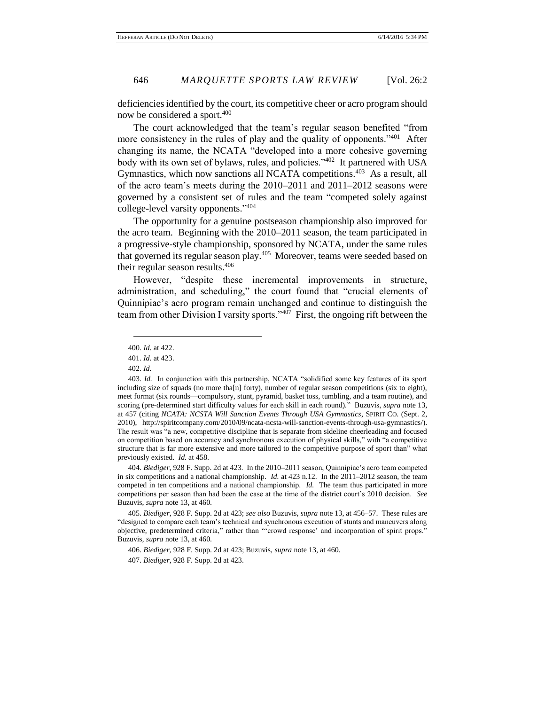deficiencies identified by the court, its competitive cheer or acro program should now be considered a sport.<sup>400</sup>

The court acknowledged that the team's regular season benefited "from more consistency in the rules of play and the quality of opponents."<sup>401</sup> After changing its name, the NCATA "developed into a more cohesive governing body with its own set of bylaws, rules, and policies."<sup>402</sup> It partnered with USA Gymnastics, which now sanctions all NCATA competitions.<sup>403</sup> As a result, all of the acro team's meets during the 2010–2011 and 2011–2012 seasons were governed by a consistent set of rules and the team "competed solely against college-level varsity opponents." 404

The opportunity for a genuine postseason championship also improved for the acro team. Beginning with the 2010–2011 season, the team participated in a progressive-style championship, sponsored by NCATA, under the same rules that governed its regular season play.<sup>405</sup> Moreover, teams were seeded based on their regular season results.<sup>406</sup>

However, "despite these incremental improvements in structure, administration, and scheduling," the court found that "crucial elements of Quinnipiac's acro program remain unchanged and continue to distinguish the team from other Division I varsity sports."<sup>407</sup> First, the ongoing rift between the

 $\overline{a}$ 

404. *Biediger*, 928 F. Supp. 2d at 423. In the 2010–2011 season, Quinnipiac's acro team competed in six competitions and a national championship. *Id.* at 423 n.12. In the 2011–2012 season, the team competed in ten competitions and a national championship. *Id.* The team thus participated in more competitions per season than had been the case at the time of the district court's 2010 decision. *See* Buzuvis, *supra* note 13, at 460.

406. *Biediger*, 928 F. Supp. 2d at 423; Buzuvis, *supra* note 13, at 460.

407. *Biediger*, 928 F. Supp. 2d at 423.

<sup>400.</sup> *Id.* at 422.

<sup>401.</sup> *Id.* at 423.

<sup>402.</sup> *Id.*

<sup>403.</sup> *Id.* In conjunction with this partnership, NCATA "solidified some key features of its sport including size of squads (no more tha[n] forty), number of regular season competitions (six to eight), meet format (six rounds—compulsory, stunt, pyramid, basket toss, tumbling, and a team routine), and scoring (pre-determined start difficulty values for each skill in each round)." Buzuvis, *supra* note 13, at 457 (citing *NCATA: NCSTA Will Sanction Events Through USA Gymnastics*, SPIRIT CO. (Sept. 2, 2010), http://spiritcompany.com/2010/09/ncata-ncsta-will-sanction-events-through-usa-gymnastics/). The result was "a new, competitive discipline that is separate from sideline cheerleading and focused on competition based on accuracy and synchronous execution of physical skills," with "a competitive structure that is far more extensive and more tailored to the competitive purpose of sport than" what previously existed. *Id.* at 458.

<sup>405.</sup> *Biediger*, 928 F. Supp. 2d at 423; *see also* Buzuvis, *supra* note 13, at 456–57. These rules are "designed to compare each team's technical and synchronous execution of stunts and maneuvers along objective, predetermined criteria," rather than "'crowd response' and incorporation of spirit props." Buzuvis, *supra* note 13, at 460.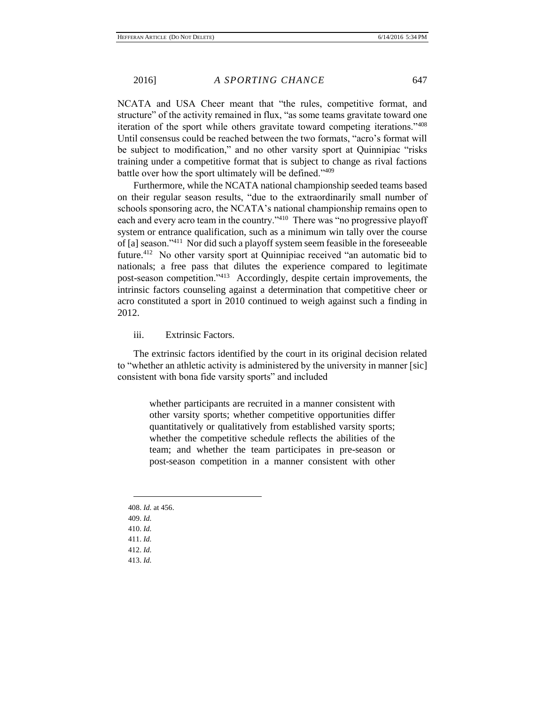NCATA and USA Cheer meant that "the rules, competitive format, and structure" of the activity remained in flux, "as some teams gravitate toward one iteration of the sport while others gravitate toward competing iterations."<sup>408</sup> Until consensus could be reached between the two formats, "acro's format will be subject to modification," and no other varsity sport at Quinnipiac "risks training under a competitive format that is subject to change as rival factions battle over how the sport ultimately will be defined."<sup>409</sup>

Furthermore, while the NCATA national championship seeded teams based on their regular season results, "due to the extraordinarily small number of schools sponsoring acro, the NCATA's national championship remains open to each and every acro team in the country."<sup>410</sup> There was "no progressive playoff system or entrance qualification, such as a minimum win tally over the course of [a] season."<sup>411</sup> Nor did such a playoff system seem feasible in the foreseeable future.<sup>412</sup> No other varsity sport at Quinnipiac received "an automatic bid to nationals; a free pass that dilutes the experience compared to legitimate post-season competition."<sup>413</sup> Accordingly, despite certain improvements, the intrinsic factors counseling against a determination that competitive cheer or acro constituted a sport in 2010 continued to weigh against such a finding in 2012.

iii. Extrinsic Factors.

The extrinsic factors identified by the court in its original decision related to "whether an athletic activity is administered by the university in manner [sic] consistent with bona fide varsity sports" and included

> whether participants are recruited in a manner consistent with other varsity sports; whether competitive opportunities differ quantitatively or qualitatively from established varsity sports; whether the competitive schedule reflects the abilities of the team; and whether the team participates in pre-season or post-season competition in a manner consistent with other

408. *Id.* at 456. 409. *Id.* 410. *Id.* 411. *Id.* 412. *Id.* 413. *Id.*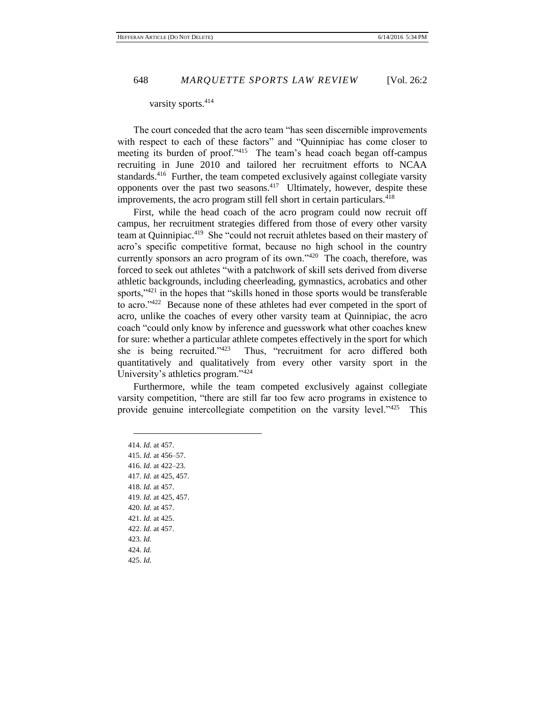#### varsity sports.<sup>414</sup>

The court conceded that the acro team "has seen discernible improvements with respect to each of these factors" and "Quinnipiac has come closer to meeting its burden of proof."<sup>415</sup> The team's head coach began off-campus recruiting in June 2010 and tailored her recruitment efforts to NCAA standards.<sup>416</sup> Further, the team competed exclusively against collegiate varsity opponents over the past two seasons.<sup>417</sup> Ultimately, however, despite these improvements, the acro program still fell short in certain particulars.<sup>418</sup>

First, while the head coach of the acro program could now recruit off campus, her recruitment strategies differed from those of every other varsity team at Quinnipiac.<sup>419</sup> She "could not recruit athletes based on their mastery of acro's specific competitive format, because no high school in the country currently sponsors an acro program of its own."<sup>420</sup> The coach, therefore, was forced to seek out athletes "with a patchwork of skill sets derived from diverse athletic backgrounds, including cheerleading, gymnastics, acrobatics and other sports,"421 in the hopes that "skills honed in those sports would be transferable to acro."<sup>422</sup> Because none of these athletes had ever competed in the sport of acro, unlike the coaches of every other varsity team at Quinnipiac, the acro coach "could only know by inference and guesswork what other coaches knew for sure: whether a particular athlete competes effectively in the sport for which she is being recruited."<sup>423</sup> Thus, "recruitment for acro differed both quantitatively and qualitatively from every other varsity sport in the University's athletics program."<sup>424</sup>

Furthermore, while the team competed exclusively against collegiate varsity competition, "there are still far too few acro programs in existence to provide genuine intercollegiate competition on the varsity level."<sup>425</sup> This

414. *Id.* at 457. 415. *Id.* at 456–57. 416. *Id.* at 422–23. 417. *Id.* at 425, 457. 418. *Id.* at 457. 419. *Id.* at 425, 457. 420. *Id.* at 457. 421. *Id.* at 425. 422. *Id.* at 457. 423. *Id.* 424. *Id.* 425. *Id.*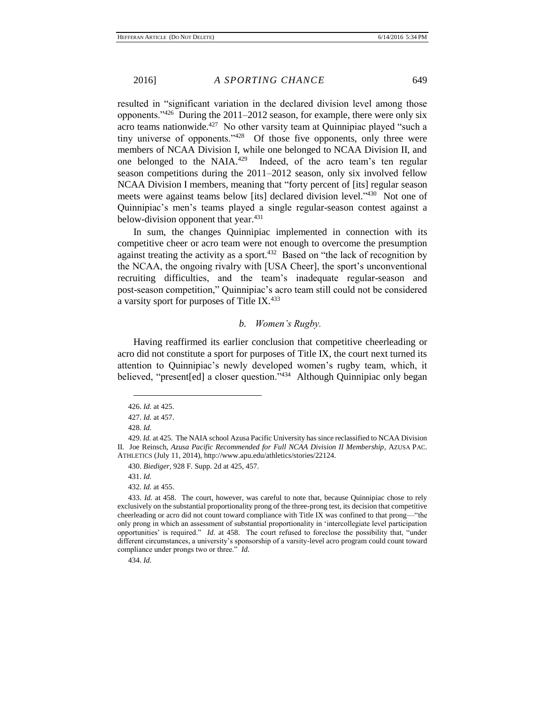resulted in "significant variation in the declared division level among those opponents." $426$  During the 2011–2012 season, for example, there were only six acro teams nationwide.<sup>427</sup> No other varsity team at Quinnipiac played "such a tiny universe of opponents.<sup> $128$ </sup> Of those five opponents, only three were members of NCAA Division I, while one belonged to NCAA Division II, and one belonged to the NAIA.<sup>429</sup> Indeed, of the acro team's ten regular season competitions during the 2011–2012 season, only six involved fellow NCAA Division I members, meaning that "forty percent of [its] regular season meets were against teams below [its] declared division level."430 Not one of Quinnipiac's men's teams played a single regular-season contest against a below-division opponent that year.<sup>431</sup>

In sum, the changes Quinnipiac implemented in connection with its competitive cheer or acro team were not enough to overcome the presumption against treating the activity as a sport. $432$  Based on "the lack of recognition by the NCAA, the ongoing rivalry with [USA Cheer], the sport's unconventional recruiting difficulties, and the team's inadequate regular-season and post-season competition," Quinnipiac's acro team still could not be considered a varsity sport for purposes of Title IX.<sup>433</sup>

# *b. Women's Rugby.*

Having reaffirmed its earlier conclusion that competitive cheerleading or acro did not constitute a sport for purposes of Title IX, the court next turned its attention to Quinnipiac's newly developed women's rugby team, which, it believed, "present[ed] a closer question."<sup>434</sup> Although Quinnipiac only began

<sup>426.</sup> *Id.* at 425.

<sup>427.</sup> *Id.* at 457.

<sup>428.</sup> *Id.*

<sup>429.</sup> *Id.* at 425. The NAIA school Azusa Pacific University has since reclassified to NCAA Division II. Joe Reinsch, *Azusa Pacific Recommended for Full NCAA Division II Membership*, AZUSA PAC. ATHLETICS (July 11, 2014), http://www.apu.edu/athletics/stories/22124.

<sup>430.</sup> *Biediger*, 928 F. Supp. 2d at 425, 457.

<sup>431.</sup> *Id.*

<sup>432.</sup> *Id.* at 455.

<sup>433.</sup> *Id.* at 458. The court, however, was careful to note that, because Quinnipiac chose to rely exclusively on the substantial proportionality prong of the three-prong test, its decision that competitive cheerleading or acro did not count toward compliance with Title IX was confined to that prong—"the only prong in which an assessment of substantial proportionality in 'intercollegiate level participation opportunities' is required." *Id.* at 458. The court refused to foreclose the possibility that, "under different circumstances, a university's sponsorship of a varsity-level acro program could count toward compliance under prongs two or three." *Id.*

<sup>434.</sup> *Id.*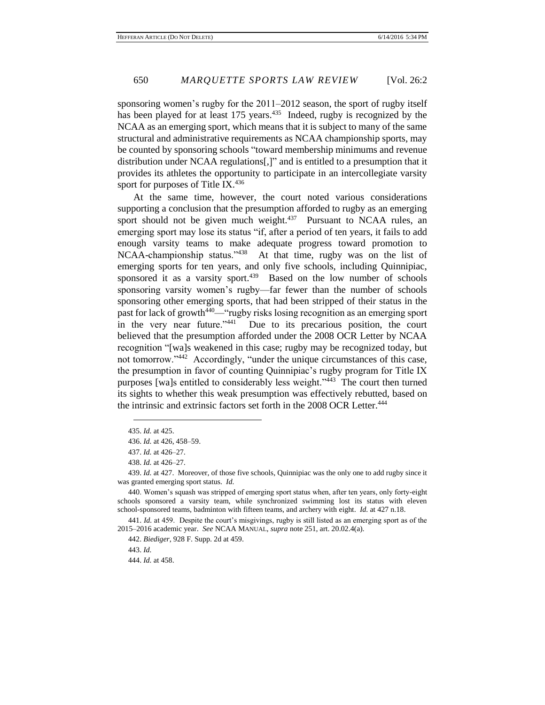sponsoring women's rugby for the 2011–2012 season, the sport of rugby itself has been played for at least 175 years.<sup>435</sup> Indeed, rugby is recognized by the NCAA as an emerging sport, which means that it is subject to many of the same structural and administrative requirements as NCAA championship sports, may be counted by sponsoring schools "toward membership minimums and revenue distribution under NCAA regulations[,]" and is entitled to a presumption that it provides its athletes the opportunity to participate in an intercollegiate varsity sport for purposes of Title IX. $436$ 

At the same time, however, the court noted various considerations supporting a conclusion that the presumption afforded to rugby as an emerging sport should not be given much weight. $437$  Pursuant to NCAA rules, an emerging sport may lose its status "if, after a period of ten years, it fails to add enough varsity teams to make adequate progress toward promotion to NCAA-championship status."<sup>438</sup> At that time, rugby was on the list of emerging sports for ten years, and only five schools, including Quinnipiac, sponsored it as a varsity sport. $439$  Based on the low number of schools sponsoring varsity women's rugby—far fewer than the number of schools sponsoring other emerging sports, that had been stripped of their status in the past for lack of growth<sup>440—"</sup>rugby risks losing recognition as an emerging sport in the very near future."<sup>441</sup> Due to its precarious position, the court believed that the presumption afforded under the 2008 OCR Letter by NCAA recognition "[wa]s weakened in this case; rugby may be recognized today, but not tomorrow."<sup>442</sup> Accordingly, "under the unique circumstances of this case, the presumption in favor of counting Quinnipiac's rugby program for Title IX purposes [wa]s entitled to considerably less weight."<sup>443</sup> The court then turned its sights to whether this weak presumption was effectively rebutted, based on the intrinsic and extrinsic factors set forth in the 2008 OCR Letter.<sup>444</sup>

 $\overline{a}$ 

442. *Biediger*, 928 F. Supp. 2d at 459.

443. *Id.*

444. *Id.* at 458.

<sup>435.</sup> *Id.* at 425.

<sup>436.</sup> *Id.* at 426, 458–59.

<sup>437.</sup> *Id.* at 426–27.

<sup>438.</sup> *Id.* at 426–27.

<sup>439.</sup> *Id.* at 427. Moreover, of those five schools, Quinnipiac was the only one to add rugby since it was granted emerging sport status. *Id.*

<sup>440.</sup> Women's squash was stripped of emerging sport status when, after ten years, only forty-eight schools sponsored a varsity team, while synchronized swimming lost its status with eleven school-sponsored teams, badminton with fifteen teams, and archery with eight. *Id.* at 427 n.18.

<sup>441.</sup> *Id.* at 459. Despite the court's misgivings, rugby is still listed as an emerging sport as of the 2015–2016 academic year. *See* NCAA MANUAL, *supra* note 251, art. 20.02.4(a).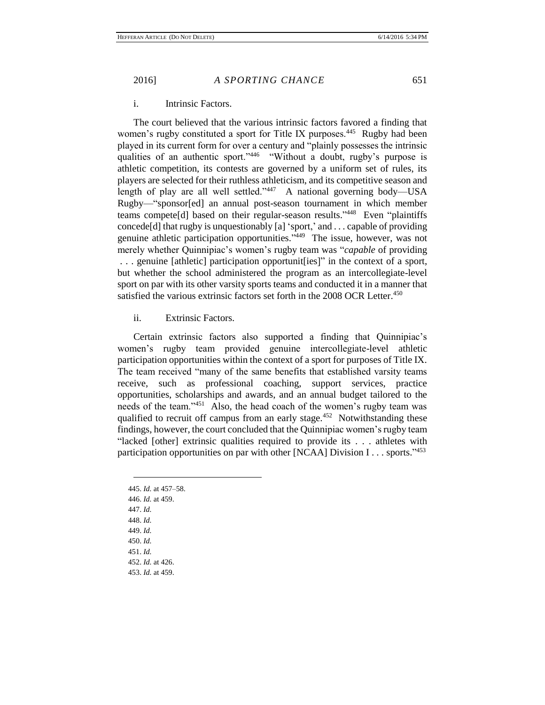## i. Intrinsic Factors.

The court believed that the various intrinsic factors favored a finding that women's rugby constituted a sport for Title IX purposes.<sup>445</sup> Rugby had been played in its current form for over a century and "plainly possesses the intrinsic qualities of an authentic sport."<sup>446</sup> "Without a doubt, rugby's purpose is athletic competition, its contests are governed by a uniform set of rules, its players are selected for their ruthless athleticism, and its competitive season and length of play are all well settled."<sup>447</sup> A national governing body—USA Rugby—"sponsor[ed] an annual post-season tournament in which member teams compete[d] based on their regular-season results." 448 Even "plaintiffs concede[d] that rugby is unquestionably [a] 'sport,' and . . . capable of providing genuine athletic participation opportunities."<sup>449</sup> The issue, however, was not merely whether Quinnipiac's women's rugby team was "*capable* of providing . . . genuine [athletic] participation opportunit[ies]" in the context of a sport, but whether the school administered the program as an intercollegiate-level sport on par with its other varsity sports teams and conducted it in a manner that satisfied the various extrinsic factors set forth in the 2008 OCR Letter.<sup>450</sup>

ii. Extrinsic Factors.

Certain extrinsic factors also supported a finding that Quinnipiac's women's rugby team provided genuine intercollegiate-level athletic participation opportunities within the context of a sport for purposes of Title IX. The team received "many of the same benefits that established varsity teams receive, such as professional coaching, support services, practice opportunities, scholarships and awards, and an annual budget tailored to the needs of the team."<sup>451</sup> Also, the head coach of the women's rugby team was qualified to recruit off campus from an early stage.<sup>452</sup> Notwithstanding these findings, however, the court concluded that the Quinnipiac women's rugby team "lacked [other] extrinsic qualities required to provide its . . . athletes with participation opportunities on par with other [NCAA] Division I... sports."453

445. *Id.* at 457–58. 446. *Id.* at 459. 447. *Id.* 448. *Id.* 449. *Id.* 450. *Id.* 451. *Id.* 452. *Id.* at 426. 453. *Id.* at 459.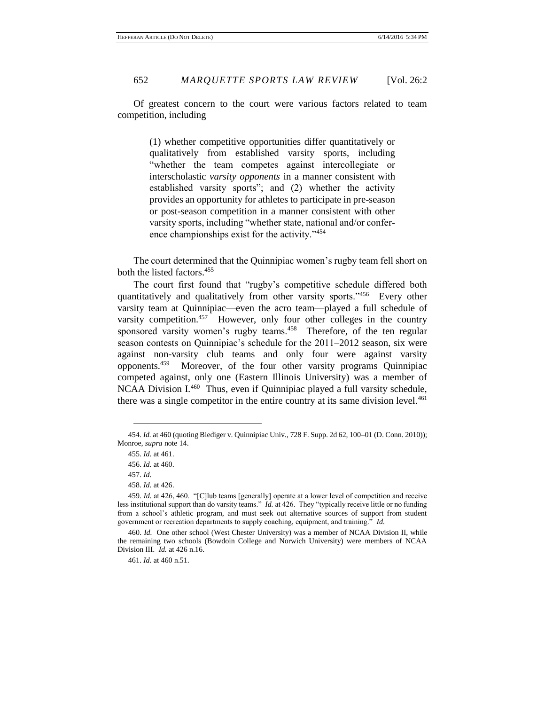Of greatest concern to the court were various factors related to team competition, including

> (1) whether competitive opportunities differ quantitatively or qualitatively from established varsity sports, including "whether the team competes against intercollegiate or interscholastic *varsity opponents* in a manner consistent with established varsity sports"; and (2) whether the activity provides an opportunity for athletes to participate in pre-season or post-season competition in a manner consistent with other varsity sports, including "whether state, national and/or conference championships exist for the activity."<sup>454</sup>

The court determined that the Quinnipiac women's rugby team fell short on both the listed factors.<sup>455</sup>

The court first found that "rugby's competitive schedule differed both quantitatively and qualitatively from other varsity sports."<sup>456</sup> Every other varsity team at Quinnipiac—even the acro team—played a full schedule of varsity competition.<sup>457</sup> However, only four other colleges in the country sponsored varsity women's rugby teams.<sup>458</sup> Therefore, of the ten regular season contests on Quinnipiac's schedule for the 2011–2012 season, six were against non-varsity club teams and only four were against varsity opponents.<sup>459</sup> Moreover, of the four other varsity programs Quinnipiac competed against, only one (Eastern Illinois University) was a member of NCAA Division I.<sup>460</sup> Thus, even if Quinnipiac played a full varsity schedule, there was a single competitor in the entire country at its same division level.<sup>461</sup>

<sup>454.</sup> *Id.* at 460 (quoting Biediger v. Quinnipiac Univ., 728 F. Supp. 2d 62, 100–01 (D. Conn. 2010)); Monroe, *supra* note 14.

<sup>455.</sup> *Id.* at 461.

<sup>456.</sup> *Id.* at 460.

<sup>457.</sup> *Id.*

<sup>458.</sup> *Id.* at 426.

<sup>459.</sup> *Id.* at 426, 460. "[C]lub teams [generally] operate at a lower level of competition and receive less institutional support than do varsity teams." *Id.* at 426. They "typically receive little or no funding from a school's athletic program, and must seek out alternative sources of support from student government or recreation departments to supply coaching, equipment, and training." *Id.*

<sup>460.</sup> *Id.* One other school (West Chester University) was a member of NCAA Division II, while the remaining two schools (Bowdoin College and Norwich University) were members of NCAA Division III. *Id.* at 426 n.16.

<sup>461.</sup> *Id.* at 460 n.51.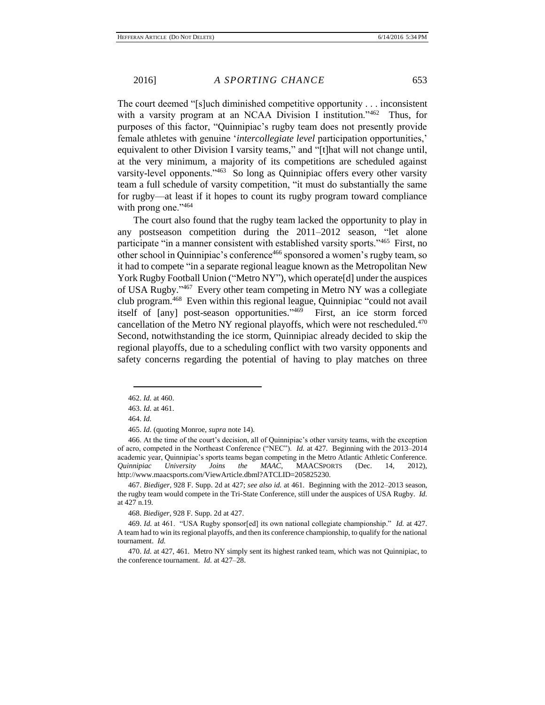The court deemed "[s]uch diminished competitive opportunity . . . inconsistent with a varsity program at an NCAA Division I institution."<sup>462</sup> Thus, for purposes of this factor, "Quinnipiac's rugby team does not presently provide female athletes with genuine '*intercollegiate level* participation opportunities,' equivalent to other Division I varsity teams," and "[t]hat will not change until, at the very minimum, a majority of its competitions are scheduled against varsity-level opponents."<sup>463</sup> So long as Quinnipiac offers every other varsity team a full schedule of varsity competition, "it must do substantially the same for rugby—at least if it hopes to count its rugby program toward compliance with prong one."464

The court also found that the rugby team lacked the opportunity to play in any postseason competition during the 2011–2012 season, "let alone participate "in a manner consistent with established varsity sports."<sup>465</sup> First, no other school in Quinnipiac's conference<sup>466</sup> sponsored a women's rugby team, so it had to compete "in a separate regional league known as the Metropolitan New York Rugby Football Union ("Metro NY"), which operate<sup>[d]</sup> under the auspices of USA Rugby."<sup>467</sup> Every other team competing in Metro NY was a collegiate club program.<sup>468</sup> Even within this regional league, Quinnipiac "could not avail itself of [any] post-season opportunities." 469 First, an ice storm forced cancellation of the Metro NY regional playoffs, which were not rescheduled. $470$ Second, notwithstanding the ice storm, Quinnipiac already decided to skip the regional playoffs, due to a scheduling conflict with two varsity opponents and safety concerns regarding the potential of having to play matches on three

 $\overline{a}$ 

467. *Biediger*, 928 F. Supp. 2d at 427; *see also id.* at 461. Beginning with the 2012–2013 season, the rugby team would compete in the Tri-State Conference, still under the auspices of USA Rugby. *Id.* at 427 n.19.

470. *Id.* at 427, 461. Metro NY simply sent its highest ranked team, which was not Quinnipiac, to the conference tournament. *Id.* at 427–28.

<sup>462.</sup> *Id.* at 460.

<sup>463.</sup> *Id.* at 461.

<sup>464.</sup> *Id.*

<sup>465.</sup> *Id.* (quoting Monroe, *supra* note 14).

<sup>466.</sup> At the time of the court's decision, all of Quinnipiac's other varsity teams, with the exception of acro, competed in the Northeast Conference ("NEC"). *Id.* at 427. Beginning with the 2013–2014 academic year, Quinnipiac's sports teams began competing in the Metro Atlantic Athletic Conference. *Quinnipiac University Joins the MAAC*, MAACSPORTS (Dec. 14, 2012), http://www.maacsports.com/ViewArticle.dbml?ATCLID=205825230.

<sup>468.</sup> *Biediger*, 928 F. Supp. 2d at 427.

<sup>469.</sup> *Id.* at 461. "USA Rugby sponsor[ed] its own national collegiate championship." *Id.* at 427. A team had to win its regional playoffs, and then its conference championship, to qualify for the national tournament. *Id.*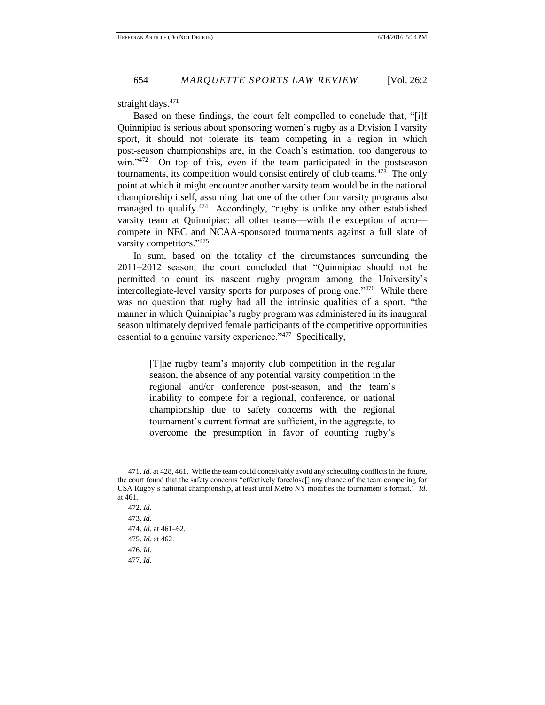straight days. $471$ 

Based on these findings, the court felt compelled to conclude that, "[i]f Quinnipiac is serious about sponsoring women's rugby as a Division I varsity sport, it should not tolerate its team competing in a region in which post-season championships are, in the Coach's estimation, too dangerous to win."<sup>472</sup> On top of this, even if the team participated in the postseason tournaments, its competition would consist entirely of club teams.<sup>473</sup> The only point at which it might encounter another varsity team would be in the national championship itself, assuming that one of the other four varsity programs also managed to qualify.<sup>474</sup> Accordingly, "rugby is unlike any other established varsity team at Quinnipiac: all other teams—with the exception of acro compete in NEC and NCAA-sponsored tournaments against a full slate of varsity competitors."<sup>475</sup>

In sum, based on the totality of the circumstances surrounding the 2011–2012 season, the court concluded that "Quinnipiac should not be permitted to count its nascent rugby program among the University's intercollegiate-level varsity sports for purposes of prong one."476 While there was no question that rugby had all the intrinsic qualities of a sport, "the manner in which Quinnipiac's rugby program was administered in its inaugural season ultimately deprived female participants of the competitive opportunities essential to a genuine varsity experience."<sup>477</sup> Specifically,

> [T]he rugby team's majority club competition in the regular season, the absence of any potential varsity competition in the regional and/or conference post-season, and the team's inability to compete for a regional, conference, or national championship due to safety concerns with the regional tournament's current format are sufficient, in the aggregate, to overcome the presumption in favor of counting rugby's

<sup>471.</sup> *Id.* at 428, 461. While the team could conceivably avoid any scheduling conflicts in the future, the court found that the safety concerns "effectively foreclose[] any chance of the team competing for USA Rugby's national championship, at least until Metro NY modifies the tournament's format." *Id.* at 461.

<sup>472.</sup> *Id.* 473. *Id.* 474. *Id.* at 461–62. 475. *Id.* at 462. 476. *Id.* 477. *Id.*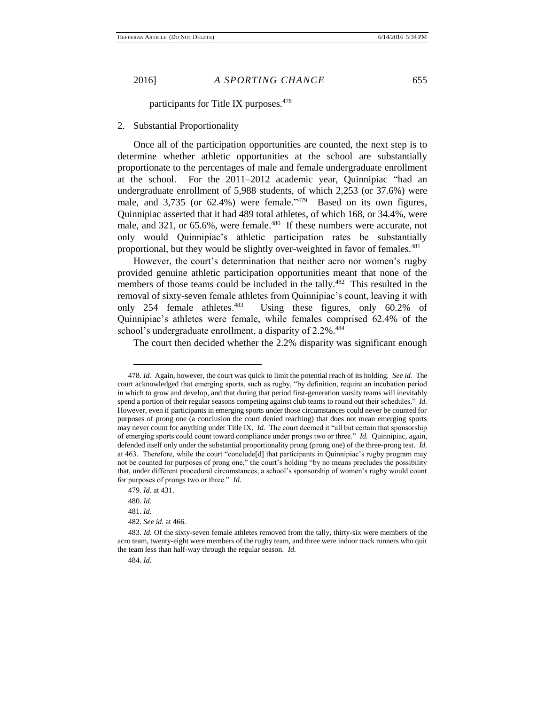participants for Title IX purposes.<sup>478</sup>

## 2. Substantial Proportionality

Once all of the participation opportunities are counted, the next step is to determine whether athletic opportunities at the school are substantially proportionate to the percentages of male and female undergraduate enrollment at the school. For the 2011–2012 academic year, Quinnipiac "had an undergraduate enrollment of 5,988 students, of which 2,253 (or 37.6%) were male, and 3,735 (or  $62.4\%$ ) were female.<sup>1479</sup> Based on its own figures, Quinnipiac asserted that it had 489 total athletes, of which 168, or 34.4%, were male, and 321, or 65.6%, were female.<sup>480</sup> If these numbers were accurate, not only would Quinnipiac's athletic participation rates be substantially proportional, but they would be slightly over-weighted in favor of females.<sup>481</sup>

However, the court's determination that neither acro nor women's rugby provided genuine athletic participation opportunities meant that none of the members of those teams could be included in the tally.<sup>482</sup> This resulted in the removal of sixty-seven female athletes from Quinnipiac's count, leaving it with only 254 female athletes.<sup>483</sup> Using these figures, only 60.2% of Quinnipiac's athletes were female, while females comprised 62.4% of the school's undergraduate enrollment, a disparity of 2.2%.<sup>484</sup>

The court then decided whether the 2.2% disparity was significant enough

<sup>478.</sup> *Id.* Again, however, the court was quick to limit the potential reach of its holding. *See id.* The court acknowledged that emerging sports, such as rugby, "by definition, require an incubation period in which to grow and develop, and that during that period first-generation varsity teams will inevitably spend a portion of their regular seasons competing against club teams to round out their schedules." *Id.* However, even if participants in emerging sports under those circumstances could never be counted for purposes of prong one (a conclusion the court denied reaching) that does not mean emerging sports may never count for anything under Title IX. *Id.* The court deemed it "all but certain that sponsorship of emerging sports could count toward compliance under prongs two or three." *Id.* Quinnipiac, again, defended itself only under the substantial proportionality prong (prong one) of the three-prong test. *Id.* at 463. Therefore, while the court "conclude[d] that participants in Quinnipiac's rugby program may not be counted for purposes of prong one," the court's holding "by no means precludes the possibility that, under different procedural circumstances, a school's sponsorship of women's rugby would count for purposes of prongs two or three." *Id.*

<sup>479.</sup> *Id.* at 431.

<sup>480.</sup> *Id.*

<sup>481.</sup> *Id.* 

<sup>482.</sup> *See id.* at 466.

<sup>483.</sup> *Id.* Of the sixty-seven female athletes removed from the tally, thirty-six were members of the acro team, twenty-eight were members of the rugby team, and three were indoor track runners who quit the team less than half-way through the regular season. *Id.*

<sup>484.</sup> *Id.*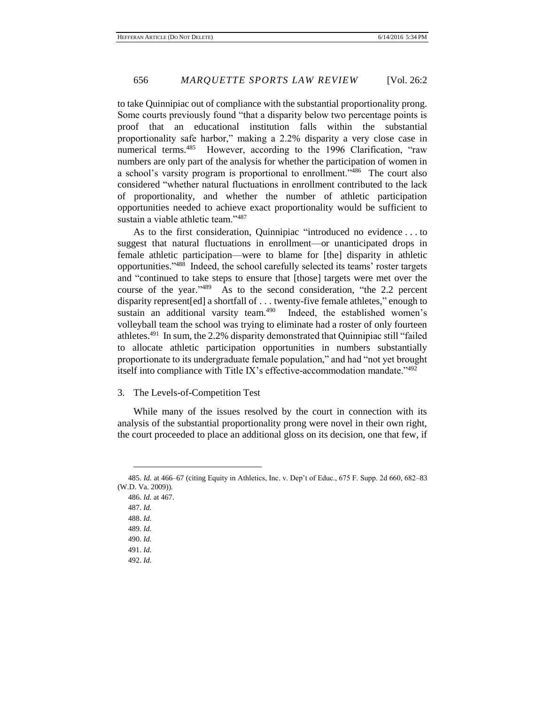to take Quinnipiac out of compliance with the substantial proportionality prong. Some courts previously found "that a disparity below two percentage points is proof that an educational institution falls within the substantial proportionality safe harbor," making a 2.2% disparity a very close case in numerical terms.<sup>485</sup> However, according to the 1996 Clarification, "raw numbers are only part of the analysis for whether the participation of women in a school's varsity program is proportional to enrollment."<sup>486</sup> The court also considered "whether natural fluctuations in enrollment contributed to the lack of proportionality, and whether the number of athletic participation opportunities needed to achieve exact proportionality would be sufficient to sustain a viable athletic team."<sup>487</sup>

As to the first consideration, Quinnipiac "introduced no evidence . . . to suggest that natural fluctuations in enrollment—or unanticipated drops in female athletic participation—were to blame for [the] disparity in athletic opportunities." 488 Indeed, the school carefully selected its teams' roster targets and "continued to take steps to ensure that [those] targets were met over the course of the year." 489 As to the second consideration, "the 2.2 percent disparity represent[ed] a shortfall of . . . twenty-five female athletes," enough to sustain an additional varsity team.<sup>490</sup> Indeed, the established women's volleyball team the school was trying to eliminate had a roster of only fourteen athletes.<sup>491</sup> In sum, the 2.2% disparity demonstrated that Quinnipiac still "failed to allocate athletic participation opportunities in numbers substantially proportionate to its undergraduate female population," and had "not yet brought itself into compliance with Title IX's effective-accommodation mandate."<sup>492</sup>

3. The Levels-of-Competition Test

While many of the issues resolved by the court in connection with its analysis of the substantial proportionality prong were novel in their own right, the court proceeded to place an additional gloss on its decision, one that few, if

<sup>485.</sup> *Id.* at 466–67 (citing Equity in Athletics, Inc. v. Dep't of Educ., 675 F. Supp. 2d 660, 682–83 (W.D. Va. 2009)).

<sup>486.</sup> *Id.* at 467.

<sup>487.</sup> *Id.*

<sup>488.</sup> *Id.*

<sup>489.</sup> *Id.*

<sup>490.</sup> *Id.*

<sup>491.</sup> *Id.*

<sup>492.</sup> *Id.*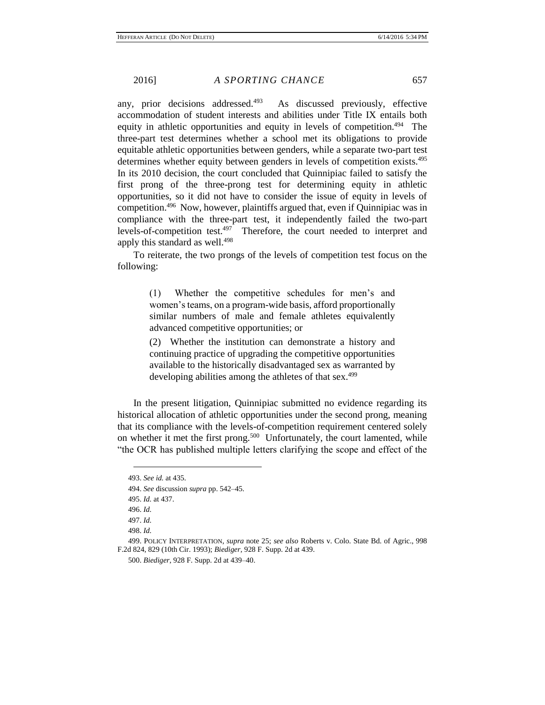any, prior decisions addressed.<sup>493</sup> As discussed previously, effective accommodation of student interests and abilities under Title IX entails both equity in athletic opportunities and equity in levels of competition.<sup>494</sup> The three-part test determines whether a school met its obligations to provide equitable athletic opportunities between genders, while a separate two-part test determines whether equity between genders in levels of competition exists.<sup>495</sup> In its 2010 decision, the court concluded that Quinnipiac failed to satisfy the first prong of the three-prong test for determining equity in athletic opportunities, so it did not have to consider the issue of equity in levels of competition.<sup>496</sup> Now, however, plaintiffs argued that, even if Quinnipiac was in compliance with the three-part test, it independently failed the two-part levels-of-competition test.<sup>497</sup> Therefore, the court needed to interpret and apply this standard as well.<sup>498</sup>

To reiterate, the two prongs of the levels of competition test focus on the following:

> (1) Whether the competitive schedules for men's and women's teams, on a program-wide basis, afford proportionally similar numbers of male and female athletes equivalently advanced competitive opportunities; or

> (2) Whether the institution can demonstrate a history and continuing practice of upgrading the competitive opportunities available to the historically disadvantaged sex as warranted by developing abilities among the athletes of that sex.<sup>499</sup>

In the present litigation, Quinnipiac submitted no evidence regarding its historical allocation of athletic opportunities under the second prong, meaning that its compliance with the levels-of-competition requirement centered solely on whether it met the first prong.<sup>500</sup> Unfortunately, the court lamented, while "the OCR has published multiple letters clarifying the scope and effect of the

<sup>493.</sup> *See id.* at 435.

<sup>494.</sup> *See* discussion *supra* pp. 542–45.

<sup>495.</sup> *Id.* at 437.

<sup>496.</sup> *Id.*

<sup>497.</sup> *Id.*

<sup>498.</sup> *Id.*

<sup>499.</sup> POLICY INTERPRETATION, *supra* note 25; *see also* Roberts v. Colo. State Bd. of Agric., 998 F.2d 824, 829 (10th Cir. 1993); *Biediger*, 928 F. Supp. 2d at 439.

<sup>500.</sup> *Biediger*, 928 F. Supp. 2d at 439–40.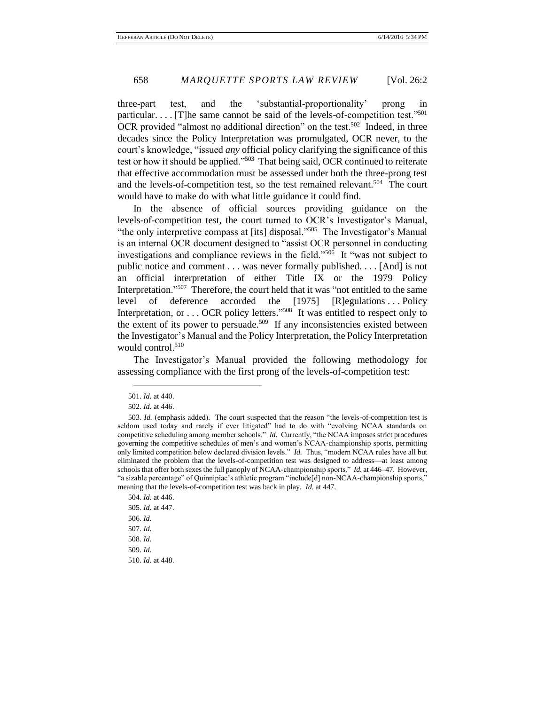three-part test, and the 'substantial-proportionality' prong in particular.... [T]he same cannot be said of the levels-of-competition test."<sup>501</sup> OCR provided "almost no additional direction" on the test.<sup>502</sup> Indeed, in three decades since the Policy Interpretation was promulgated, OCR never, to the court's knowledge, "issued *any* official policy clarifying the significance of this test or how it should be applied."<sup>503</sup> That being said, OCR continued to reiterate that effective accommodation must be assessed under both the three-prong test and the levels-of-competition test, so the test remained relevant.<sup>504</sup> The court would have to make do with what little guidance it could find.

In the absence of official sources providing guidance on the levels-of-competition test, the court turned to OCR's Investigator's Manual, "the only interpretive compass at [its] disposal."<sup>505</sup> The Investigator's Manual is an internal OCR document designed to "assist OCR personnel in conducting investigations and compliance reviews in the field."<sup>506</sup> It "was not subject to public notice and comment . . . was never formally published. . . . [And] is not an official interpretation of either Title IX or the 1979 Policy Interpretation."<sup>507</sup> Therefore, the court held that it was "not entitled to the same level of deference accorded the [1975] [R]egulations . . . Policy Interpretation, or . . . OCR policy letters."<sup>508</sup> It was entitled to respect only to the extent of its power to persuade.<sup>509</sup> If any inconsistencies existed between the Investigator's Manual and the Policy Interpretation, the Policy Interpretation would control.<sup>510</sup>

The Investigator's Manual provided the following methodology for assessing compliance with the first prong of the levels-of-competition test:

 $\overline{a}$ 

504. *Id.* at 446. 505. *Id.* at 447. 506. *Id.* 507. *Id.* 508. *Id.* 509. *Id.* 510. *Id.* at 448.

<sup>501.</sup> *Id.* at 440.

<sup>502.</sup> *Id.* at 446.

<sup>503.</sup> *Id.* (emphasis added). The court suspected that the reason "the levels-of-competition test is seldom used today and rarely if ever litigated" had to do with "evolving NCAA standards on competitive scheduling among member schools." *Id.* Currently, "the NCAA imposes strict procedures governing the competitive schedules of men's and women's NCAA-championship sports, permitting only limited competition below declared division levels." *Id.* Thus, "modern NCAA rules have all but eliminated the problem that the levels-of-competition test was designed to address—at least among schools that offer both sexes the full panoply of NCAA-championship sports." *Id.* at 446–47. However, "a sizable percentage" of Quinnipiac's athletic program "include[d] non-NCAA-championship sports," meaning that the levels-of-competition test was back in play. *Id.* at 447.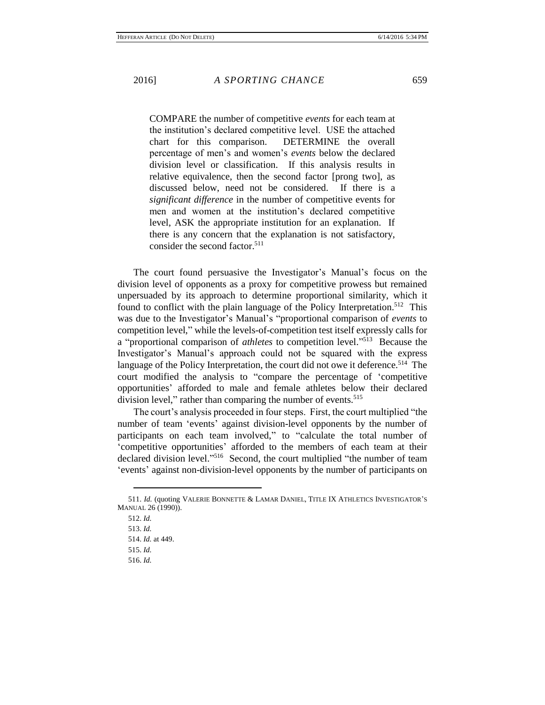COMPARE the number of competitive *events* for each team at the institution's declared competitive level. USE the attached chart for this comparison. DETERMINE the overall percentage of men's and women's *events* below the declared division level or classification. If this analysis results in relative equivalence, then the second factor [prong two], as discussed below, need not be considered. If there is a *significant difference* in the number of competitive events for men and women at the institution's declared competitive level, ASK the appropriate institution for an explanation. If there is any concern that the explanation is not satisfactory, consider the second factor.<sup>511</sup>

The court found persuasive the Investigator's Manual's focus on the division level of opponents as a proxy for competitive prowess but remained unpersuaded by its approach to determine proportional similarity, which it found to conflict with the plain language of the Policy Interpretation.<sup>512</sup> This was due to the Investigator's Manual's "proportional comparison of *events* to competition level," while the levels-of-competition test itself expressly calls for a "proportional comparison of *athletes* to competition level." 513 Because the Investigator's Manual's approach could not be squared with the express language of the Policy Interpretation, the court did not owe it deference.<sup>514</sup> The court modified the analysis to "compare the percentage of 'competitive opportunities' afforded to male and female athletes below their declared division level," rather than comparing the number of events.<sup>515</sup>

The court's analysis proceeded in four steps. First, the court multiplied "the number of team 'events' against division-level opponents by the number of participants on each team involved," to "calculate the total number of 'competitive opportunities' afforded to the members of each team at their declared division level." 516 Second, the court multiplied "the number of team 'events' against non-division-level opponents by the number of participants on

<sup>511.</sup> *Id.* (quoting VALERIE BONNETTE & LAMAR DANIEL, TITLE IX ATHLETICS INVESTIGATOR'S MANUAL 26 (1990)).

<sup>512.</sup> *Id.*

<sup>513.</sup> *Id.*

<sup>514.</sup> *Id.* at 449.

<sup>515.</sup> *Id.*

<sup>516.</sup> *Id.*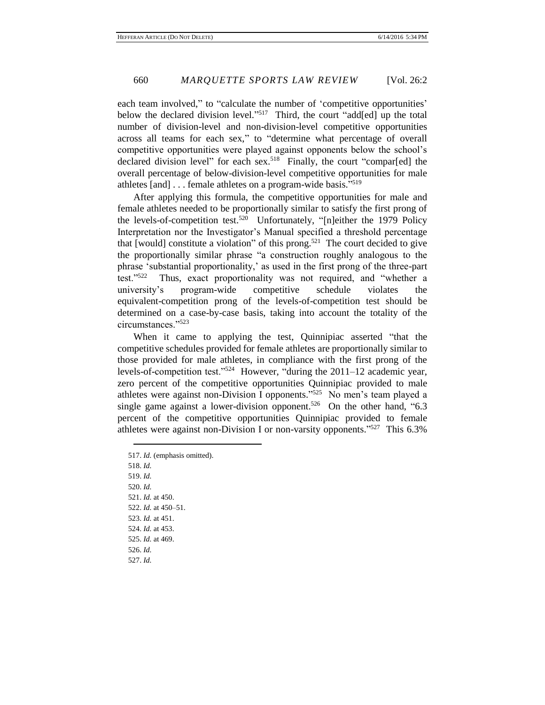each team involved," to "calculate the number of 'competitive opportunities' below the declared division level."<sup>517</sup> Third, the court "add[ed] up the total number of division-level and non-division-level competitive opportunities across all teams for each sex," to "determine what percentage of overall competitive opportunities were played against opponents below the school's declared division level" for each sex.<sup>518</sup> Finally, the court "compar[ed] the overall percentage of below-division-level competitive opportunities for male athletes [and] . . . female athletes on a program-wide basis."<sup>519</sup>

After applying this formula, the competitive opportunities for male and female athletes needed to be proportionally similar to satisfy the first prong of the levels-of-competition test.<sup>520</sup> Unfortunately, "[n]either the 1979 Policy Interpretation nor the Investigator's Manual specified a threshold percentage that [would] constitute a violation" of this prong.<sup>521</sup> The court decided to give the proportionally similar phrase "a construction roughly analogous to the phrase 'substantial proportionality,' as used in the first prong of the three-part test."<sup>522</sup> Thus, exact proportionality was not required, and "whether a university's program-wide competitive schedule violates the equivalent-competition prong of the levels-of-competition test should be determined on a case-by-case basis, taking into account the totality of the circumstances."<sup>523</sup>

When it came to applying the test, Quinnipiac asserted "that the competitive schedules provided for female athletes are proportionally similar to those provided for male athletes, in compliance with the first prong of the levels-of-competition test."<sup>524</sup> However, "during the 2011–12 academic year, zero percent of the competitive opportunities Quinnipiac provided to male athletes were against non-Division I opponents." 525 No men's team played a single game against a lower-division opponent.<sup>526</sup> On the other hand, "6.3" percent of the competitive opportunities Quinnipiac provided to female athletes were against non-Division I or non-varsity opponents."<sup>527</sup> This 6.3%

517. *Id.* (emphasis omitted). 518. *Id.* 519. *Id.* 520. *Id.* 521. *Id.* at 450. 522. *Id.* at 450–51. 523. *Id.* at 451. 524. *Id.* at 453. 525. *Id.* at 469. 526. *Id.* 527. *Id.*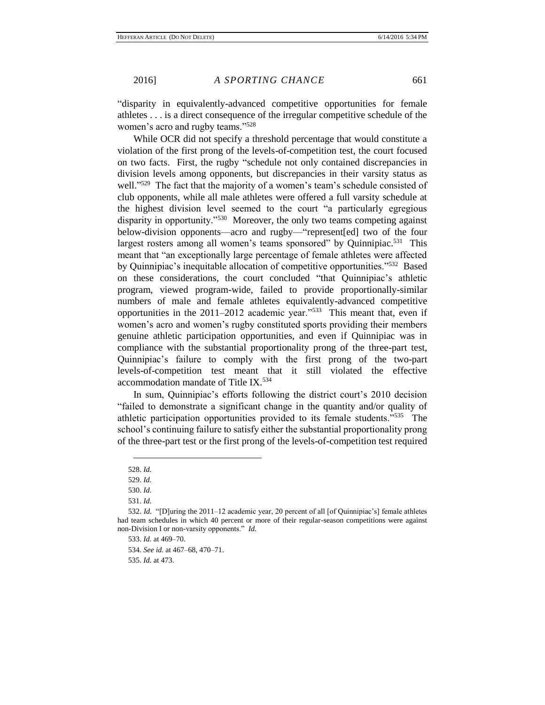"disparity in equivalently-advanced competitive opportunities for female athletes . . . is a direct consequence of the irregular competitive schedule of the women's acro and rugby teams."<sup>528</sup>

While OCR did not specify a threshold percentage that would constitute a violation of the first prong of the levels-of-competition test, the court focused on two facts. First, the rugby "schedule not only contained discrepancies in division levels among opponents, but discrepancies in their varsity status as well."<sup>529</sup> The fact that the majority of a women's team's schedule consisted of club opponents, while all male athletes were offered a full varsity schedule at the highest division level seemed to the court "a particularly egregious disparity in opportunity."<sup>530</sup> Moreover, the only two teams competing against below-division opponents—acro and rugby—"represent[ed] two of the four largest rosters among all women's teams sponsored" by Quinnipiac.<sup>531</sup> This meant that "an exceptionally large percentage of female athletes were affected by Quinnipiac's inequitable allocation of competitive opportunities."<sup>532</sup> Based on these considerations, the court concluded "that Quinnipiac's athletic program, viewed program-wide, failed to provide proportionally-similar numbers of male and female athletes equivalently-advanced competitive opportunities in the  $2011-2012$  academic year."<sup>533</sup> This meant that, even if women's acro and women's rugby constituted sports providing their members genuine athletic participation opportunities, and even if Quinnipiac was in compliance with the substantial proportionality prong of the three-part test, Quinnipiac's failure to comply with the first prong of the two-part levels-of-competition test meant that it still violated the effective accommodation mandate of Title IX.<sup>534</sup>

In sum, Quinnipiac's efforts following the district court's 2010 decision "failed to demonstrate a significant change in the quantity and/or quality of athletic participation opportunities provided to its female students."<sup>535</sup> The school's continuing failure to satisfy either the substantial proportionality prong of the three-part test or the first prong of the levels-of-competition test required

 $\overline{a}$ 528. *Id.*

<sup>529.</sup> *Id.*

<sup>530.</sup> *Id.*

<sup>531.</sup> *Id.*

<sup>532.</sup> *Id.* "[D]uring the 2011–12 academic year, 20 percent of all [of Quinnipiac's] female athletes had team schedules in which 40 percent or more of their regular-season competitions were against non-Division I or non-varsity opponents." *Id.*

<sup>533.</sup> *Id.* at 469–70.

<sup>534.</sup> *See id.* at 467–68, 470–71.

<sup>535.</sup> *Id.* at 473.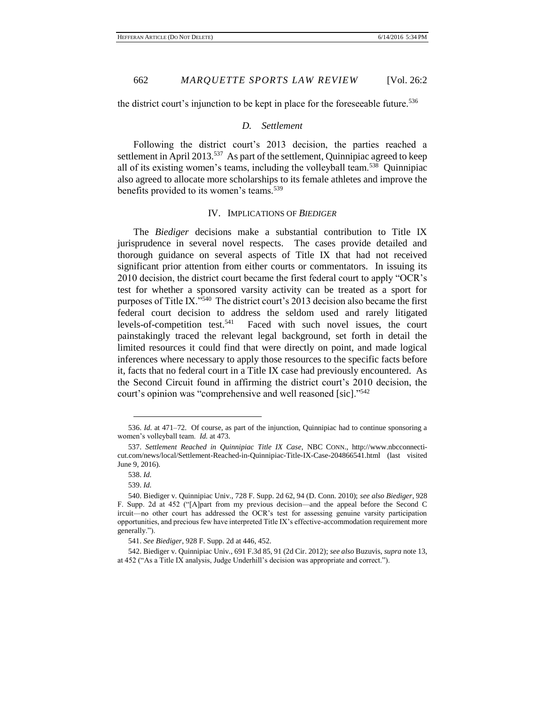the district court's injunction to be kept in place for the foreseeable future.<sup>536</sup>

# *D. Settlement*

Following the district court's 2013 decision, the parties reached a settlement in April 2013.<sup>537</sup> As part of the settlement, Quinnipiac agreed to keep all of its existing women's teams, including the volleyball team.<sup>538</sup> Quinnipiac also agreed to allocate more scholarships to its female athletes and improve the benefits provided to its women's teams.<sup>539</sup>

### IV. IMPLICATIONS OF *BIEDIGER*

The *Biediger* decisions make a substantial contribution to Title IX jurisprudence in several novel respects. The cases provide detailed and thorough guidance on several aspects of Title IX that had not received significant prior attention from either courts or commentators. In issuing its 2010 decision, the district court became the first federal court to apply "OCR's test for whether a sponsored varsity activity can be treated as a sport for purposes of Title IX."<sup>540</sup> The district court's 2013 decision also became the first federal court decision to address the seldom used and rarely litigated levels-of-competition test.<sup>541</sup> Faced with such novel issues, the court painstakingly traced the relevant legal background, set forth in detail the limited resources it could find that were directly on point, and made logical inferences where necessary to apply those resources to the specific facts before it, facts that no federal court in a Title IX case had previously encountered. As the Second Circuit found in affirming the district court's 2010 decision, the court's opinion was "comprehensive and well reasoned [sic]."<sup>542</sup>

<sup>536.</sup> *Id.* at 471–72. Of course, as part of the injunction, Quinnipiac had to continue sponsoring a women's volleyball team. *Id.* at 473.

<sup>537.</sup> *Settlement Reached in Quinnipiac Title IX Case*, NBC CONN., http://www.nbcconnecticut.com/news/local/Settlement-Reached-in-Quinnipiac-Title-IX-Case-204866541.html (last visited June 9, 2016).

<sup>538.</sup> *Id.*

<sup>539.</sup> *Id.*

<sup>540.</sup> Biediger v. Quinnipiac Univ., 728 F. Supp. 2d 62, 94 (D. Conn. 2010); *see also Biediger*, 928 F. Supp. 2d at 452 ("[A]part from my previous decision—and the appeal before the Second C ircuit—no other court has addressed the OCR's test for assessing genuine varsity participation opportunities, and precious few have interpreted Title IX's effective-accommodation requirement more generally.").

<sup>541.</sup> *See Biediger*, 928 F. Supp. 2d at 446, 452.

<sup>542.</sup> Biediger v. Quinnipiac Univ., 691 F.3d 85, 91 (2d Cir. 2012); *see also* Buzuvis, *supra* note 13, at 452 ("As a Title IX analysis, Judge Underhill's decision was appropriate and correct.").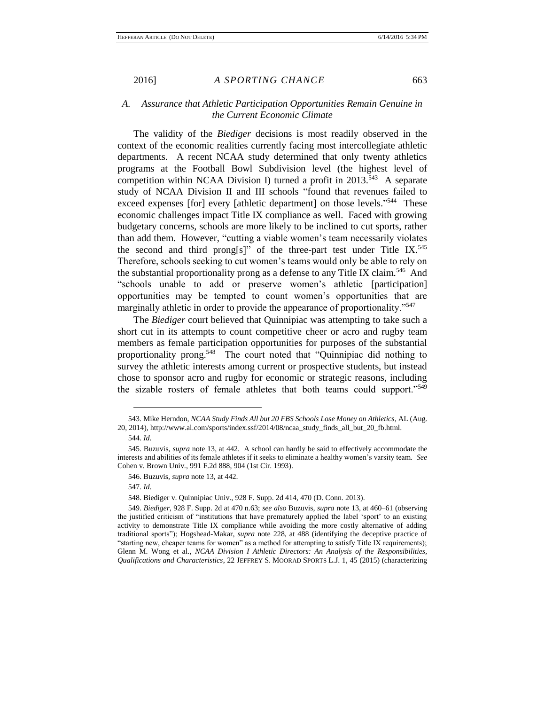# *A. Assurance that Athletic Participation Opportunities Remain Genuine in the Current Economic Climate*

The validity of the *Biediger* decisions is most readily observed in the context of the economic realities currently facing most intercollegiate athletic departments. A recent NCAA study determined that only twenty athletics programs at the Football Bowl Subdivision level (the highest level of competition within NCAA Division I) turned a profit in  $2013$ <sup>543</sup> A separate study of NCAA Division II and III schools "found that revenues failed to exceed expenses [for] every [athletic department] on those levels."<sup>544</sup> These economic challenges impact Title IX compliance as well. Faced with growing budgetary concerns, schools are more likely to be inclined to cut sports, rather than add them. However, "cutting a viable women's team necessarily violates the second and third prong[s]" of the three-part test under Title IX.<sup>545</sup> Therefore, schools seeking to cut women's teams would only be able to rely on the substantial proportionality prong as a defense to any Title IX claim.<sup>546</sup> And "schools unable to add or preserve women's athletic [participation] opportunities may be tempted to count women's opportunities that are marginally athletic in order to provide the appearance of proportionality."<sup>547</sup>

The *Biediger* court believed that Quinnipiac was attempting to take such a short cut in its attempts to count competitive cheer or acro and rugby team members as female participation opportunities for purposes of the substantial proportionality prong.<sup>548</sup> The court noted that "Quinnipiac did nothing to survey the athletic interests among current or prospective students, but instead chose to sponsor acro and rugby for economic or strategic reasons, including the sizable rosters of female athletes that both teams could support."<sup>549</sup>

<sup>543.</sup> Mike Herndon, *NCAA Study Finds All but 20 FBS Schools Lose Money on Athletics*, AL (Aug. 20, 2014), http://www.al.com/sports/index.ssf/2014/08/ncaa\_study\_finds\_all\_but\_20\_fb.html.

<sup>544.</sup> *Id.*

<sup>545.</sup> Buzuvis, *supra* note 13, at 442. A school can hardly be said to effectively accommodate the interests and abilities of its female athletes if it seeks to eliminate a healthy women's varsity team. *See* Cohen v. Brown Univ., 991 F.2d 888, 904 (1st Cir. 1993).

<sup>546.</sup> Buzuvis, *supra* note 13, at 442.

<sup>547.</sup> *Id.*

<sup>548.</sup> Biediger v. Quinnipiac Univ., 928 F. Supp. 2d 414, 470 (D. Conn. 2013).

<sup>549.</sup> *Biediger*, 928 F. Supp. 2d at 470 n.63; *see also* Buzuvis, *supra* note 13, at 460–61 (observing the justified criticism of "institutions that have prematurely applied the label 'sport' to an existing activity to demonstrate Title IX compliance while avoiding the more costly alternative of adding traditional sports"); Hogshead-Makar, *supra* note 228, at 488 (identifying the deceptive practice of "starting new, cheaper teams for women" as a method for attempting to satisfy Title IX requirements); Glenn M. Wong et al., *NCAA Division I Athletic Directors: An Analysis of the Responsibilities, Qualifications and Characteristics*, 22 JEFFREY S. MOORAD SPORTS L.J. 1, 45 (2015) (characterizing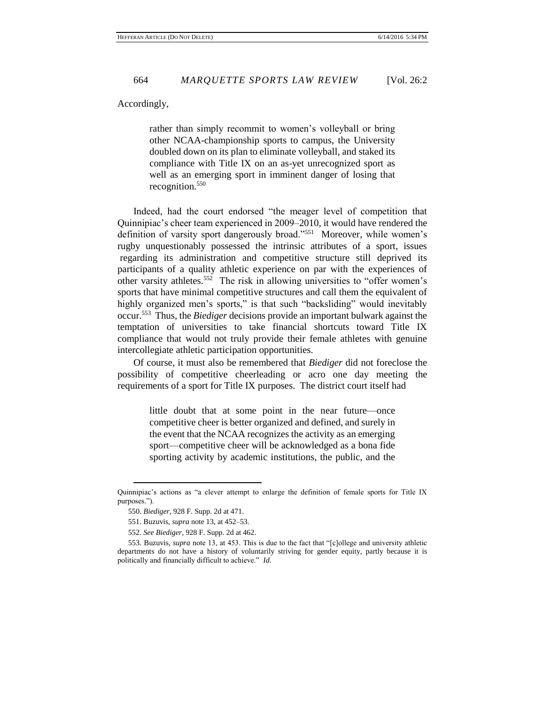Accordingly,

rather than simply recommit to women's volleyball or bring other NCAA-championship sports to campus, the University doubled down on its plan to eliminate volleyball, and staked its compliance with Title IX on an as-yet unrecognized sport as well as an emerging sport in imminent danger of losing that recognition.<sup>550</sup>

Indeed, had the court endorsed "the meager level of competition that Quinnipiac's cheer team experienced in 2009–2010, it would have rendered the definition of varsity sport dangerously broad."<sup>551</sup> Moreover, while women's rugby unquestionably possessed the intrinsic attributes of a sport, issues regarding its administration and competitive structure still deprived its participants of a quality athletic experience on par with the experiences of other varsity athletes.<sup>552</sup> The risk in allowing universities to "offer women's sports that have minimal competitive structures and call them the equivalent of highly organized men's sports," is that such "backsliding" would inevitably occur.<sup>553</sup> Thus, the *Biediger* decisions provide an important bulwark against the temptation of universities to take financial shortcuts toward Title IX compliance that would not truly provide their female athletes with genuine intercollegiate athletic participation opportunities.

Of course, it must also be remembered that *Biediger* did not foreclose the possibility of competitive cheerleading or acro one day meeting the requirements of a sport for Title IX purposes. The district court itself had

> little doubt that at some point in the near future—once competitive cheer is better organized and defined, and surely in the event that the NCAA recognizes the activity as an emerging sport—competitive cheer will be acknowledged as a bona fide sporting activity by academic institutions, the public, and the

Quinnipiac's actions as "a clever attempt to enlarge the definition of female sports for Title IX purposes.").

<sup>550.</sup> *Biediger*, 928 F. Supp. 2d at 471.

<sup>551.</sup> Buzuvis, *supra* note 13, at 452–53.

<sup>552.</sup> *See Biediger*, 928 F. Supp. 2d at 462.

<sup>553.</sup> Buzuvis, *supra* note 13, at 453. This is due to the fact that "[c]ollege and university athletic departments do not have a history of voluntarily striving for gender equity, partly because it is politically and financially difficult to achieve." *Id.*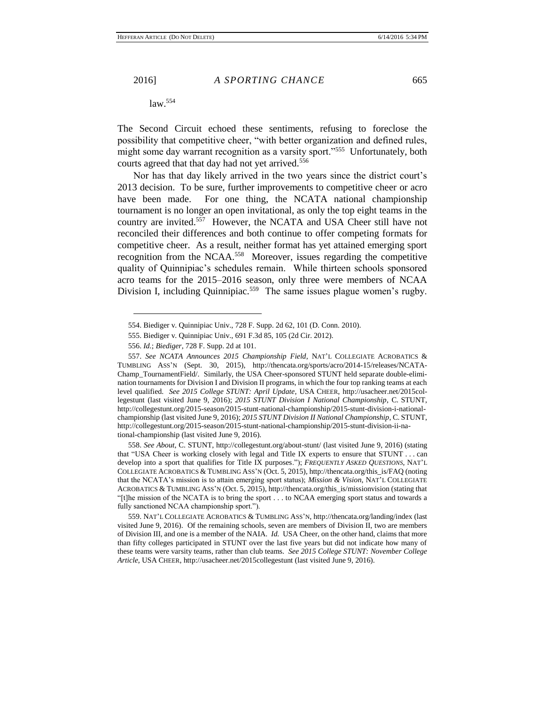$\overline{a}$ 

The Second Circuit echoed these sentiments, refusing to foreclose the possibility that competitive cheer, "with better organization and defined rules, might some day warrant recognition as a varsity sport."<sup>555</sup> Unfortunately, both courts agreed that that day had not yet arrived.<sup>556</sup>

Nor has that day likely arrived in the two years since the district court's 2013 decision. To be sure, further improvements to competitive cheer or acro have been made. For one thing, the NCATA national championship tournament is no longer an open invitational, as only the top eight teams in the country are invited.<sup>557</sup> However, the NCATA and USA Cheer still have not reconciled their differences and both continue to offer competing formats for competitive cheer. As a result, neither format has yet attained emerging sport recognition from the NCAA.<sup>558</sup> Moreover, issues regarding the competitive quality of Quinnipiac's schedules remain. While thirteen schools sponsored acro teams for the 2015–2016 season, only three were members of NCAA Division I, including Quinnipiac.<sup>559</sup> The same issues plague women's rugby.

558. *See About*, C. STUNT, http://collegestunt.org/about-stunt/ (last visited June 9, 2016) (stating that "USA Cheer is working closely with legal and Title IX experts to ensure that STUNT . . . can develop into a sport that qualifies for Title IX purposes."); *FREQUENTLY ASKED QUESTIONS*, NAT'L COLLEGIATE ACROBATICS & TUMBLING ASS'N (Oct. 5, 2015), http://thencata.org/this\_is/FAQ (noting that the NCATA's mission is to attain emerging sport status); *Mission & Vision*, NAT'L COLLEGIATE ACROBATICS & TUMBLING ASS'N (Oct. 5, 2015), http://thencata.org/this\_is/missionvision (stating that "[t]he mission of the NCATA is to bring the sport . . . to NCAA emerging sport status and towards a fully sanctioned NCAA championship sport.").

559. NAT'L COLLEGIATE ACROBATICS & TUMBLING ASS'N, http://thencata.org/landing/index (last visited June 9, 2016). Of the remaining schools, seven are members of Division II, two are members of Division III, and one is a member of the NAIA. *Id.* USA Cheer, on the other hand, claims that more than fifty colleges participated in STUNT over the last five years but did not indicate how many of these teams were varsity teams, rather than club teams. *See 2015 College STUNT: November College Article*, USA CHEER, http://usacheer.net/2015collegestunt (last visited June 9, 2016).

<sup>554.</sup> Biediger v. Quinnipiac Univ., 728 F. Supp. 2d 62, 101 (D. Conn. 2010).

<sup>555.</sup> Biediger v. Quinnipiac Univ., 691 F.3d 85, 105 (2d Cir. 2012).

<sup>556.</sup> *Id.*; *Biediger*, 728 F. Supp. 2d at 101.

<sup>557.</sup> *See NCATA Announces 2015 Championship Field*, NAT'L COLLEGIATE ACROBATICS & TUMBLING ASS'N (Sept. 30, 2015), http://thencata.org/sports/acro/2014-15/releases/NCATA-Champ\_TournamentField/. Similarly, the USA Cheer-sponsored STUNT held separate double-elimination tournaments for Division I and Division II programs, in which the four top ranking teams at each level qualified. *See 2015 College STUNT: April Update*, USA CHEER, http://usacheer.net/2015collegestunt (last visited June 9, 2016); *2015 STUNT Division I National Championship*, C. STUNT, http://collegestunt.org/2015-season/2015-stunt-national-championship/2015-stunt-division-i-nationalchampionship (last visited June 9, 2016); *2015 STUNT Division II National Championship*, C. STUNT, http://collegestunt.org/2015-season/2015-stunt-national-championship/2015-stunt-division-ii-national-championship (last visited June 9, 2016).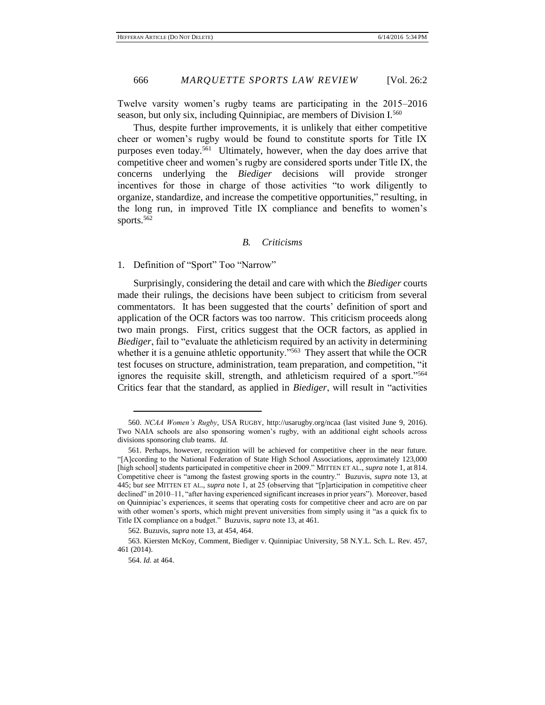Twelve varsity women's rugby teams are participating in the 2015–2016 season, but only six, including Quinnipiac, are members of Division I.<sup>560</sup>

Thus, despite further improvements, it is unlikely that either competitive cheer or women's rugby would be found to constitute sports for Title IX purposes even today.<sup>561</sup> Ultimately, however, when the day does arrive that competitive cheer and women's rugby are considered sports under Title IX, the concerns underlying the *Biediger* decisions will provide stronger incentives for those in charge of those activities "to work diligently to organize, standardize, and increase the competitive opportunities," resulting, in the long run, in improved Title IX compliance and benefits to women's sports.<sup>562</sup>

#### *B. Criticisms*

1. Definition of "Sport" Too "Narrow"

Surprisingly, considering the detail and care with which the *Biediger* courts made their rulings, the decisions have been subject to criticism from several commentators. It has been suggested that the courts' definition of sport and application of the OCR factors was too narrow. This criticism proceeds along two main prongs. First, critics suggest that the OCR factors, as applied in *Biediger*, fail to "evaluate the athleticism required by an activity in determining whether it is a genuine athletic opportunity."<sup>563</sup> They assert that while the OCR test focuses on structure, administration, team preparation, and competition, "it ignores the requisite skill, strength, and athleticism required of a sport."<sup>564</sup> Critics fear that the standard, as applied in *Biediger*, will result in "activities

<sup>560.</sup> *NCAA Women's Rugby*, USA RUGBY, http://usarugby.org/ncaa (last visited June 9, 2016). Two NAIA schools are also sponsoring women's rugby, with an additional eight schools across divisions sponsoring club teams. *Id.*

<sup>561.</sup> Perhaps, however, recognition will be achieved for competitive cheer in the near future. "[A]ccording to the National Federation of State High School Associations, approximately 123,000 [high school] students participated in competitive cheer in 2009." MITTEN ET AL., *supra* note 1, at 814. Competitive cheer is "among the fastest growing sports in the country." Buzuvis, *supra* note 13, at 445; b*ut see* MITTEN ET AL., *supra* note 1, at 25 (observing that "[p]articipation in competitive cheer declined" in 2010–11, "after having experienced significant increases in prior years"). Moreover, based on Quinnipiac's experiences, it seems that operating costs for competitive cheer and acro are on par with other women's sports, which might prevent universities from simply using it "as a quick fix to Title IX compliance on a budget." Buzuvis, *supra* note 13, at 461.

<sup>562.</sup> Buzuvis, *supra* note 13, at 454, 464.

<sup>563.</sup> Kiersten McKoy, Comment, Biediger v. Quinnipiac University, 58 N.Y.L. Sch. L. Rev. 457, 461 (2014).

<sup>564.</sup> *Id.* at 464.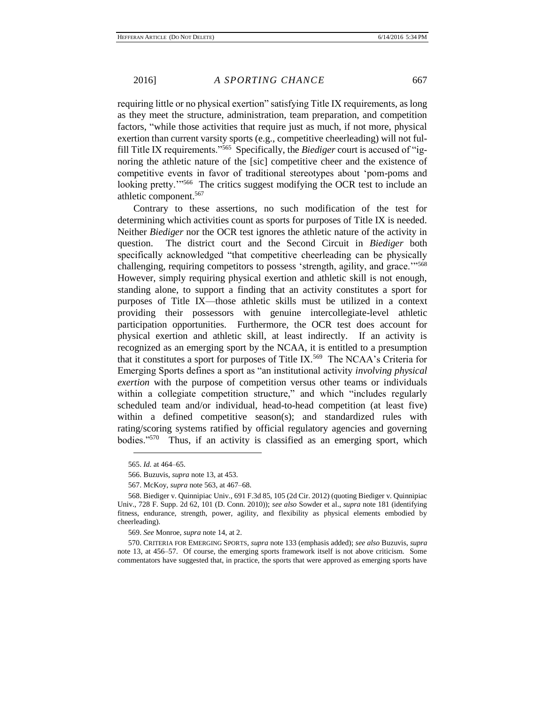requiring little or no physical exertion" satisfying Title IX requirements, as long as they meet the structure, administration, team preparation, and competition factors, "while those activities that require just as much, if not more, physical exertion than current varsity sports (e.g., competitive cheerleading) will not fulfill Title IX requirements."<sup>565</sup> Specifically, the *Biediger* court is accused of "ignoring the athletic nature of the [sic] competitive cheer and the existence of competitive events in favor of traditional stereotypes about 'pom-poms and looking pretty.<sup>21,566</sup> The critics suggest modifying the OCR test to include an athletic component.<sup>567</sup>

Contrary to these assertions, no such modification of the test for determining which activities count as sports for purposes of Title IX is needed. Neither *Biediger* nor the OCR test ignores the athletic nature of the activity in question. The district court and the Second Circuit in *Biediger* both specifically acknowledged "that competitive cheerleading can be physically challenging, requiring competitors to possess 'strength, agility, and grace."<sup>568</sup> However, simply requiring physical exertion and athletic skill is not enough, standing alone, to support a finding that an activity constitutes a sport for purposes of Title IX—those athletic skills must be utilized in a context providing their possessors with genuine intercollegiate-level athletic participation opportunities. Furthermore, the OCR test does account for physical exertion and athletic skill, at least indirectly. If an activity is recognized as an emerging sport by the NCAA, it is entitled to a presumption that it constitutes a sport for purposes of Title IX.<sup>569</sup> The NCAA's Criteria for Emerging Sports defines a sport as "an institutional activity *involving physical exertion* with the purpose of competition versus other teams or individuals within a collegiate competition structure," and which "includes regularly scheduled team and/or individual, head-to-head competition (at least five) within a defined competitive season(s); and standardized rules with rating/scoring systems ratified by official regulatory agencies and governing bodies."<sup>570</sup> Thus, if an activity is classified as an emerging sport, which

 $\overline{a}$ 

569. *See* Monroe, *supra* note 14, at 2.

570. CRITERIA FOR EMERGING SPORTS, *supra* note 133 (emphasis added); *see also* Buzuvis, *supra* note 13, at 456–57. Of course, the emerging sports framework itself is not above criticism. Some commentators have suggested that, in practice, the sports that were approved as emerging sports have

<sup>565.</sup> *Id.* at 464–65.

<sup>566.</sup> Buzuvis, *supra* note 13, at 453.

<sup>567.</sup> McKoy, *supra* note 563, at 467–68.

<sup>568.</sup> Biediger v. Quinnipiac Univ., 691 F.3d 85, 105 (2d Cir. 2012) (quoting Biediger v. Quinnipiac Univ., 728 F. Supp. 2d 62, 101 (D. Conn. 2010)); *see also* Sowder et al., *supra* note 181 (identifying fitness, endurance, strength, power, agility, and flexibility as physical elements embodied by cheerleading).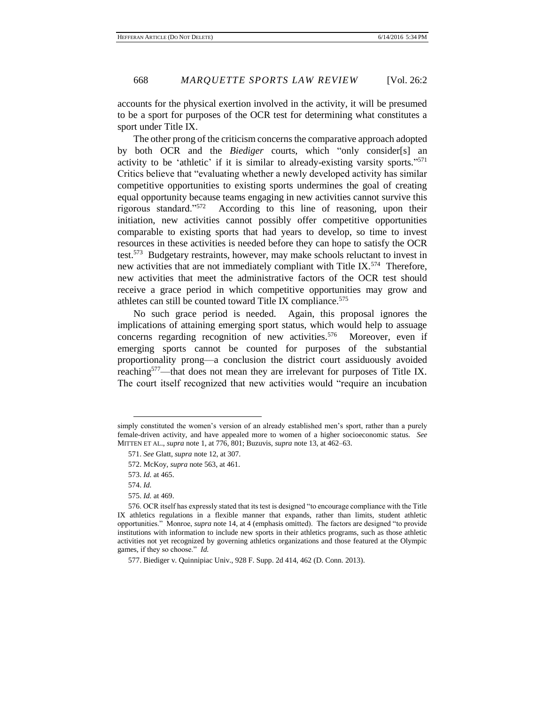accounts for the physical exertion involved in the activity, it will be presumed to be a sport for purposes of the OCR test for determining what constitutes a sport under Title IX.

The other prong of the criticism concerns the comparative approach adopted by both OCR and the *Biediger* courts, which "only consider[s] an activity to be 'athletic' if it is similar to already-existing varsity sports."<sup>571</sup> Critics believe that "evaluating whether a newly developed activity has similar competitive opportunities to existing sports undermines the goal of creating equal opportunity because teams engaging in new activities cannot survive this rigorous standard."<sup>572</sup> According to this line of reasoning, upon their initiation, new activities cannot possibly offer competitive opportunities comparable to existing sports that had years to develop, so time to invest resources in these activities is needed before they can hope to satisfy the OCR test.<sup>573</sup> Budgetary restraints, however, may make schools reluctant to invest in new activities that are not immediately compliant with Title IX.<sup>574</sup> Therefore, new activities that meet the administrative factors of the OCR test should receive a grace period in which competitive opportunities may grow and athletes can still be counted toward Title IX compliance.<sup>575</sup>

No such grace period is needed. Again, this proposal ignores the implications of attaining emerging sport status, which would help to assuage concerns regarding recognition of new activities.<sup>576</sup> Moreover, even if emerging sports cannot be counted for purposes of the substantial proportionality prong—a conclusion the district court assiduously avoided reaching<sup>577</sup>—that does not mean they are irrelevant for purposes of Title IX. The court itself recognized that new activities would "require an incubation

simply constituted the women's version of an already established men's sport, rather than a purely female-driven activity, and have appealed more to women of a higher socioeconomic status. *See* MITTEN ET AL., *supra* note 1, at 776, 801; Buzuvis, *supra* note 13, at 462–63.

<sup>571.</sup> *See* Glatt, *supra* note 12, at 307.

<sup>572.</sup> McKoy, *supra* note 563, at 461.

<sup>573.</sup> *Id.* at 465.

<sup>574.</sup> *Id.*

<sup>575.</sup> *Id.* at 469.

<sup>576.</sup> OCR itself has expressly stated that its test is designed "to encourage compliance with the Title IX athletics regulations in a flexible manner that expands, rather than limits, student athletic opportunities." Monroe, *supra* note 14, at 4 (emphasis omitted). The factors are designed "to provide institutions with information to include new sports in their athletics programs, such as those athletic activities not yet recognized by governing athletics organizations and those featured at the Olympic games, if they so choose." *Id.*

<sup>577.</sup> Biediger v. Quinnipiac Univ., 928 F. Supp. 2d 414, 462 (D. Conn. 2013).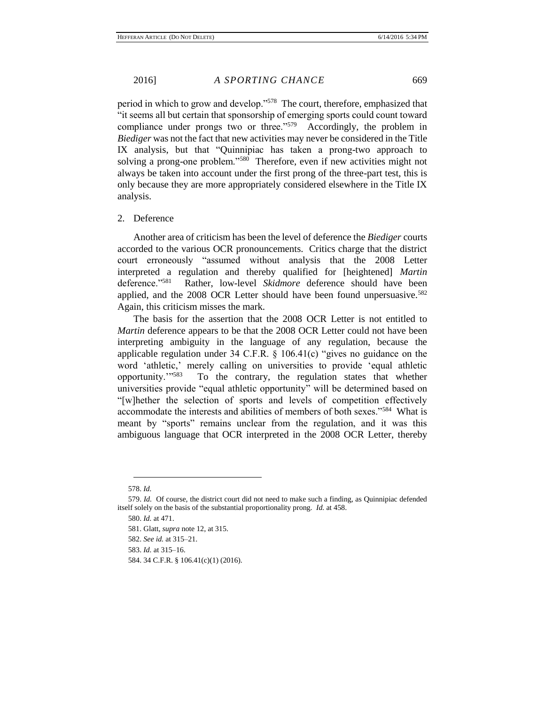period in which to grow and develop."<sup>578</sup> The court, therefore, emphasized that "it seems all but certain that sponsorship of emerging sports could count toward compliance under prongs two or three."<sup>579</sup> Accordingly, the problem in *Biediger* was not the fact that new activities may never be considered in the Title IX analysis, but that "Quinnipiac has taken a prong-two approach to solving a prong-one problem."<sup>580</sup> Therefore, even if new activities might not always be taken into account under the first prong of the three-part test, this is only because they are more appropriately considered elsewhere in the Title IX analysis.

# 2. Deference

Another area of criticism has been the level of deference the *Biediger* courts accorded to the various OCR pronouncements. Critics charge that the district court erroneously "assumed without analysis that the 2008 Letter interpreted a regulation and thereby qualified for [heightened] *Martin* deference."<sup>581</sup> Rather, low-level *Skidmore* deference should have been applied, and the 2008 OCR Letter should have been found unpersuasive.<sup>582</sup> Again, this criticism misses the mark.

The basis for the assertion that the 2008 OCR Letter is not entitled to *Martin* deference appears to be that the 2008 OCR Letter could not have been interpreting ambiguity in the language of any regulation, because the applicable regulation under 34 C.F.R. § 106.41(c) "gives no guidance on the word 'athletic,' merely calling on universities to provide 'equal athletic opportunity.'"<sup>583</sup> To the contrary, the regulation states that whether universities provide "equal athletic opportunity" will be determined based on "[w]hether the selection of sports and levels of competition effectively accommodate the interests and abilities of members of both sexes."<sup>584</sup> What is meant by "sports" remains unclear from the regulation, and it was this ambiguous language that OCR interpreted in the 2008 OCR Letter, thereby

<sup>578.</sup> *Id.*

<sup>579.</sup> *Id.* Of course, the district court did not need to make such a finding, as Quinnipiac defended itself solely on the basis of the substantial proportionality prong. *Id.* at 458.

<sup>580.</sup> *Id.* at 471.

<sup>581.</sup> Glatt, *supra* note 12, at 315.

<sup>582.</sup> *See id.* at 315–21.

<sup>583.</sup> *Id.* at 315–16.

<sup>584. 34</sup> C.F.R. § 106.41(c)(1) (2016).